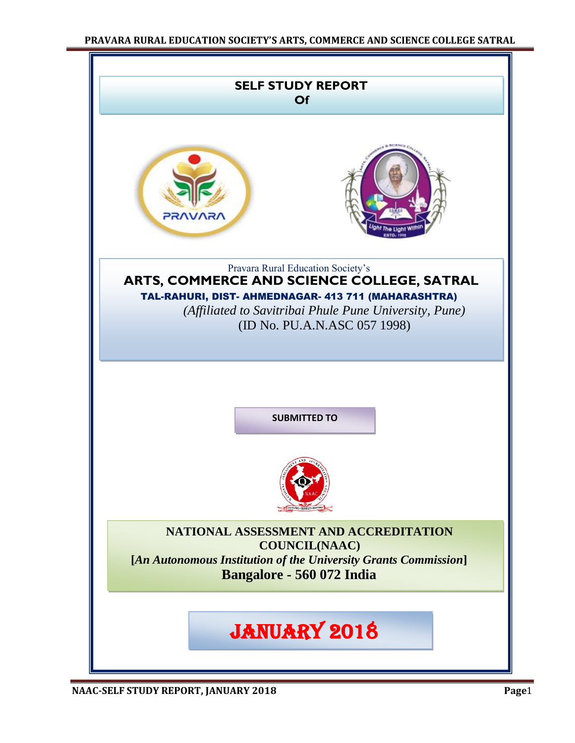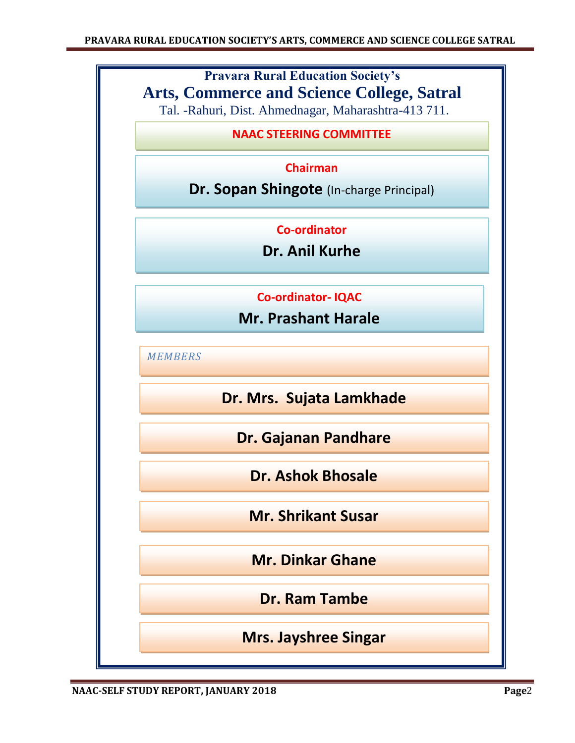# **Pravara Rural Education Society's Arts, Commerce and Science College, Satral**

Tal. -Rahuri, Dist. Ahmednagar, Maharashtra-413 711.

# **NAAC STEERING COMMITTEE**

# **Chairman**

**Dr. Sopan Shingote** (In-charge Principal)

**Co-ordinator**

**Dr. Anil Kurhe**

**Co-ordinator- IQAC** 

**Mr. Prashant Harale**

*MEMBERS*

**Dr. Mrs. Sujata Lamkhade**

**Dr. Gajanan Pandhare**

**Dr. Ashok Bhosale**

**Mr. Shrikant Susar**

**Mr. Dinkar Ghane**

**Dr. Ram Tambe**

**Mrs. Jayshree Singar**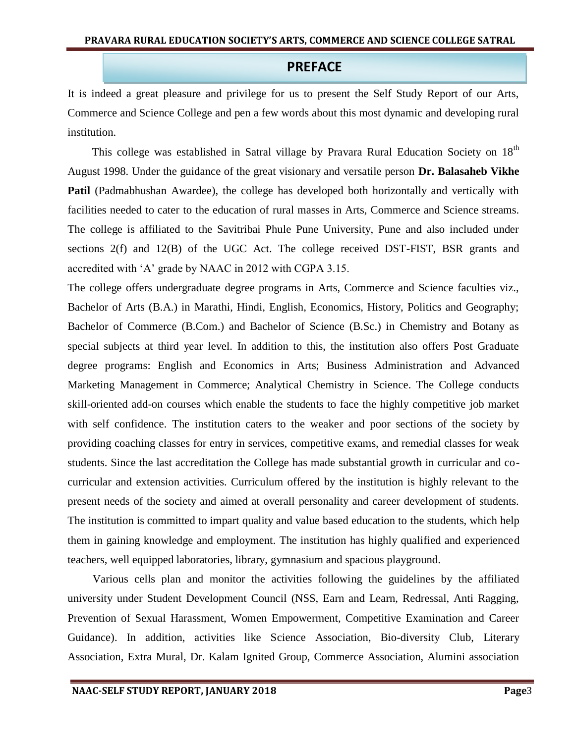# **PREFACE**

It is indeed a great pleasure and privilege for us to present the Self Study Report of our Arts, Commerce and Science College and pen a few words about this most dynamic and developing rural institution.

This college was established in Satral village by Pravara Rural Education Society on 18<sup>th</sup> August 1998. Under the guidance of the great visionary and versatile person **Dr. Balasaheb Vikhe Patil** (Padmabhushan Awardee), the college has developed both horizontally and vertically with facilities needed to cater to the education of rural masses in Arts, Commerce and Science streams. The college is affiliated to the Savitribai Phule Pune University, Pune and also included under sections 2(f) and 12(B) of the UGC Act. The college received DST-FIST, BSR grants and accredited with "A" grade by NAAC in 2012 with CGPA 3.15.

The college offers undergraduate degree programs in Arts, Commerce and Science faculties viz., Bachelor of Arts (B.A.) in Marathi, Hindi, English, Economics, History, Politics and Geography; Bachelor of Commerce (B.Com.) and Bachelor of Science (B.Sc.) in Chemistry and Botany as special subjects at third year level. In addition to this, the institution also offers Post Graduate degree programs: English and Economics in Arts; Business Administration and Advanced Marketing Management in Commerce; Analytical Chemistry in Science. The College conducts skill-oriented add-on courses which enable the students to face the highly competitive job market with self confidence. The institution caters to the weaker and poor sections of the society by providing coaching classes for entry in services, competitive exams, and remedial classes for weak students. Since the last accreditation the College has made substantial growth in curricular and cocurricular and extension activities. Curriculum offered by the institution is highly relevant to the present needs of the society and aimed at overall personality and career development of students. The institution is committed to impart quality and value based education to the students, which help them in gaining knowledge and employment. The institution has highly qualified and experienced teachers, well equipped laboratories, library, gymnasium and spacious playground.

Various cells plan and monitor the activities following the guidelines by the affiliated university under Student Development Council (NSS, Earn and Learn, Redressal, Anti Ragging, Prevention of Sexual Harassment, Women Empowerment, Competitive Examination and Career Guidance). In addition, activities like Science Association, Bio-diversity Club, Literary Association, Extra Mural, Dr. Kalam Ignited Group, Commerce Association, Alumini association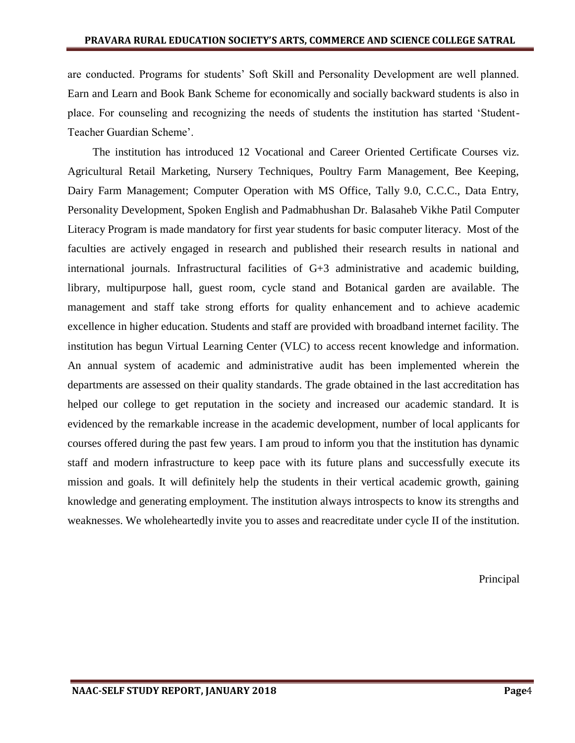are conducted. Programs for students' Soft Skill and Personality Development are well planned. Earn and Learn and Book Bank Scheme for economically and socially backward students is also in place. For counseling and recognizing the needs of students the institution has started "Student-Teacher Guardian Scheme".

The institution has introduced 12 Vocational and Career Oriented Certificate Courses viz. Agricultural Retail Marketing, Nursery Techniques, Poultry Farm Management, Bee Keeping, Dairy Farm Management; Computer Operation with MS Office, Tally 9.0, C.C.C., Data Entry, Personality Development, Spoken English and Padmabhushan Dr. Balasaheb Vikhe Patil Computer Literacy Program is made mandatory for first year students for basic computer literacy. Most of the faculties are actively engaged in research and published their research results in national and international journals. Infrastructural facilities of G+3 administrative and academic building, library, multipurpose hall, guest room, cycle stand and Botanical garden are available. The management and staff take strong efforts for quality enhancement and to achieve academic excellence in higher education. Students and staff are provided with broadband internet facility. The institution has begun Virtual Learning Center (VLC) to access recent knowledge and information. An annual system of academic and administrative audit has been implemented wherein the departments are assessed on their quality standards. The grade obtained in the last accreditation has helped our college to get reputation in the society and increased our academic standard. It is evidenced by the remarkable increase in the academic development, number of local applicants for courses offered during the past few years. I am proud to inform you that the institution has dynamic staff and modern infrastructure to keep pace with its future plans and successfully execute its mission and goals. It will definitely help the students in their vertical academic growth, gaining knowledge and generating employment. The institution always introspects to know its strengths and weaknesses. We wholeheartedly invite you to asses and reacreditate under cycle II of the institution.

Principal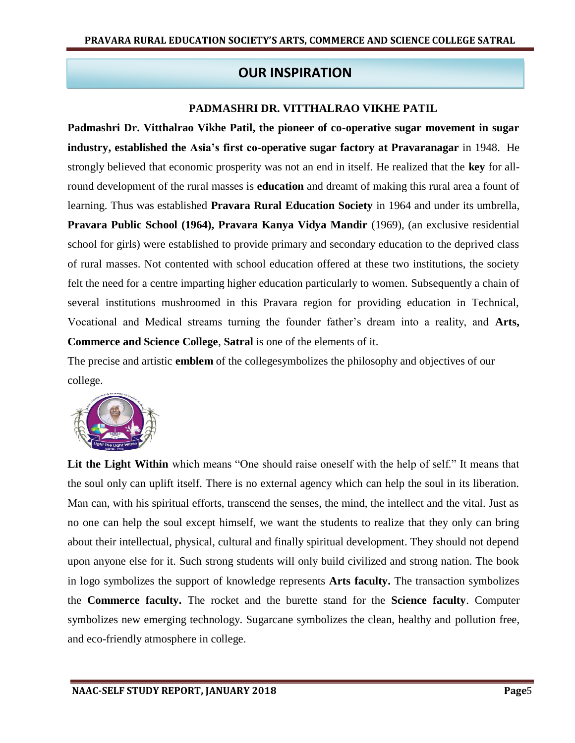# **OUR INSPIRATION**

# **PADMASHRI DR. VITTHALRAO VIKHE PATIL**

**Padmashri Dr. Vitthalrao Vikhe Patil, the pioneer of co-operative sugar movement in sugar industry, established the Asia's first co-operative sugar factory at Pravaranagar** in 1948. He strongly believed that economic prosperity was not an end in itself. He realized that the **key** for allround development of the rural masses is **education** and dreamt of making this rural area a fount of learning. Thus was established **Pravara Rural Education Society** in 1964 and under its umbrella, **Pravara Public School (1964), Pravara Kanya Vidya Mandir** (1969), (an exclusive residential school for girls) were established to provide primary and secondary education to the deprived class of rural masses. Not contented with school education offered at these two institutions, the society felt the need for a centre imparting higher education particularly to women. Subsequently a chain of several institutions mushroomed in this Pravara region for providing education in Technical, Vocational and Medical streams turning the founder father"s dream into a reality, and **Arts, Commerce and Science College**, **Satral** is one of the elements of it.

The precise and artistic **emblem** of the collegesymbolizes the philosophy and objectives of our college.



**Lit the Light Within** which means "One should raise oneself with the help of self." It means that the soul only can uplift itself. There is no external agency which can help the soul in its liberation. Man can, with his spiritual efforts, transcend the senses, the mind, the intellect and the vital. Just as no one can help the soul except himself, we want the students to realize that they only can bring about their intellectual, physical, cultural and finally spiritual development. They should not depend upon anyone else for it. Such strong students will only build civilized and strong nation. The book in logo symbolizes the support of knowledge represents **Arts faculty.** The transaction symbolizes the **Commerce faculty.** The rocket and the burette stand for the **Science faculty**. Computer symbolizes new emerging technology. Sugarcane symbolizes the clean, healthy and pollution free, and eco-friendly atmosphere in college.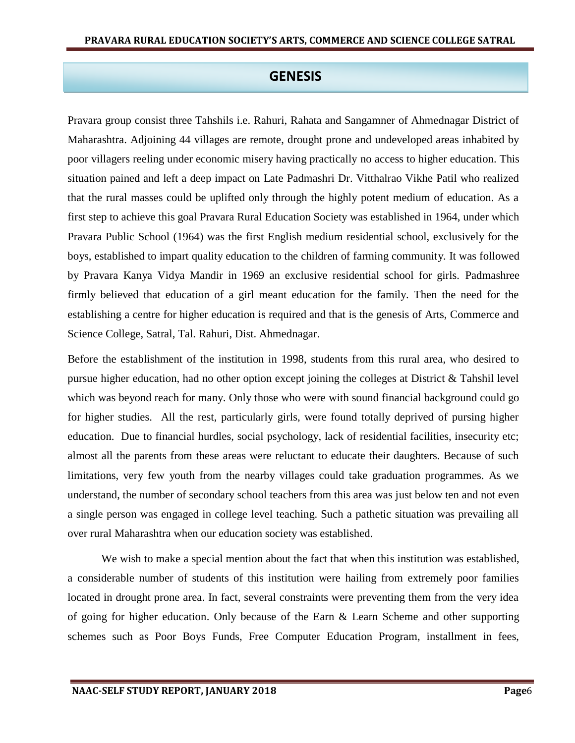# **GENESIS**

Pravara group consist three Tahshils i.e. Rahuri, Rahata and Sangamner of Ahmednagar District of Maharashtra. Adjoining 44 villages are remote, drought prone and undeveloped areas inhabited by poor villagers reeling under economic misery having practically no access to higher education. This situation pained and left a deep impact on Late Padmashri Dr. Vitthalrao Vikhe Patil who realized that the rural masses could be uplifted only through the highly potent medium of education. As a first step to achieve this goal Pravara Rural Education Society was established in 1964, under which Pravara Public School (1964) was the first English medium residential school, exclusively for the boys, established to impart quality education to the children of farming community. It was followed by Pravara Kanya Vidya Mandir in 1969 an exclusive residential school for girls. Padmashree firmly believed that education of a girl meant education for the family. Then the need for the establishing a centre for higher education is required and that is the genesis of Arts, Commerce and Science College, Satral, Tal. Rahuri, Dist. Ahmednagar.

Before the establishment of the institution in 1998, students from this rural area, who desired to pursue higher education, had no other option except joining the colleges at District & Tahshil level which was beyond reach for many. Only those who were with sound financial background could go for higher studies. All the rest, particularly girls, were found totally deprived of pursing higher education. Due to financial hurdles, social psychology, lack of residential facilities, insecurity etc; almost all the parents from these areas were reluctant to educate their daughters. Because of such limitations, very few youth from the nearby villages could take graduation programmes. As we understand, the number of secondary school teachers from this area was just below ten and not even a single person was engaged in college level teaching. Such a pathetic situation was prevailing all over rural Maharashtra when our education society was established.

We wish to make a special mention about the fact that when this institution was established, a considerable number of students of this institution were hailing from extremely poor families located in drought prone area. In fact, several constraints were preventing them from the very idea of going for higher education. Only because of the Earn & Learn Scheme and other supporting schemes such as Poor Boys Funds, Free Computer Education Program, installment in fees,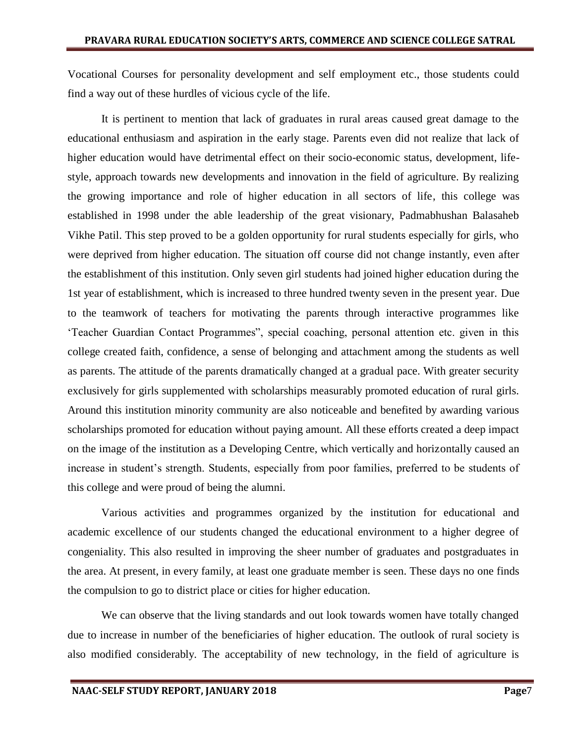Vocational Courses for personality development and self employment etc., those students could find a way out of these hurdles of vicious cycle of the life.

It is pertinent to mention that lack of graduates in rural areas caused great damage to the educational enthusiasm and aspiration in the early stage. Parents even did not realize that lack of higher education would have detrimental effect on their socio-economic status, development, lifestyle, approach towards new developments and innovation in the field of agriculture. By realizing the growing importance and role of higher education in all sectors of life, this college was established in 1998 under the able leadership of the great visionary, Padmabhushan Balasaheb Vikhe Patil. This step proved to be a golden opportunity for rural students especially for girls, who were deprived from higher education. The situation off course did not change instantly, even after the establishment of this institution. Only seven girl students had joined higher education during the 1st year of establishment, which is increased to three hundred twenty seven in the present year. Due to the teamwork of teachers for motivating the parents through interactive programmes like "Teacher Guardian Contact Programmes", special coaching, personal attention etc. given in this college created faith, confidence, a sense of belonging and attachment among the students as well as parents. The attitude of the parents dramatically changed at a gradual pace. With greater security exclusively for girls supplemented with scholarships measurably promoted education of rural girls. Around this institution minority community are also noticeable and benefited by awarding various scholarships promoted for education without paying amount. All these efforts created a deep impact on the image of the institution as a Developing Centre, which vertically and horizontally caused an increase in student's strength. Students, especially from poor families, preferred to be students of this college and were proud of being the alumni.

Various activities and programmes organized by the institution for educational and academic excellence of our students changed the educational environment to a higher degree of congeniality. This also resulted in improving the sheer number of graduates and postgraduates in the area. At present, in every family, at least one graduate member is seen. These days no one finds the compulsion to go to district place or cities for higher education.

We can observe that the living standards and out look towards women have totally changed due to increase in number of the beneficiaries of higher education. The outlook of rural society is also modified considerably. The acceptability of new technology, in the field of agriculture is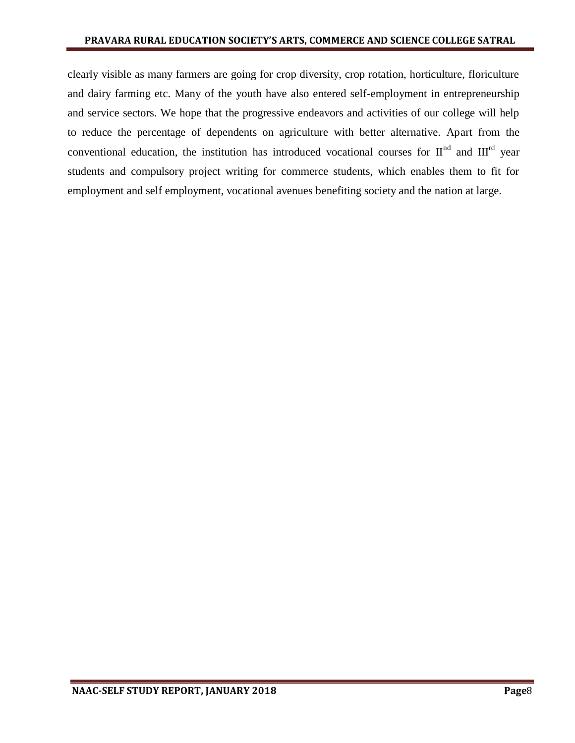clearly visible as many farmers are going for crop diversity, crop rotation, horticulture, floriculture and dairy farming etc. Many of the youth have also entered self-employment in entrepreneurship and service sectors. We hope that the progressive endeavors and activities of our college will help to reduce the percentage of dependents on agriculture with better alternative. Apart from the conventional education, the institution has introduced vocational courses for  $II<sup>nd</sup>$  and  $III<sup>rd</sup>$  year students and compulsory project writing for commerce students, which enables them to fit for employment and self employment, vocational avenues benefiting society and the nation at large.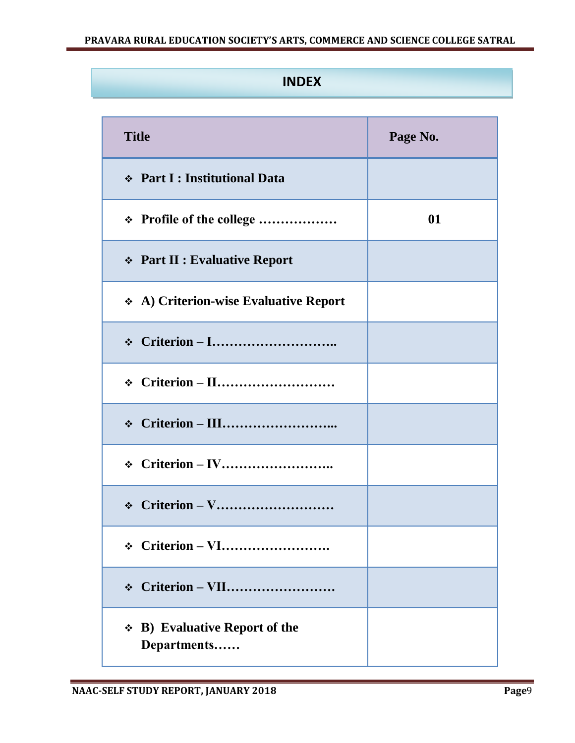# **INDEX**

| <b>Title</b>                                             | Page No. |
|----------------------------------------------------------|----------|
| ❖ Part I : Institutional Data                            |          |
| * Profile of the college                                 | 01       |
| <b>↑ Part II : Evaluative Report</b>                     |          |
| A) Criterion-wise Evaluative Report                      |          |
|                                                          |          |
| $\div$ Criterion – II                                    |          |
|                                                          |          |
|                                                          |          |
| $\div$ Criterion – V                                     |          |
|                                                          |          |
| Criterion – VII<br>$\bullet^{\bullet}_{\bullet} \bullet$ |          |
| $\div$ B) Evaluative Report of the<br>Departments        |          |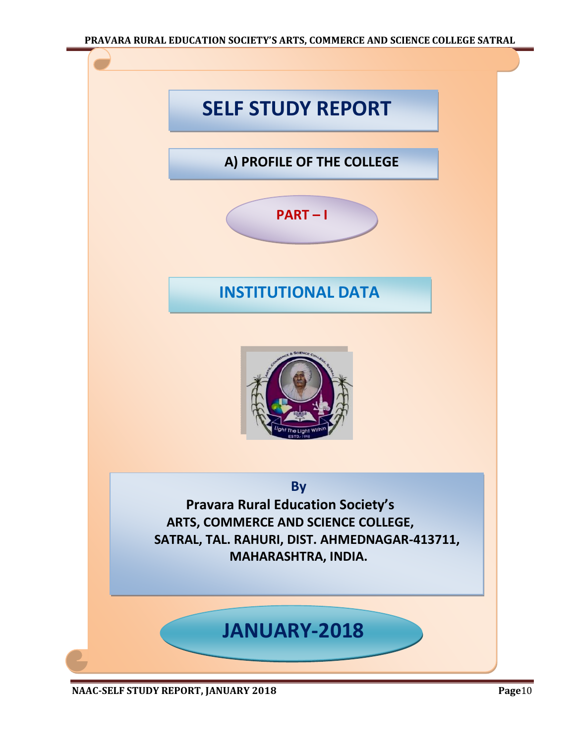#### **PRAVARA RURAL EDUCATION SOCIETY'S ARTS, COMMERCE AND SCIENCE COLLEGE SATRAL**



**NAAC-SELF STUDY REPORT, JANUARY 2018 Page**10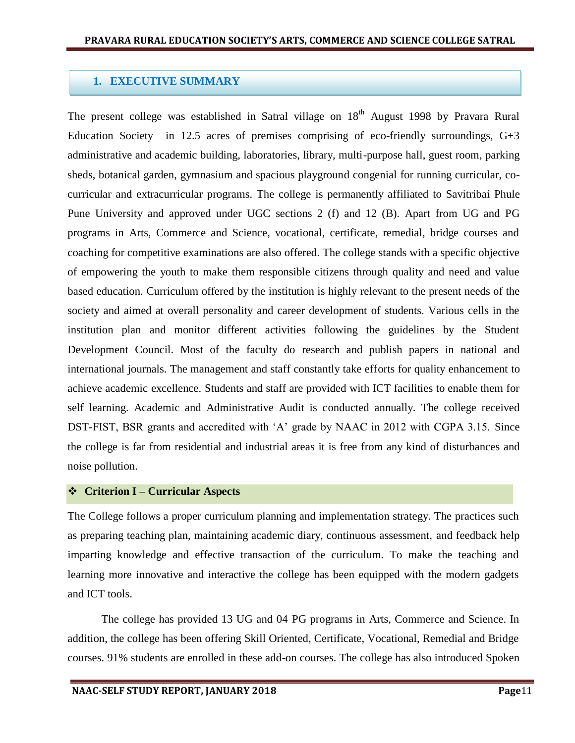# **1. EXECUTIVE SUMMARY**

The present college was established in Satral village on 18<sup>th</sup> August 1998 by Pravara Rural Education Society in 12.5 acres of premises comprising of eco-friendly surroundings,  $G+3$ administrative and academic building, laboratories, library, multi-purpose hall, guest room, parking sheds, botanical garden, gymnasium and spacious playground congenial for running curricular, cocurricular and extracurricular programs. The college is permanently affiliated to Savitribai Phule Pune University and approved under UGC sections 2 (f) and 12 (B). Apart from UG and PG programs in Arts, Commerce and Science, vocational, certificate, remedial, bridge courses and coaching for competitive examinations are also offered. The college stands with a specific objective of empowering the youth to make them responsible citizens through quality and need and value based education. Curriculum offered by the institution is highly relevant to the present needs of the society and aimed at overall personality and career development of students. Various cells in the institution plan and monitor different activities following the guidelines by the Student Development Council. Most of the faculty do research and publish papers in national and international journals. The management and staff constantly take efforts for quality enhancement to achieve academic excellence. Students and staff are provided with ICT facilities to enable them for self learning. Academic and Administrative Audit is conducted annually. The college received DST-FIST, BSR grants and accredited with "A" grade by NAAC in 2012 with CGPA 3.15. Since the college is far from residential and industrial areas it is free from any kind of disturbances and noise pollution.

## **Criterion I – Curricular Aspects**

The College follows a proper curriculum planning and implementation strategy. The practices such as preparing teaching plan, maintaining academic diary, continuous assessment, and feedback help imparting knowledge and effective transaction of the curriculum. To make the teaching and learning more innovative and interactive the college has been equipped with the modern gadgets and ICT tools.

The college has provided 13 UG and 04 PG programs in Arts, Commerce and Science. In addition, the college has been offering Skill Oriented, Certificate, Vocational, Remedial and Bridge courses. 91% students are enrolled in these add-on courses. The college has also introduced Spoken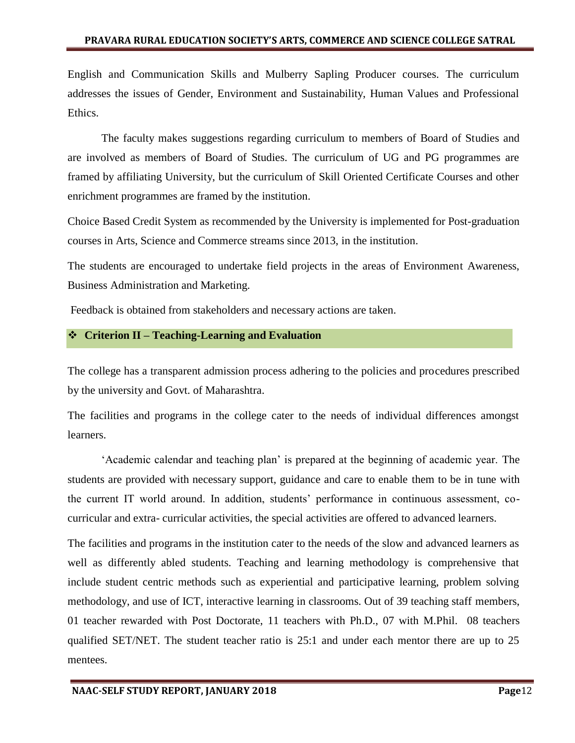English and Communication Skills and Mulberry Sapling Producer courses. The curriculum addresses the issues of Gender, Environment and Sustainability, Human Values and Professional Ethics.

The faculty makes suggestions regarding curriculum to members of Board of Studies and are involved as members of Board of Studies. The curriculum of UG and PG programmes are framed by affiliating University, but the curriculum of Skill Oriented Certificate Courses and other enrichment programmes are framed by the institution.

Choice Based Credit System as recommended by the University is implemented for Post-graduation courses in Arts, Science and Commerce streams since 2013, in the institution.

The students are encouraged to undertake field projects in the areas of Environment Awareness, Business Administration and Marketing.

Feedback is obtained from stakeholders and necessary actions are taken.

#### **Criterion II – Teaching-Learning and Evaluation**

The college has a transparent admission process adhering to the policies and procedures prescribed by the university and Govt. of Maharashtra.

The facilities and programs in the college cater to the needs of individual differences amongst learners.

"Academic calendar and teaching plan" is prepared at the beginning of academic year. The students are provided with necessary support, guidance and care to enable them to be in tune with the current IT world around. In addition, students" performance in continuous assessment, cocurricular and extra- curricular activities, the special activities are offered to advanced learners.

The facilities and programs in the institution cater to the needs of the slow and advanced learners as well as differently abled students. Teaching and learning methodology is comprehensive that include student centric methods such as experiential and participative learning, problem solving methodology, and use of ICT, interactive learning in classrooms. Out of 39 teaching staff members, 01 teacher rewarded with Post Doctorate, 11 teachers with Ph.D., 07 with M.Phil. 08 teachers qualified SET/NET. The student teacher ratio is 25:1 and under each mentor there are up to 25 mentees.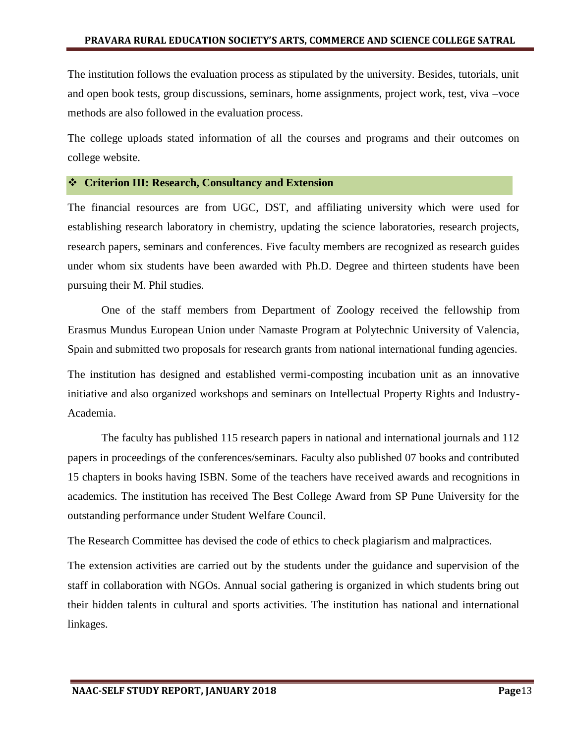The institution follows the evaluation process as stipulated by the university. Besides, tutorials, unit and open book tests, group discussions, seminars, home assignments, project work, test, viva –voce methods are also followed in the evaluation process.

The college uploads stated information of all the courses and programs and their outcomes on college website.

#### **Criterion III: Research, Consultancy and Extension**

The financial resources are from UGC, DST, and affiliating university which were used for establishing research laboratory in chemistry, updating the science laboratories, research projects, research papers, seminars and conferences. Five faculty members are recognized as research guides under whom six students have been awarded with Ph.D. Degree and thirteen students have been pursuing their M. Phil studies.

One of the staff members from Department of Zoology received the fellowship from Erasmus Mundus European Union under Namaste Program at Polytechnic University of Valencia, Spain and submitted two proposals for research grants from national international funding agencies.

The institution has designed and established vermi-composting incubation unit as an innovative initiative and also organized workshops and seminars on Intellectual Property Rights and Industry-Academia.

The faculty has published 115 research papers in national and international journals and 112 papers in proceedings of the conferences/seminars. Faculty also published 07 books and contributed 15 chapters in books having ISBN. Some of the teachers have received awards and recognitions in academics. The institution has received The Best College Award from SP Pune University for the outstanding performance under Student Welfare Council.

The Research Committee has devised the code of ethics to check plagiarism and malpractices.

The extension activities are carried out by the students under the guidance and supervision of the staff in collaboration with NGOs. Annual social gathering is organized in which students bring out their hidden talents in cultural and sports activities. The institution has national and international linkages.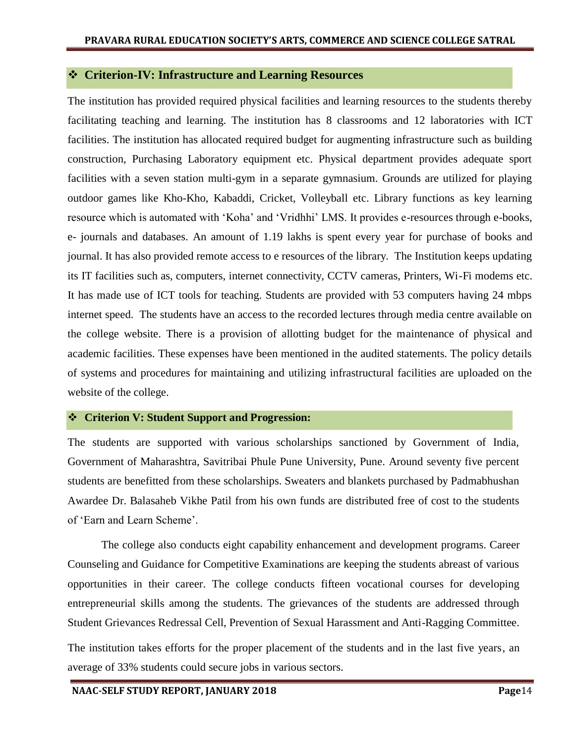### **Criterion-IV: Infrastructure and Learning Resources**

The institution has provided required physical facilities and learning resources to the students thereby facilitating teaching and learning. The institution has 8 classrooms and 12 laboratories with ICT facilities. The institution has allocated required budget for augmenting infrastructure such as building construction, Purchasing Laboratory equipment etc. Physical department provides adequate sport facilities with a seven station multi-gym in a separate gymnasium. Grounds are utilized for playing outdoor games like Kho-Kho, Kabaddi, Cricket, Volleyball etc. Library functions as key learning resource which is automated with "Koha" and "Vridhhi" LMS. It provides e-resources through e-books, e- journals and databases. An amount of 1.19 lakhs is spent every year for purchase of books and journal. It has also provided remote access to e resources of the library. The Institution keeps updating its IT facilities such as, computers, internet connectivity, CCTV cameras, Printers, Wi-Fi modems etc. It has made use of ICT tools for teaching. Students are provided with 53 computers having 24 mbps internet speed. The students have an access to the recorded lectures through media centre available on the college website. There is a provision of allotting budget for the maintenance of physical and academic facilities. These expenses have been mentioned in the audited statements. The policy details of systems and procedures for maintaining and utilizing infrastructural facilities are uploaded on the website of the college.

#### **Criterion V: Student Support and Progression:**

The students are supported with various scholarships sanctioned by Government of India, Government of Maharashtra, Savitribai Phule Pune University, Pune. Around seventy five percent students are benefitted from these scholarships. Sweaters and blankets purchased by Padmabhushan Awardee Dr. Balasaheb Vikhe Patil from his own funds are distributed free of cost to the students of "Earn and Learn Scheme".

The college also conducts eight capability enhancement and development programs. Career Counseling and Guidance for Competitive Examinations are keeping the students abreast of various opportunities in their career. The college conducts fifteen vocational courses for developing entrepreneurial skills among the students. The grievances of the students are addressed through Student Grievances Redressal Cell, Prevention of Sexual Harassment and Anti-Ragging Committee.

The institution takes efforts for the proper placement of the students and in the last five years, an average of 33% students could secure jobs in various sectors.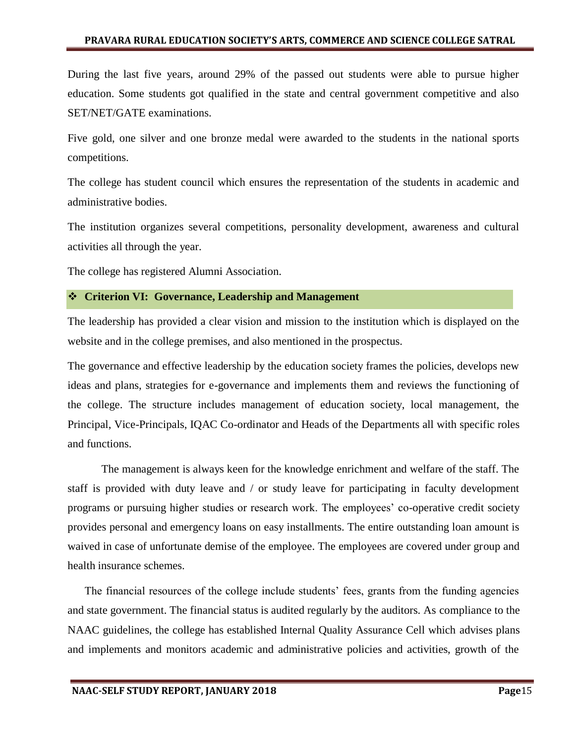#### **PRAVARA RURAL EDUCATION SOCIETY'S ARTS, COMMERCE AND SCIENCE COLLEGE SATRAL**

During the last five years, around 29% of the passed out students were able to pursue higher education. Some students got qualified in the state and central government competitive and also SET/NET/GATE examinations.

Five gold, one silver and one bronze medal were awarded to the students in the national sports competitions.

The college has student council which ensures the representation of the students in academic and administrative bodies.

The institution organizes several competitions, personality development, awareness and cultural activities all through the year.

The college has registered Alumni Association.

#### **Criterion VI: Governance, Leadership and Management**

The leadership has provided a clear vision and mission to the institution which is displayed on the website and in the college premises, and also mentioned in the prospectus.

The governance and effective leadership by the education society frames the policies, develops new ideas and plans, strategies for e-governance and implements them and reviews the functioning of the college. The structure includes management of education society, local management, the Principal, Vice-Principals, IQAC Co-ordinator and Heads of the Departments all with specific roles and functions.

The management is always keen for the knowledge enrichment and welfare of the staff. The staff is provided with duty leave and / or study leave for participating in faculty development programs or pursuing higher studies or research work. The employees" co-operative credit society provides personal and emergency loans on easy installments. The entire outstanding loan amount is waived in case of unfortunate demise of the employee. The employees are covered under group and health insurance schemes.

The financial resources of the college include students' fees, grants from the funding agencies and state government. The financial status is audited regularly by the auditors. As compliance to the NAAC guidelines, the college has established Internal Quality Assurance Cell which advises plans and implements and monitors academic and administrative policies and activities, growth of the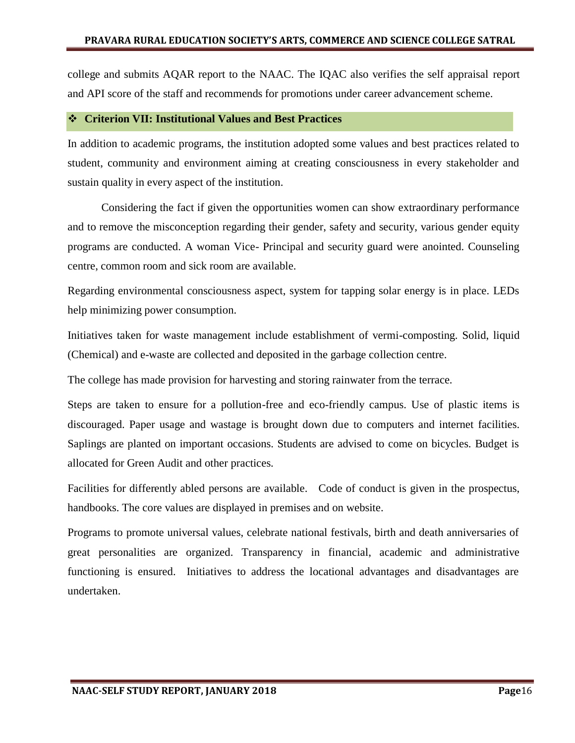college and submits AQAR report to the NAAC. The IQAC also verifies the self appraisal report and API score of the staff and recommends for promotions under career advancement scheme.

#### **Criterion VII: Institutional Values and Best Practices**

In addition to academic programs, the institution adopted some values and best practices related to student, community and environment aiming at creating consciousness in every stakeholder and sustain quality in every aspect of the institution.

Considering the fact if given the opportunities women can show extraordinary performance and to remove the misconception regarding their gender, safety and security, various gender equity programs are conducted. A woman Vice- Principal and security guard were anointed. Counseling centre, common room and sick room are available.

Regarding environmental consciousness aspect, system for tapping solar energy is in place. LEDs help minimizing power consumption.

Initiatives taken for waste management include establishment of vermi-composting. Solid, liquid (Chemical) and e-waste are collected and deposited in the garbage collection centre.

The college has made provision for harvesting and storing rainwater from the terrace.

Steps are taken to ensure for a pollution-free and eco-friendly campus. Use of plastic items is discouraged. Paper usage and wastage is brought down due to computers and internet facilities. Saplings are planted on important occasions. Students are advised to come on bicycles. Budget is allocated for Green Audit and other practices.

Facilities for differently abled persons are available. Code of conduct is given in the prospectus, handbooks. The core values are displayed in premises and on website.

Programs to promote universal values, celebrate national festivals, birth and death anniversaries of great personalities are organized. Transparency in financial, academic and administrative functioning is ensured. Initiatives to address the locational advantages and disadvantages are undertaken.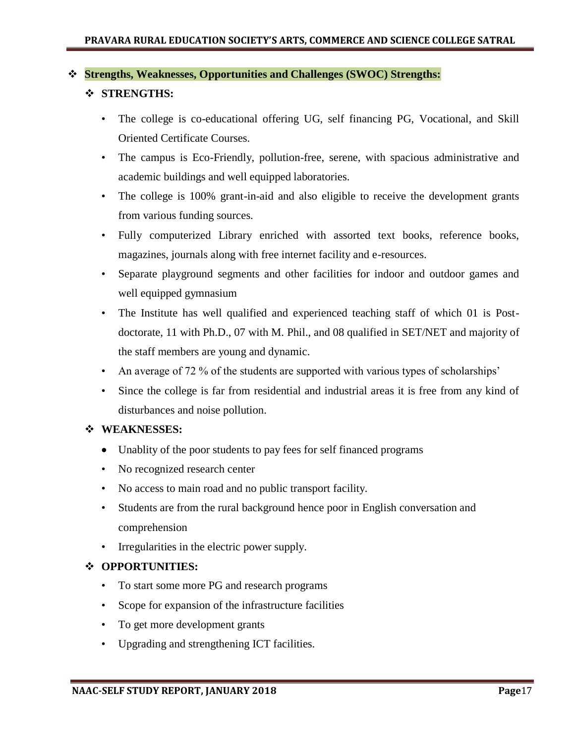### **Strengths, Weaknesses, Opportunities and Challenges (SWOC) Strengths:**

## **STRENGTHS:**

- The college is co-educational offering UG, self financing PG, Vocational, and Skill Oriented Certificate Courses.
- The campus is Eco-Friendly, pollution-free, serene, with spacious administrative and academic buildings and well equipped laboratories.
- The college is 100% grant-in-aid and also eligible to receive the development grants from various funding sources.
- Fully computerized Library enriched with assorted text books, reference books, magazines, journals along with free internet facility and e-resources.
- Separate playground segments and other facilities for indoor and outdoor games and well equipped gymnasium
- The Institute has well qualified and experienced teaching staff of which 01 is Postdoctorate, 11 with Ph.D., 07 with M. Phil., and 08 qualified in SET/NET and majority of the staff members are young and dynamic.
- An average of 72 % of the students are supported with various types of scholarships'
- Since the college is far from residential and industrial areas it is free from any kind of disturbances and noise pollution.

## **WEAKNESSES:**

- Unablity of the poor students to pay fees for self financed programs
- No recognized research center
- No access to main road and no public transport facility.
- Students are from the rural background hence poor in English conversation and comprehension
- Irregularities in the electric power supply.

## **OPPORTUNITIES:**

- To start some more PG and research programs
- Scope for expansion of the infrastructure facilities
- To get more development grants
- Upgrading and strengthening ICT facilities.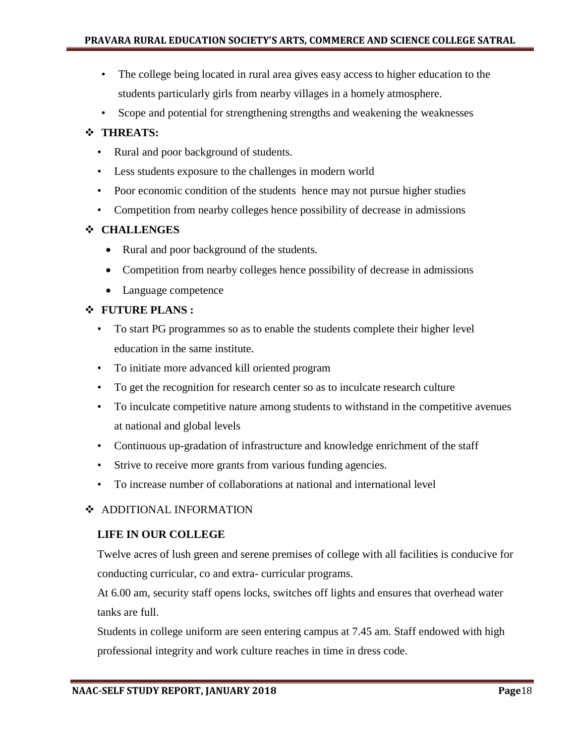- The college being located in rural area gives easy access to higher education to the students particularly girls from nearby villages in a homely atmosphere.
- Scope and potential for strengthening strengths and weakening the weaknesses

# **THREATS:**

- Rural and poor background of students.
- Less students exposure to the challenges in modern world
- Poor economic condition of the students hence may not pursue higher studies
- Competition from nearby colleges hence possibility of decrease in admissions

# **CHALLENGES**

- Rural and poor background of the students.
- Competition from nearby colleges hence possibility of decrease in admissions
- Language competence

# **FUTURE PLANS :**

- To start PG programmes so as to enable the students complete their higher level education in the same institute.
- To initiate more advanced kill oriented program
- To get the recognition for research center so as to inculcate research culture
- To inculcate competitive nature among students to withstand in the competitive avenues at national and global levels
- Continuous up-gradation of infrastructure and knowledge enrichment of the staff
- Strive to receive more grants from various funding agencies.
- To increase number of collaborations at national and international level

# ❖ ADDITIONAL INFORMATION

## **LIFE IN OUR COLLEGE**

Twelve acres of lush green and serene premises of college with all facilities is conducive for conducting curricular, co and extra- curricular programs.

At 6.00 am, security staff opens locks, switches off lights and ensures that overhead water tanks are full.

Students in college uniform are seen entering campus at 7.45 am. Staff endowed with high professional integrity and work culture reaches in time in dress code.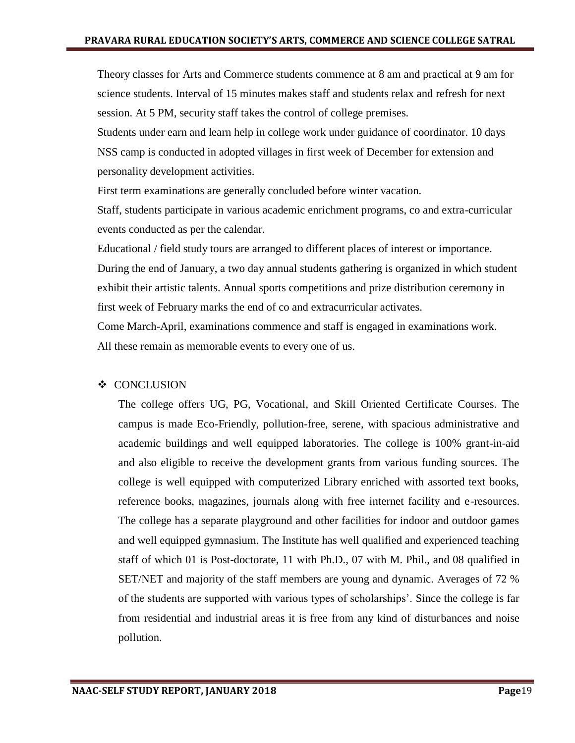Theory classes for Arts and Commerce students commence at 8 am and practical at 9 am for science students. Interval of 15 minutes makes staff and students relax and refresh for next session. At 5 PM, security staff takes the control of college premises.

Students under earn and learn help in college work under guidance of coordinator. 10 days NSS camp is conducted in adopted villages in first week of December for extension and personality development activities.

First term examinations are generally concluded before winter vacation.

Staff, students participate in various academic enrichment programs, co and extra-curricular events conducted as per the calendar.

Educational / field study tours are arranged to different places of interest or importance.

During the end of January, a two day annual students gathering is organized in which student exhibit their artistic talents. Annual sports competitions and prize distribution ceremony in first week of February marks the end of co and extracurricular activates.

Come March-April, examinations commence and staff is engaged in examinations work. All these remain as memorable events to every one of us.

## ❖ CONCLUSION

The college offers UG, PG, Vocational, and Skill Oriented Certificate Courses. The campus is made Eco-Friendly, pollution-free, serene, with spacious administrative and academic buildings and well equipped laboratories. The college is 100% grant-in-aid and also eligible to receive the development grants from various funding sources. The college is well equipped with computerized Library enriched with assorted text books, reference books, magazines, journals along with free internet facility and e-resources. The college has a separate playground and other facilities for indoor and outdoor games and well equipped gymnasium. The Institute has well qualified and experienced teaching staff of which 01 is Post-doctorate, 11 with Ph.D., 07 with M. Phil., and 08 qualified in SET/NET and majority of the staff members are young and dynamic. Averages of 72 % of the students are supported with various types of scholarships". Since the college is far from residential and industrial areas it is free from any kind of disturbances and noise pollution.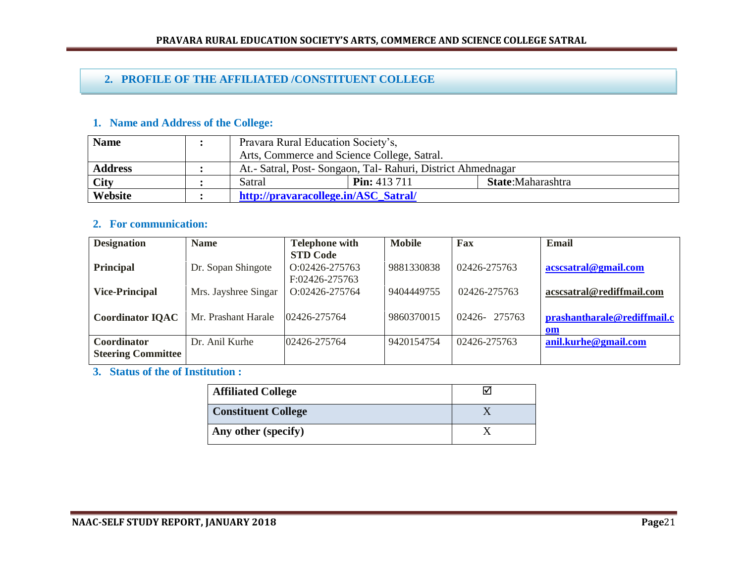# **2. PROFILE OF THE AFFILIATED /CONSTITUENT COLLEGE**

## **1. Name and Address of the College:**

| <b>Name</b>        | Pravara Rural Education Society's,                           |                     |                   |
|--------------------|--------------------------------------------------------------|---------------------|-------------------|
|                    | Arts, Commerce and Science College, Satral.                  |                     |                   |
| <b>Address</b>     | At.- Satral, Post- Songaon, Tal- Rahuri, District Ahmednagar |                     |                   |
| $\overline{C}$ ity | Satral                                                       | <b>Pin:</b> 413 711 | State:Maharashtra |
| Website            | http://pravaracollege.in/ASC_Satral/                         |                     |                   |

## **2. For communication:**

| <b>Designation</b>        | <b>Name</b>          | <b>Telephone with</b> | <b>Mobile</b> | Fax          | Email                       |
|---------------------------|----------------------|-----------------------|---------------|--------------|-----------------------------|
|                           |                      | <b>STD Code</b>       |               |              |                             |
| <b>Principal</b>          | Dr. Sopan Shingote   | O:02426-275763        | 9881330838    | 02426-275763 | acscsatral@gmail.com        |
|                           |                      | F:02426-275763        |               |              |                             |
| <b>Vice-Principal</b>     | Mrs. Jayshree Singar | O:02426-275764        | 9404449755    | 02426-275763 | acscsatral@rediffmail.com   |
|                           |                      |                       |               |              |                             |
| <b>Coordinator IQAC</b>   | Mr. Prashant Harale  | 02426-275764          | 9860370015    | 02426-275763 | prashantharale@rediffmail.c |
|                           |                      |                       |               |              | <u>om</u>                   |
| Coordinator               | Dr. Anil Kurhe       | 02426-275764          | 9420154754    | 02426-275763 | anil.kurhe@gmail.com        |
| <b>Steering Committee</b> |                      |                       |               |              |                             |

**3. Status of the of Institution :**

| <b>Affiliated College</b>  |  |
|----------------------------|--|
| <b>Constituent College</b> |  |
| Any other (specify)        |  |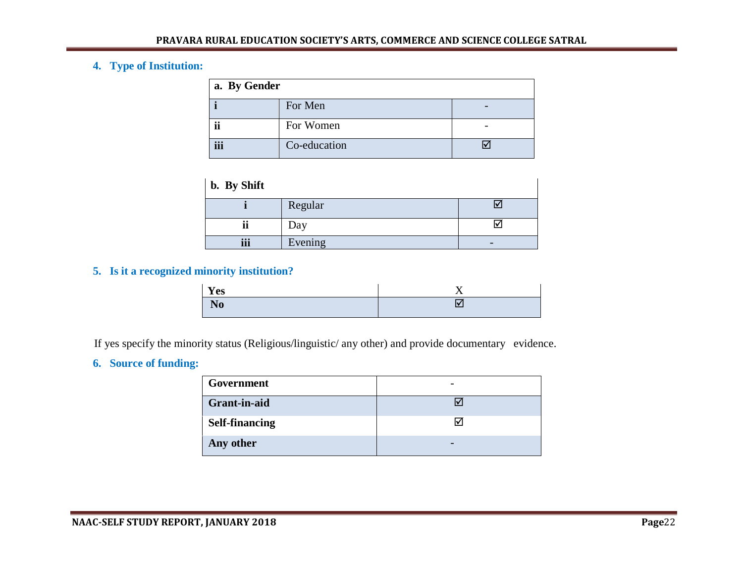# **4. Type of Institution:**

| a. By Gender |              |  |  |
|--------------|--------------|--|--|
|              | For Men      |  |  |
| ii           | For Women    |  |  |
| iii          | Co-education |  |  |

| b. By Shift                  |         |    |
|------------------------------|---------|----|
|                              | Regular |    |
| $\bullet\bullet$<br>11       | Day     | I۷ |
| $\bullet\bullet\bullet$<br>Ш | Evening | -  |

# **5. Is it a recognized minority institution?**

| Yes                              | - - |
|----------------------------------|-----|
| $\overline{ }$<br>N <sub>0</sub> | Ιv  |

If yes specify the minority status (Religious/linguistic/ any other) and provide documentary evidence.

# **6. Source of funding:**

| Government            |  |
|-----------------------|--|
| <b>Grant-in-aid</b>   |  |
| <b>Self-financing</b> |  |
| Any other             |  |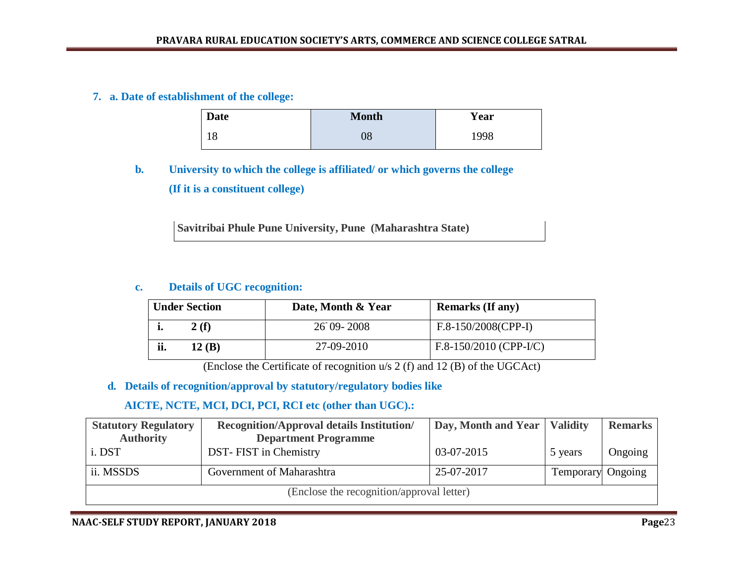## **7. a. Date of establishment of the college:**

| <b>Date</b> | <b>Month</b> | Year |
|-------------|--------------|------|
| ı O<br>10   | $08\,$       | 1998 |

# **b. University to which the college is affiliated/ or which governs the college (If it is a constituent college)**

**Savitribai Phule Pune University, Pune (Maharashtra State)**

### **c. Details of UGC recognition:**

|     | <b>Under Section</b> | Date, Month & Year | <b>Remarks (If any)</b>  |
|-----|----------------------|--------------------|--------------------------|
|     | 2(f)                 | $26$ 09-2008       | $F.8-150/2008(CPP-I)$    |
| ii. | 12(B)                | 27-09-2010         | $F.8-150/2010$ (CPP-I/C) |

(Enclose the Certificate of recognition u/s 2 (f) and 12 (B) of the UGCAct)

## **d. Details of recognition/approval by statutory/regulatory bodies like**

# **AICTE, NCTE, MCI, DCI, PCI, RCI etc (other than UGC).:**

| <b>Statutory Regulatory</b>               | <b>Recognition/Approval details Institution/</b> | Day, Month and Year   Validity |                          | <b>Remarks</b> |
|-------------------------------------------|--------------------------------------------------|--------------------------------|--------------------------|----------------|
| <b>Authority</b>                          | <b>Department Programme</b>                      |                                |                          |                |
| i. DST                                    | DST-FIST in Chemistry                            | 03-07-2015                     | 5 years                  | Ongoing        |
| ii. MSSDS                                 | Government of Maharashtra                        | 25-07-2017                     | <b>Temporary</b> Ongoing |                |
| (Enclose the recognition/approval letter) |                                                  |                                |                          |                |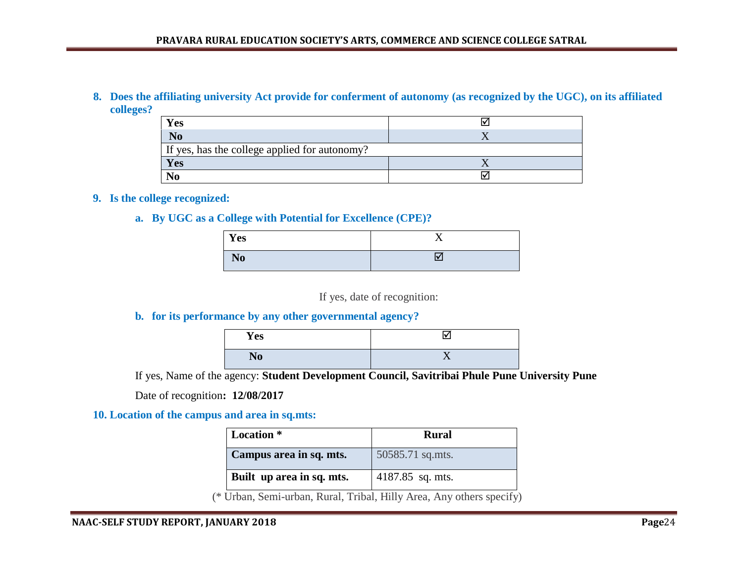#### **8. Does the affiliating university Act provide for conferment of autonomy (as recognized by the UGC), on its affiliated colleges?**

| <b>Yes</b>                                    |  |  |
|-----------------------------------------------|--|--|
| $\bf N0$                                      |  |  |
| If yes, has the college applied for autonomy? |  |  |
| Yes                                           |  |  |
|                                               |  |  |

#### **9. Is the college recognized:**

#### **a. By UGC as a College with Potential for Excellence (CPE)?**

| Yes            | . . |
|----------------|-----|
| N <sub>0</sub> |     |

If yes, date of recognition:

## **b. for its performance by any other governmental agency?**

| Yes            | l۷ |
|----------------|----|
| N <sub>0</sub> |    |

If yes, Name of the agency: **Student Development Council, Savitribai Phule Pune University Pune** 

Date of recognition**: 12/08/2017**

#### **10. Location of the campus and area in sq.mts:**

| <b>Location</b> *         | <b>Rural</b>     |
|---------------------------|------------------|
| Campus area in sq. mts.   | 50585.71 sq.mts. |
| Built up area in sq. mts. | 4187.85 sq. mts. |

(\* Urban, Semi-urban, Rural, Tribal, Hilly Area, Any others specify)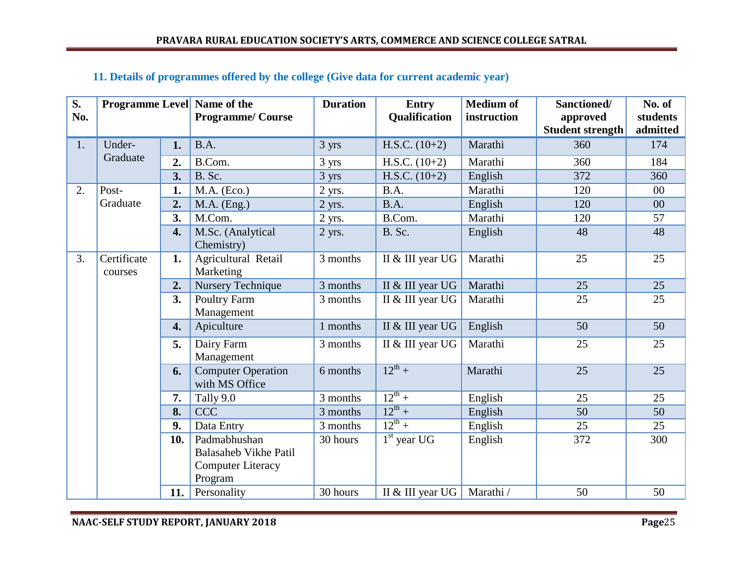| S.  | <b>Programme Level</b> Name of the |                  |                                             | <b>Duration</b> | <b>Entry</b>                       | <b>Medium of</b> | Sanctioned/             | No. of   |
|-----|------------------------------------|------------------|---------------------------------------------|-----------------|------------------------------------|------------------|-------------------------|----------|
| No. |                                    |                  | <b>Programme/Course</b>                     |                 | <b>Qualification</b>               | instruction      | approved                | students |
|     |                                    |                  |                                             |                 |                                    |                  | <b>Student strength</b> | admitted |
| 1.  | Under-                             | 1.               | B.A.                                        | 3 yrs           | H.S.C. $(10+2)$                    | Marathi          | 360                     | 174      |
|     | Graduate                           | $\overline{2}$ . | B.Com.                                      | 3 yrs           | H.S.C. $(10+2)$                    | Marathi          | 360                     | 184      |
|     |                                    | 3.               | B. Sc.                                      | 3 yrs           | H.S.C. $(10+2)$                    | English          | 372                     | 360      |
| 2.  | Post-                              | 1.               | $M.A.$ (Eco.)                               | 2 yrs.          | B.A.                               | Marathi          | 120                     | $00\,$   |
|     | Graduate                           | $\overline{2}$ . | $M.A.$ (Eng.)                               | $2$ yrs.        | B.A.                               | English          | 120                     | 00       |
|     |                                    | 3.               | M.Com.                                      | 2 yrs.          | B.Com.                             | Marathi          | 120                     | 57       |
|     |                                    | 4.               | M.Sc. (Analytical<br>Chemistry)             | $2$ yrs.        | B. Sc.                             | English          | 48                      | 48       |
| 3.  | Certificate<br>courses             | 1.               | Agricultural Retail<br>Marketing            | 3 months        | II & III year UG                   | Marathi          | 25                      | 25       |
|     |                                    | $\overline{2}$ . | Nursery Technique                           | 3 months        | II & III year UG                   | Marathi          | 25                      | 25       |
|     |                                    | 3.               | Poultry Farm<br>Management                  | 3 months        | II & III year UG                   | Marathi          | 25                      | 25       |
|     |                                    | 4.               | Apiculture                                  | 1 months        | II & III year UG                   | English          | 50                      | 50       |
|     |                                    | 5.               | Dairy Farm<br>Management                    | 3 months        | II & III year UG                   | Marathi          | 25                      | 25       |
|     |                                    | 6.               | <b>Computer Operation</b><br>with MS Office | 6 months        | $12^{th} +$                        | Marathi          | 25                      | 25       |
|     |                                    | 7.               | Tally 9.0                                   | 3 months        | $\frac{12^{th} + }{12^{th} + }$    | English          | 25                      | 25       |
|     |                                    | 8.               | <b>CCC</b>                                  | 3 months        | $12^{th} +$                        | English          | 50                      | 50       |
|     |                                    | 9.               | Data Entry                                  | 3 months        | $12^{th} +$                        | English          | 25                      | 25       |
|     |                                    | 10.              | Padmabhushan                                | 30 hours        | $\overline{1}^{\text{st}}$ year UG | English          | 372                     | 300      |
|     |                                    |                  | <b>Balasaheb Vikhe Patil</b>                |                 |                                    |                  |                         |          |
|     |                                    |                  | <b>Computer Literacy</b>                    |                 |                                    |                  |                         |          |
|     |                                    |                  | Program                                     |                 |                                    |                  |                         |          |
|     |                                    | 11.              | Personality                                 | 30 hours        | II & III year UG                   | Marathi /        | 50                      | 50       |

# **11. Details of programmes offered by the college (Give data for current academic year)**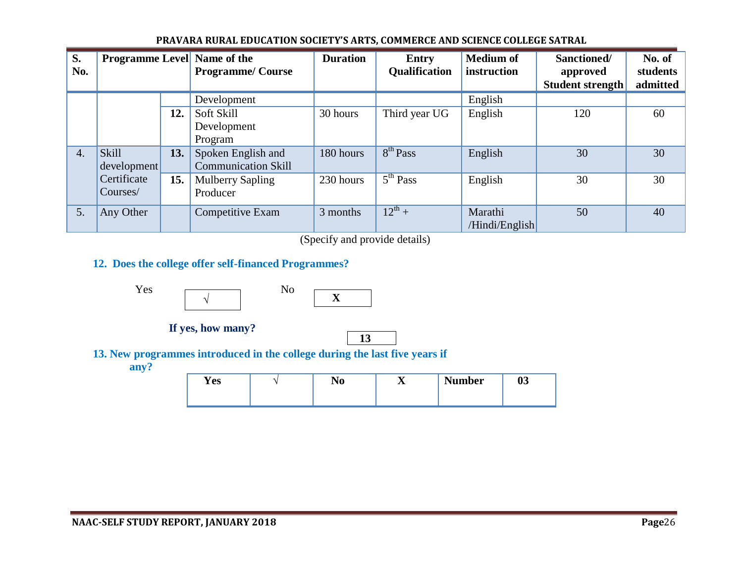| S.<br>No. | <b>Programme Level Name of the</b> |     | <b>Programme/Course</b>                          | <b>Duration</b> | Entry<br>Qualification | <b>Medium of</b><br>instruction | Sanctioned/<br>approved<br><b>Student strength</b> | No. of<br>students<br>admitted |
|-----------|------------------------------------|-----|--------------------------------------------------|-----------------|------------------------|---------------------------------|----------------------------------------------------|--------------------------------|
|           |                                    |     | Development                                      |                 |                        | English                         |                                                    |                                |
|           |                                    | 12. | Soft Skill<br>Development<br>Program             | 30 hours        | Third year UG          | English                         | 120                                                | 60                             |
| 4.        | <b>Skill</b><br>development        | 13. | Spoken English and<br><b>Communication Skill</b> | 180 hours       | 8 <sup>th</sup> Pass   | English                         | 30                                                 | 30                             |
|           | Certificate<br>Courses/            | 15. | <b>Mulberry Sapling</b><br>Producer              | 230 hours       | 5 <sup>th</sup> Pass   | English                         | 30                                                 | 30                             |
| 5.        | Any Other                          |     | Competitive Exam                                 | 3 months        | $12^{th} +$            | Marathi<br>/Hindi/English       | 50                                                 | 40                             |

#### **PRAVARA RURAL EDUCATION SOCIETY'S ARTS, COMMERCE AND SCIENCE COLLEGE SATRAL**

(Specify and provide details)

# **12. Does the college offer self-financed Programmes?**





**If yes, how many?** 



**13. New programmes introduced in the college during the last five years if** 

 **any?**

| <b>Yes</b> | w | -- | <b>Number</b> | $\mathbf{A}$<br>vJ |
|------------|---|----|---------------|--------------------|
|            |   |    |               |                    |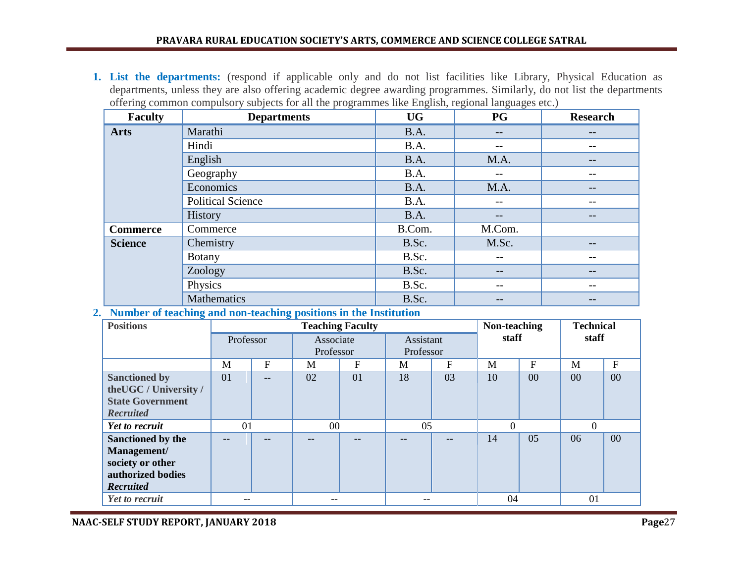#### **PRAVARA RURAL EDUCATION SOCIETY'S ARTS, COMMERCE AND SCIENCE COLLEGE SATRAL**

**1. List the departments:** (respond if applicable only and do not list facilities like Library, Physical Education as departments, unless they are also offering academic degree awarding programmes. Similarly, do not list the departments offering common compulsory subjects for all the programmes like English, regional languages etc.)

| <b>Faculty</b>  | <b>Departments</b>       | <b>UG</b> | <b>PG</b> | <b>Research</b> |
|-----------------|--------------------------|-----------|-----------|-----------------|
| <b>Arts</b>     | Marathi                  | B.A.      | --        | --              |
|                 | Hindi                    | B.A.      | --        | --              |
|                 | English                  | B.A.      | M.A.      | --              |
|                 | Geography                | B.A.      | $- -$     | --              |
|                 | Economics                | B.A.      | M.A.      | --              |
|                 | <b>Political Science</b> | B.A.      | --        | --              |
|                 | History                  | B.A.      | --        | --              |
| <b>Commerce</b> | Commerce                 | B.Com.    | M.Com.    |                 |
| <b>Science</b>  | Chemistry                | B.Sc.     | M.Sc.     | --              |
|                 | <b>Botany</b>            | B.Sc.     | $- -$     | --              |
|                 | Zoology                  | B.Sc.     | $- -$     | --              |
|                 | Physics                  | B.Sc.     | $- -$     | --              |
|                 | Mathematics              | B.Sc.     | $- -$     | --              |

#### **2. Number of teaching and non-teaching positions in the Institution**

| <b>Positions</b>        |           |                | <b>Teaching Faculty</b> |    | Non-teaching |    | <b>Technical</b> |              |                |        |
|-------------------------|-----------|----------------|-------------------------|----|--------------|----|------------------|--------------|----------------|--------|
|                         | Professor |                | Associate               |    | Assistant    |    | staff            |              | staff          |        |
|                         |           |                | Professor               |    | Professor    |    |                  |              |                |        |
|                         | M         | $\overline{F}$ | M                       | F  | M            | F  | M                | $\mathbf{F}$ | M              | F      |
| <b>Sanctioned by</b>    | 01        |                | 02                      | 01 | 18           | 03 | 10               | 00           | 00             | 00     |
| the UGC / University /  |           |                |                         |    |              |    |                  |              |                |        |
| <b>State Government</b> |           |                |                         |    |              |    |                  |              |                |        |
| <b>Recruited</b>        |           |                |                         |    |              |    |                  |              |                |        |
| Yet to recruit          | 01        |                | 00                      |    | 05           |    |                  |              | $\overline{0}$ |        |
| Sanctioned by the       |           |                |                         |    |              |    | 14               | 05           | 06             | $00\,$ |
| Management/             |           |                |                         |    |              |    |                  |              |                |        |
| society or other        |           |                |                         |    |              |    |                  |              |                |        |
| authorized bodies       |           |                |                         |    |              |    |                  |              |                |        |
| Recruited               |           |                |                         |    |              |    |                  |              |                |        |
| Yet to recruit          | --        |                |                         |    | --           |    | 04               |              | 01             |        |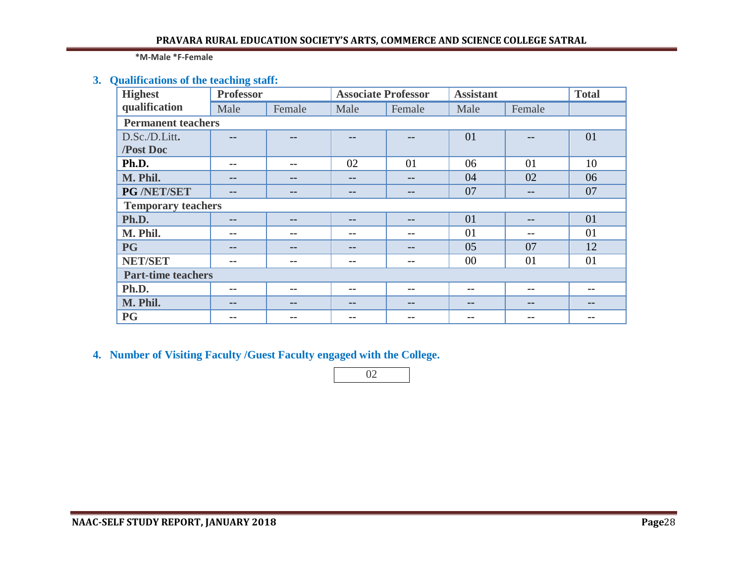**\*M-Male \*F-Female**

# **3. Qualifications of the teaching staff:**

| <b>Highest</b>            | <b>Professor</b>          |        | <b>Associate Professor</b> |        | <b>Assistant</b> | <b>Total</b> |    |  |  |
|---------------------------|---------------------------|--------|----------------------------|--------|------------------|--------------|----|--|--|
| qualification             | Male                      | Female | Male                       | Female | Male             | Female       |    |  |  |
| <b>Permanent teachers</b> |                           |        |                            |        |                  |              |    |  |  |
| D.Sc./D.Litt.             |                           |        |                            |        | 01               |              | 01 |  |  |
| /Post Doc                 |                           |        |                            |        |                  |              |    |  |  |
| Ph.D.                     | --                        | --     | 02                         | 01     | 06               | 01           | 10 |  |  |
| M. Phil.                  | --                        |        | $- -$                      | $- -$  | 04               | 02           | 06 |  |  |
| PG /NET/SET               | --                        | --     | $- -$                      | --     | 07               | $- -$        | 07 |  |  |
| <b>Temporary teachers</b> |                           |        |                            |        |                  |              |    |  |  |
| Ph.D.                     | $- -$                     | $- -$  | $- -$                      | $- -$  | 01               | $- -$        | 01 |  |  |
| M. Phil.                  | --                        | --     | $- -$                      | --     | 01               | $- -$        | 01 |  |  |
| <b>PG</b>                 | --                        | --     | $- -$                      | $- -$  | 05               | 07           | 12 |  |  |
| <b>NET/SET</b>            | $ -$                      | $- -$  | $- -$                      | --     | $00\,$           | 01           | 01 |  |  |
|                           | <b>Part-time teachers</b> |        |                            |        |                  |              |    |  |  |
| Ph.D.                     | $- -$                     | $- -$  | $- -$                      | --     | $ -$             | $- -$        | -- |  |  |
| M. Phil.                  | --                        |        | --                         |        | --               | --           |    |  |  |
| <b>PG</b>                 |                           |        |                            |        |                  |              |    |  |  |

**4. Number of Visiting Faculty /Guest Faculty engaged with the College.** 

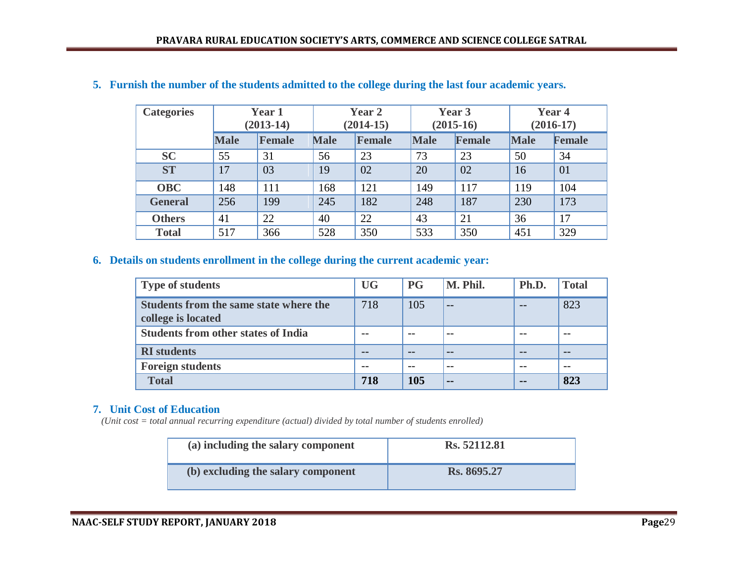| <b>Categories</b> |             | Year 1<br>$(2013-14)$ |             | Year 2<br>$(2014-15)$ |             | Year 3<br>$(2015-16)$ |             | Year 4<br>$(2016-17)$ |  |
|-------------------|-------------|-----------------------|-------------|-----------------------|-------------|-----------------------|-------------|-----------------------|--|
|                   | <b>Male</b> | <b>Female</b>         | <b>Male</b> | <b>Female</b>         | <b>Male</b> | Female                | <b>Male</b> | Female                |  |
| <b>SC</b>         | 55          | 31                    | 56          | 23                    | 73          | 23                    | 50          | 34                    |  |
| <b>ST</b>         | 17          | 03                    | 19          | 02                    | 20          | 02                    | 16          | 01                    |  |
| <b>OBC</b>        | 148         | 111                   | 168         | 121                   | 149         | 117                   | 119         | 104                   |  |
| <b>General</b>    | 256         | 199                   | 245         | 182                   | 248         | 187                   | 230         | 173                   |  |
| <b>Others</b>     | 41          | 22                    | 40          | 22                    | 43          | 21                    | 36          | 17                    |  |
| <b>Total</b>      | 517         | 366                   | 528         | 350                   | 533         | 350                   | 451         | 329                   |  |

#### **5. Furnish the number of the students admitted to the college during the last four academic years.**

### **6. Details on students enrollment in the college during the current academic year:**

| <b>Type of students</b>                                      | <b>UG</b> | <b>PG</b> | M. Phil.      | Ph.D. | <b>Total</b> |
|--------------------------------------------------------------|-----------|-----------|---------------|-------|--------------|
| Students from the same state where the<br>college is located | 718       | 105       | $- -$         |       | 823          |
| <b>Students from other states of India</b>                   |           |           |               |       |              |
| <b>RI</b> students                                           | --        | $ -$      | --            |       | --           |
| <b>Foreign students</b>                                      | --        | $- -$     | $- -$         |       | $- -$        |
| <b>Total</b>                                                 | 718       | 105       | $\sim$ $\sim$ | --    | 823          |

## **7. Unit Cost of Education**

*(Unit cost = total annual recurring expenditure (actual) divided by total number of students enrolled)*

| (a) including the salary component | Rs. 52112.81 |
|------------------------------------|--------------|
| (b) excluding the salary component | Rs. 8695.27  |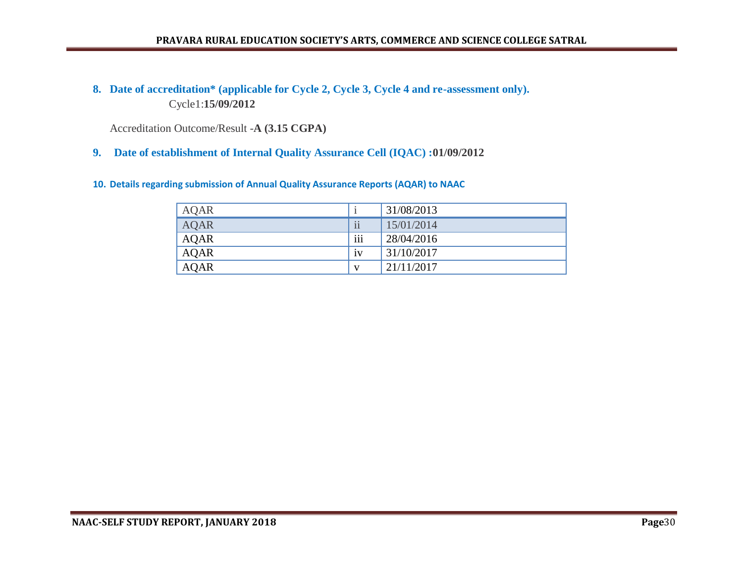#### **PRAVARA RURAL EDUCATION SOCIETY'S ARTS, COMMERCE AND SCIENCE COLLEGE SATRAL**

# **8. Date of accreditation\* (applicable for Cycle 2, Cycle 3, Cycle 4 and re-assessment only).** Cycle1:**15/09/2012**

Accreditation Outcome/Result -**A (3.15 CGPA)**

#### **9. Date of establishment of Internal Quality Assurance Cell (IQAC) :01/09/2012**

#### **10. Details regarding submission of Annual Quality Assurance Reports (AQAR) to NAAC**

| <b>AQAR</b> |                         | 31/08/2013 |
|-------------|-------------------------|------------|
| <b>AQAR</b> | $\overline{\textbf{i}}$ | 15/01/2014 |
| <b>AQAR</b> | $\cdots$<br>111         | 28/04/2016 |
| <b>AQAR</b> | iv                      | 31/10/2017 |
| <b>AQAR</b> | V                       | 21/11/2017 |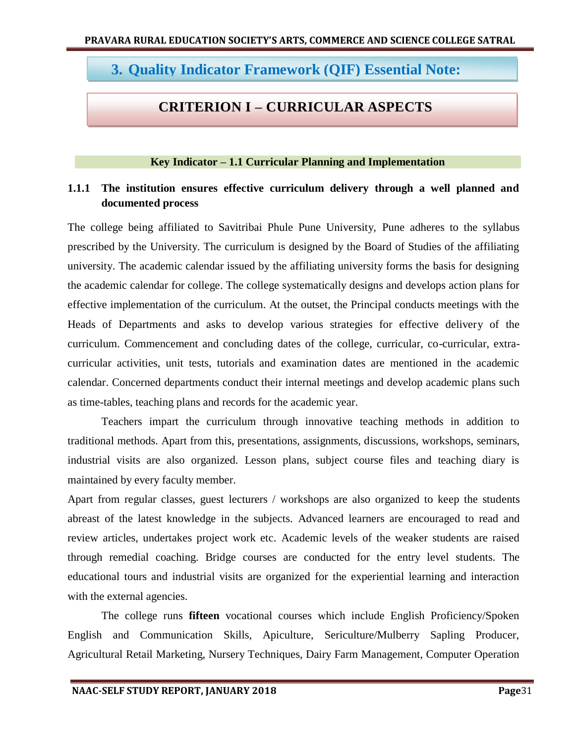# **3. Quality Indicator Framework (QIF) Essential Note:**

# **CRITERION I – CURRICULAR ASPECTS**

### **Key Indicator – 1.1 Curricular Planning and Implementation**

# **1.1.1 The institution ensures effective curriculum delivery through a well planned and documented process**

The college being affiliated to Savitribai Phule Pune University, Pune adheres to the syllabus prescribed by the University. The curriculum is designed by the Board of Studies of the affiliating university. The academic calendar issued by the affiliating university forms the basis for designing the academic calendar for college. The college systematically designs and develops action plans for effective implementation of the curriculum. At the outset, the Principal conducts meetings with the Heads of Departments and asks to develop various strategies for effective delivery of the curriculum. Commencement and concluding dates of the college, curricular, co-curricular, extracurricular activities, unit tests, tutorials and examination dates are mentioned in the academic calendar. Concerned departments conduct their internal meetings and develop academic plans such as time-tables, teaching plans and records for the academic year.

Teachers impart the curriculum through innovative teaching methods in addition to traditional methods. Apart from this, presentations, assignments, discussions, workshops, seminars, industrial visits are also organized. Lesson plans, subject course files and teaching diary is maintained by every faculty member.

Apart from regular classes, guest lecturers / workshops are also organized to keep the students abreast of the latest knowledge in the subjects. Advanced learners are encouraged to read and review articles, undertakes project work etc. Academic levels of the weaker students are raised through remedial coaching. Bridge courses are conducted for the entry level students. The educational tours and industrial visits are organized for the experiential learning and interaction with the external agencies.

The college runs **fifteen** vocational courses which include English Proficiency/Spoken English and Communication Skills, Apiculture, Sericulture/Mulberry Sapling Producer, Agricultural Retail Marketing, Nursery Techniques, Dairy Farm Management, Computer Operation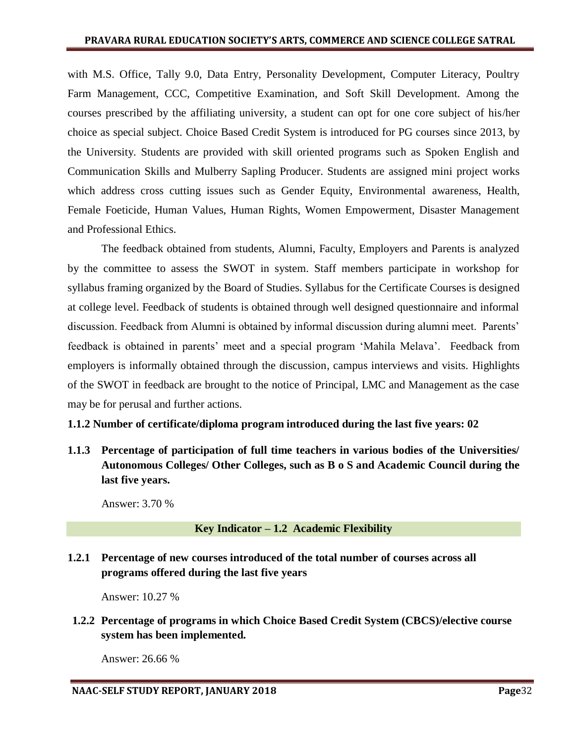with M.S. Office, Tally 9.0, Data Entry, Personality Development, Computer Literacy, Poultry Farm Management, CCC, Competitive Examination, and Soft Skill Development. Among the courses prescribed by the affiliating university, a student can opt for one core subject of his/her choice as special subject. Choice Based Credit System is introduced for PG courses since 2013, by the University. Students are provided with skill oriented programs such as Spoken English and Communication Skills and Mulberry Sapling Producer. Students are assigned mini project works which address cross cutting issues such as Gender Equity, Environmental awareness, Health, Female Foeticide, Human Values, Human Rights, Women Empowerment, Disaster Management and Professional Ethics.

The feedback obtained from students, Alumni, Faculty, Employers and Parents is analyzed by the committee to assess the SWOT in system. Staff members participate in workshop for syllabus framing organized by the Board of Studies. Syllabus for the Certificate Courses is designed at college level. Feedback of students is obtained through well designed questionnaire and informal discussion. Feedback from Alumni is obtained by informal discussion during alumni meet. Parents" feedback is obtained in parents' meet and a special program 'Mahila Melava'. Feedback from employers is informally obtained through the discussion, campus interviews and visits. Highlights of the SWOT in feedback are brought to the notice of Principal, LMC and Management as the case may be for perusal and further actions.

## **1.1.2 Number of certificate/diploma program introduced during the last five years: 02**

**1.1.3 Percentage of participation of full time teachers in various bodies of the Universities/ Autonomous Colleges/ Other Colleges, such as B o S and Academic Council during the last five years.** 

Answer: 3.70 %

## **Key Indicator – 1.2 Academic Flexibility**

# **1.2.1 Percentage of new courses introduced of the total number of courses across all programs offered during the last five years**

Answer: 10.27 %

**1.2.2 Percentage of programs in which Choice Based Credit System (CBCS)/elective course system has been implemented.** 

Answer: 26.66 %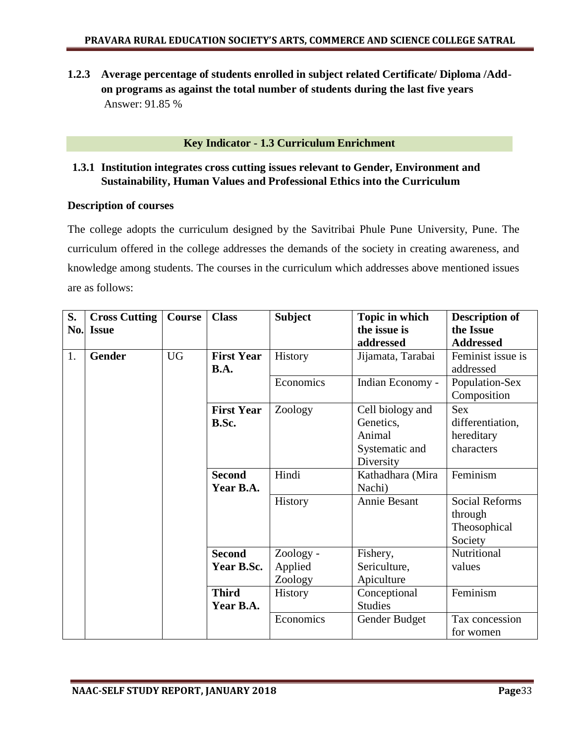**1.2.3 Average percentage of students enrolled in subject related Certificate/ Diploma /Addon programs as against the total number of students during the last five years** Answer: 91.85 %

## **Key Indicator - 1.3 Curriculum Enrichment**

## **1.3.1 Institution integrates cross cutting issues relevant to Gender, Environment and Sustainability, Human Values and Professional Ethics into the Curriculum**

#### **Description of courses**

The college adopts the curriculum designed by the Savitribai Phule Pune University, Pune. The curriculum offered in the college addresses the demands of the society in creating awareness, and knowledge among students. The courses in the curriculum which addresses above mentioned issues are as follows:

| S.<br>No. | <b>Cross Cutting</b><br><b>Issue</b> | <b>Course</b> | <b>Class</b>               | <b>Subject</b> | Topic in which<br>the issue is                                         | <b>Description of</b><br>the Issue                          |
|-----------|--------------------------------------|---------------|----------------------------|----------------|------------------------------------------------------------------------|-------------------------------------------------------------|
|           |                                      |               |                            |                | addressed                                                              | <b>Addressed</b>                                            |
| 1.        | <b>Gender</b>                        | <b>UG</b>     | <b>First Year</b><br>B.A.  | History        | Jijamata, Tarabai                                                      | Feminist issue is<br>addressed                              |
|           |                                      |               |                            | Economics      | Indian Economy -                                                       | Population-Sex<br>Composition                               |
|           |                                      |               | <b>First Year</b><br>B.Sc. | Zoology        | Cell biology and<br>Genetics,<br>Animal<br>Systematic and<br>Diversity | <b>Sex</b><br>differentiation,<br>hereditary<br>characters  |
|           |                                      |               | <b>Second</b><br>Year B.A. | Hindi          | Kathadhara (Mira<br>Nachi)                                             | Feminism                                                    |
|           |                                      |               |                            | History        | Annie Besant                                                           | <b>Social Reforms</b><br>through<br>Theosophical<br>Society |
|           |                                      |               | <b>Second</b>              | Zoology -      | Fishery,                                                               | Nutritional                                                 |
|           |                                      |               | Year B.Sc.                 | Applied        | Sericulture,                                                           | values                                                      |
|           |                                      |               |                            | Zoology        | Apiculture                                                             |                                                             |
|           |                                      |               | <b>Third</b>               | History        | Conceptional                                                           | Feminism                                                    |
|           |                                      |               | Year B.A.                  |                | <b>Studies</b>                                                         |                                                             |
|           |                                      |               |                            | Economics      | Gender Budget                                                          | Tax concession<br>for women                                 |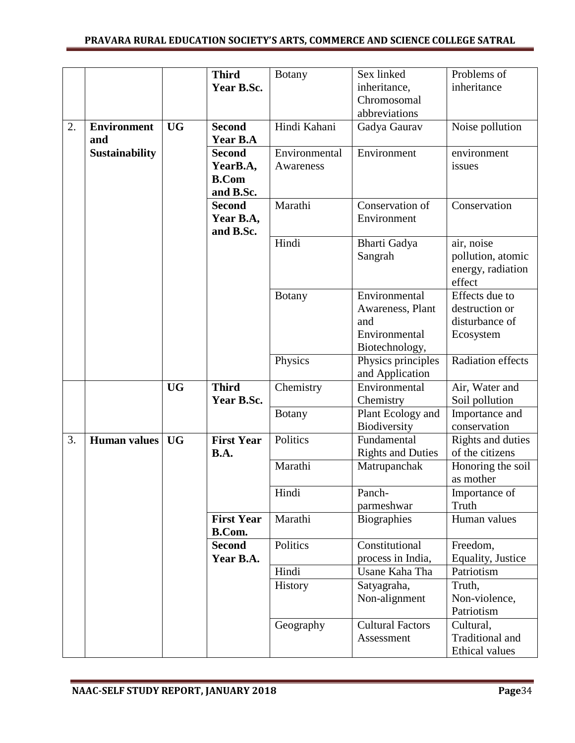|    |                           |           | <b>Third</b><br>Year B.Sc.                             | <b>Botany</b>              | Sex linked<br>inheritance,<br>Chromosomal<br>abbreviations                  | Problems of<br>inheritance                                      |
|----|---------------------------|-----------|--------------------------------------------------------|----------------------------|-----------------------------------------------------------------------------|-----------------------------------------------------------------|
| 2. | <b>Environment</b><br>and | <b>UG</b> | <b>Second</b><br>Year B.A                              | Hindi Kahani               | Gadya Gaurav                                                                | Noise pollution                                                 |
|    | <b>Sustainability</b>     |           | <b>Second</b><br>YearB.A,<br><b>B.Com</b><br>and B.Sc. | Environmental<br>Awareness | Environment                                                                 | environment<br>issues                                           |
|    |                           |           | <b>Second</b><br>Year B.A,<br>and B.Sc.                | Marathi                    | Conservation of<br>Environment                                              | Conservation                                                    |
|    |                           |           |                                                        | Hindi                      | Bharti Gadya<br>Sangrah                                                     | air, noise<br>pollution, atomic<br>energy, radiation<br>effect  |
|    |                           |           |                                                        | <b>Botany</b>              | Environmental<br>Awareness, Plant<br>and<br>Environmental<br>Biotechnology, | Effects due to<br>destruction or<br>disturbance of<br>Ecosystem |
|    |                           |           |                                                        | Physics                    | Physics principles<br>and Application                                       | <b>Radiation effects</b>                                        |
|    |                           | <b>UG</b> | <b>Third</b><br>Year B.Sc.                             | Chemistry                  | Environmental<br>Chemistry                                                  | Air, Water and<br>Soil pollution                                |
|    |                           |           |                                                        | <b>Botany</b>              | Plant Ecology and<br>Biodiversity                                           | Importance and<br>conservation                                  |
| 3. | Human values              | <b>UG</b> | <b>First Year</b><br>B.A.                              | Politics                   | Fundamental<br><b>Rights and Duties</b>                                     | Rights and duties<br>of the citizens                            |
|    |                           |           |                                                        | Marathi                    | Matrupanchak                                                                | Honoring the soil<br>as mother                                  |
|    |                           |           |                                                        | Hindi                      | Panch-<br>parmeshwar                                                        | Importance of<br>Truth                                          |
|    |                           |           | <b>First Year</b><br>B.Com.                            | Marathi                    | Biographies                                                                 | Human values                                                    |
|    |                           |           | <b>Second</b><br>Year B.A.                             | Politics                   | Constitutional<br>process in India,                                         | Freedom,<br>Equality, Justice                                   |
|    |                           |           |                                                        | Hindi                      | Usane Kaha Tha                                                              | Patriotism                                                      |
|    |                           |           |                                                        | History                    | Satyagraha,<br>Non-alignment                                                | Truth,<br>Non-violence,<br>Patriotism                           |
|    |                           |           |                                                        | Geography                  | <b>Cultural Factors</b><br>Assessment                                       | Cultural,<br><b>Traditional</b> and<br><b>Ethical values</b>    |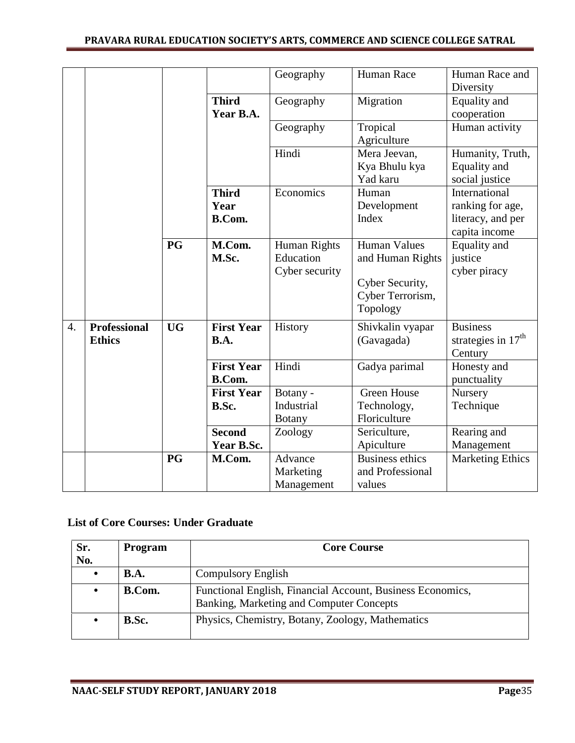### **PRAVARA RURAL EDUCATION SOCIETY'S ARTS, COMMERCE AND SCIENCE COLLEGE SATRAL**

|                  |                                      |           |                                    | Geography                                          | Human Race                                                                                 | Human Race and<br>Diversity                                             |
|------------------|--------------------------------------|-----------|------------------------------------|----------------------------------------------------|--------------------------------------------------------------------------------------------|-------------------------------------------------------------------------|
|                  |                                      |           | <b>Third</b><br>Year B.A.          | Geography                                          | Migration                                                                                  | Equality and<br>cooperation                                             |
|                  |                                      |           |                                    | Geography                                          | Tropical<br>Agriculture                                                                    | Human activity                                                          |
|                  |                                      |           |                                    | Hindi                                              | Mera Jeevan,<br>Kya Bhulu kya<br>Yad karu                                                  | Humanity, Truth,<br>Equality and<br>social justice                      |
|                  |                                      |           | <b>Third</b><br>Year<br>B.Com.     | Economics                                          | Human<br>Development<br>Index                                                              | International<br>ranking for age,<br>literacy, and per<br>capita income |
|                  |                                      | <b>PG</b> | M.Com.<br>M.Sc.                    | <b>Human Rights</b><br>Education<br>Cyber security | <b>Human Values</b><br>and Human Rights<br>Cyber Security,<br>Cyber Terrorism,<br>Topology | Equality and<br>justice<br>cyber piracy                                 |
| $\overline{4}$ . | <b>Professional</b><br><b>Ethics</b> | <b>UG</b> | <b>First Year</b><br><b>B.A.</b>   | History                                            | Shivkalin vyapar<br>(Gavagada)                                                             | <b>Business</b><br>strategies in $17th$<br>Century                      |
|                  |                                      |           | <b>First Year</b><br><b>B.Com.</b> | Hindi                                              | Gadya parimal                                                                              | Honesty and<br>punctuality                                              |
|                  |                                      |           | <b>First Year</b><br>B.Sc.         | Botany -<br>Industrial<br><b>Botany</b>            | <b>Green House</b><br>Technology,<br>Floriculture                                          | Nursery<br>Technique                                                    |
|                  |                                      |           | <b>Second</b><br>Year B.Sc.        | Zoology                                            | Sericulture,<br>Apiculture                                                                 | Rearing and<br>Management                                               |
|                  |                                      | PG        | M.Com.                             | Advance<br>Marketing<br>Management                 | <b>Business ethics</b><br>and Professional<br>values                                       | <b>Marketing Ethics</b>                                                 |

# **List of Core Courses: Under Graduate**

| Sr.<br>No. | Program       | <b>Core Course</b>                                                                                     |
|------------|---------------|--------------------------------------------------------------------------------------------------------|
| $\bullet$  | B.A.          | <b>Compulsory English</b>                                                                              |
|            | <b>B.Com.</b> | Functional English, Financial Account, Business Economics,<br>Banking, Marketing and Computer Concepts |
|            | B.Sc.         | Physics, Chemistry, Botany, Zoology, Mathematics                                                       |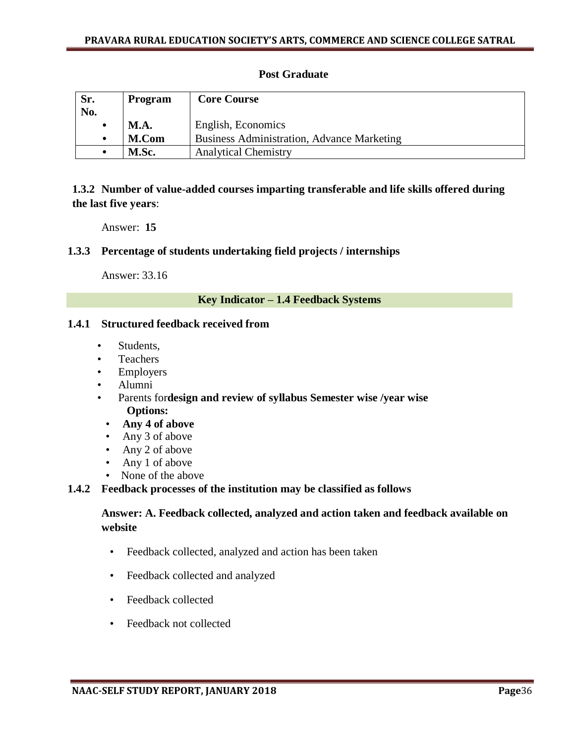## **Post Graduate**

| Sr. | Program     | <b>Core Course</b>                                |
|-----|-------------|---------------------------------------------------|
| No. |             |                                                   |
| ٠   | <b>M.A.</b> | English, Economics                                |
| ٠   | M.Com       | <b>Business Administration, Advance Marketing</b> |
|     | M.Sc.       | <b>Analytical Chemistry</b>                       |

**1.3.2 Number of value-added courses imparting transferable and life skills offered during the last five years**:

Answer: **15**

### **1.3.3 Percentage of students undertaking field projects / internships**

Answer: 33.16

#### **Key Indicator – 1.4 Feedback Systems**

#### **1.4.1 Structured feedback received from**

- Students,
- Teachers
- **Employers**
- Alumni
- Parents for**design and review of syllabus Semester wise /year wise Options:**
	- **Any 4 of above**
	- Any 3 of above
	- Any 2 of above
	- Any 1 of above
	- None of the above

#### **1.4.2 Feedback processes of the institution may be classified as follows**

## **Answer: A. Feedback collected, analyzed and action taken and feedback available on website**

- Feedback collected, analyzed and action has been taken
- Feedback collected and analyzed
- Feedback collected
- Feedback not collected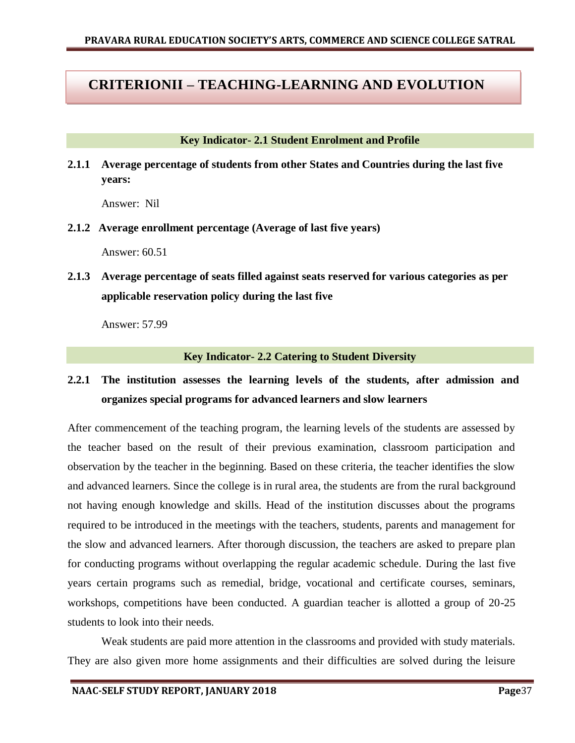# **CRITERIONII – TEACHING-LEARNING AND EVOLUTION**

#### **Key Indicator- 2.1 Student Enrolment and Profile**

**2.1.1 Average percentage of students from other States and Countries during the last five years:** 

Answer: Nil

**2.1.2 Average enrollment percentage (Average of last five years)** 

Answer: 60.51

**2.1.3 Average percentage of seats filled against seats reserved for various categories as per applicable reservation policy during the last five** 

Answer: 57.99

#### **Key Indicator- 2.2 Catering to Student Diversity**

# **2.2.1 The institution assesses the learning levels of the students, after admission and organizes special programs for advanced learners and slow learners**

After commencement of the teaching program, the learning levels of the students are assessed by the teacher based on the result of their previous examination, classroom participation and observation by the teacher in the beginning. Based on these criteria, the teacher identifies the slow and advanced learners. Since the college is in rural area, the students are from the rural background not having enough knowledge and skills. Head of the institution discusses about the programs required to be introduced in the meetings with the teachers, students, parents and management for the slow and advanced learners. After thorough discussion, the teachers are asked to prepare plan for conducting programs without overlapping the regular academic schedule. During the last five years certain programs such as remedial, bridge, vocational and certificate courses, seminars, workshops, competitions have been conducted. A guardian teacher is allotted a group of 20-25 students to look into their needs.

Weak students are paid more attention in the classrooms and provided with study materials. They are also given more home assignments and their difficulties are solved during the leisure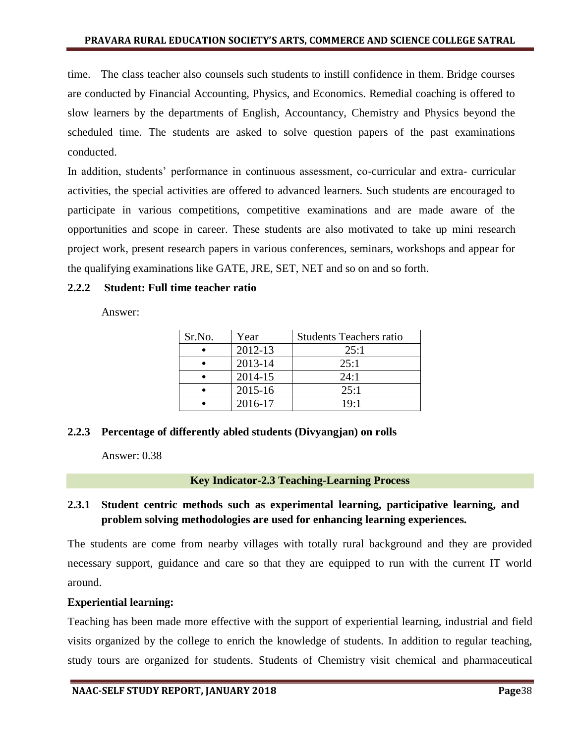time. The class teacher also counsels such students to instill confidence in them. Bridge courses are conducted by Financial Accounting, Physics, and Economics. Remedial coaching is offered to slow learners by the departments of English, Accountancy, Chemistry and Physics beyond the scheduled time. The students are asked to solve question papers of the past examinations conducted.

In addition, students" performance in continuous assessment, co-curricular and extra- curricular activities, the special activities are offered to advanced learners. Such students are encouraged to participate in various competitions, competitive examinations and are made aware of the opportunities and scope in career. These students are also motivated to take up mini research project work, present research papers in various conferences, seminars, workshops and appear for the qualifying examinations like GATE, JRE, SET, NET and so on and so forth.

#### **2.2.2 Student: Full time teacher ratio**

Answer:

| Sr.No.    | Year    | <b>Students Teachers ratio</b> |
|-----------|---------|--------------------------------|
|           | 2012-13 | 25:1                           |
|           | 2013-14 | 25:1                           |
| $\bullet$ | 2014-15 | 24:1                           |
|           | 2015-16 | 25:1                           |
|           | 2016-17 | 19:1                           |

#### **2.2.3 Percentage of differently abled students (Divyangjan) on rolls**

Answer: 0.38

**Key Indicator-2.3 Teaching-Learning Process** 

## **2.3.1 Student centric methods such as experimental learning, participative learning, and problem solving methodologies are used for enhancing learning experiences.**

The students are come from nearby villages with totally rural background and they are provided necessary support, guidance and care so that they are equipped to run with the current IT world around.

#### **Experiential learning:**

Teaching has been made more effective with the support of experiential learning, industrial and field visits organized by the college to enrich the knowledge of students. In addition to regular teaching, study tours are organized for students. Students of Chemistry visit chemical and pharmaceutical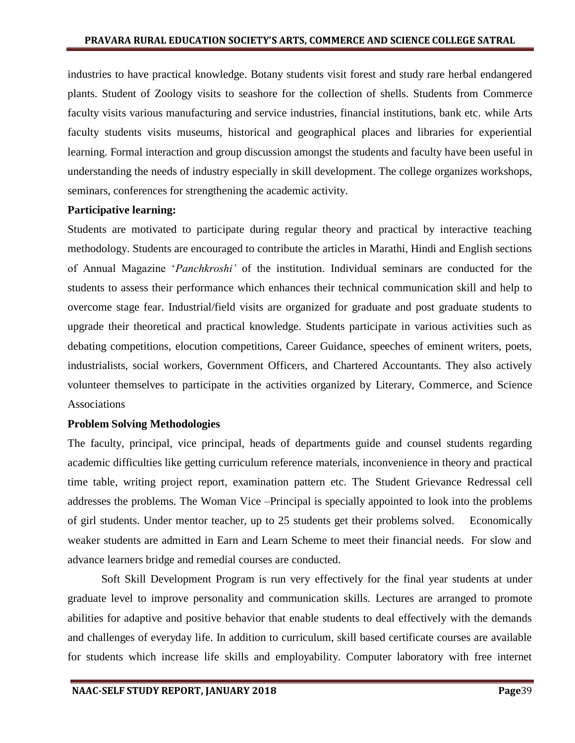industries to have practical knowledge. Botany students visit forest and study rare herbal endangered plants. Student of Zoology visits to seashore for the collection of shells. Students from Commerce faculty visits various manufacturing and service industries, financial institutions, bank etc. while Arts faculty students visits museums, historical and geographical places and libraries for experiential learning. Formal interaction and group discussion amongst the students and faculty have been useful in understanding the needs of industry especially in skill development. The college organizes workshops, seminars, conferences for strengthening the academic activity.

#### **Participative learning:**

Students are motivated to participate during regular theory and practical by interactive teaching methodology. Students are encouraged to contribute the articles in Marathi, Hindi and English sections of Annual Magazine "*Panchkroshi'* of the institution. Individual seminars are conducted for the students to assess their performance which enhances their technical communication skill and help to overcome stage fear. Industrial/field visits are organized for graduate and post graduate students to upgrade their theoretical and practical knowledge. Students participate in various activities such as debating competitions, elocution competitions, Career Guidance, speeches of eminent writers, poets, industrialists, social workers, Government Officers, and Chartered Accountants. They also actively volunteer themselves to participate in the activities organized by Literary, Commerce, and Science Associations

### **Problem Solving Methodologies**

The faculty, principal, vice principal, heads of departments guide and counsel students regarding academic difficulties like getting curriculum reference materials, inconvenience in theory and practical time table, writing project report, examination pattern etc. The Student Grievance Redressal cell addresses the problems. The Woman Vice –Principal is specially appointed to look into the problems of girl students. Under mentor teacher, up to 25 students get their problems solved. Economically weaker students are admitted in Earn and Learn Scheme to meet their financial needs. For slow and advance learners bridge and remedial courses are conducted.

Soft Skill Development Program is run very effectively for the final year students at under graduate level to improve personality and communication skills. Lectures are arranged to promote abilities for adaptive and positive behavior that enable students to deal effectively with the demands and challenges of everyday life. In addition to curriculum, skill based certificate courses are available for students which increase life skills and employability. Computer laboratory with free internet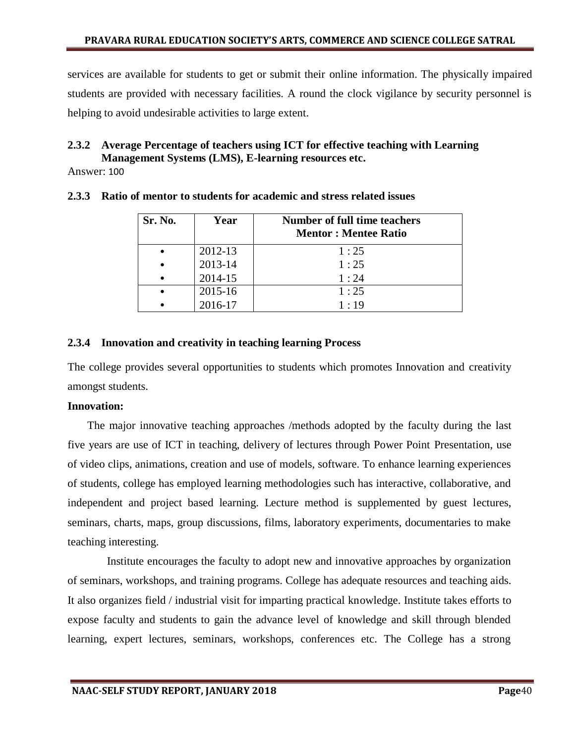services are available for students to get or submit their online information. The physically impaired students are provided with necessary facilities. A round the clock vigilance by security personnel is helping to avoid undesirable activities to large extent.

#### **2.3.2 Average Percentage of teachers using ICT for effective teaching with Learning Management Systems (LMS), E-learning resources etc.**

Answer: 100

| Sr. No. | Year    | Number of full time teachers<br><b>Mentor: Mentee Ratio</b> |
|---------|---------|-------------------------------------------------------------|
|         | 2012-13 | 1:25                                                        |
|         | 2013-14 | 1:25                                                        |
|         | 2014-15 | 1:24                                                        |
|         | 2015-16 | 1:25                                                        |
|         | 2016-17 | 1:19                                                        |

#### **2.3.3 Ratio of mentor to students for academic and stress related issues**

## **2.3.4 Innovation and creativity in teaching learning Process**

The college provides several opportunities to students which promotes Innovation and creativity amongst students.

### **Innovation:**

 The major innovative teaching approaches /methods adopted by the faculty during the last five years are use of ICT in teaching, delivery of lectures through Power Point Presentation, use of video clips, animations, creation and use of models, software. To enhance learning experiences of students, college has employed learning methodologies such has interactive, collaborative, and independent and project based learning. Lecture method is supplemented by guest lectures, seminars, charts, maps, group discussions, films, laboratory experiments, documentaries to make teaching interesting.

 Institute encourages the faculty to adopt new and innovative approaches by organization of seminars, workshops, and training programs. College has adequate resources and teaching aids. It also organizes field / industrial visit for imparting practical knowledge. Institute takes efforts to expose faculty and students to gain the advance level of knowledge and skill through blended learning, expert lectures, seminars, workshops, conferences etc. The College has a strong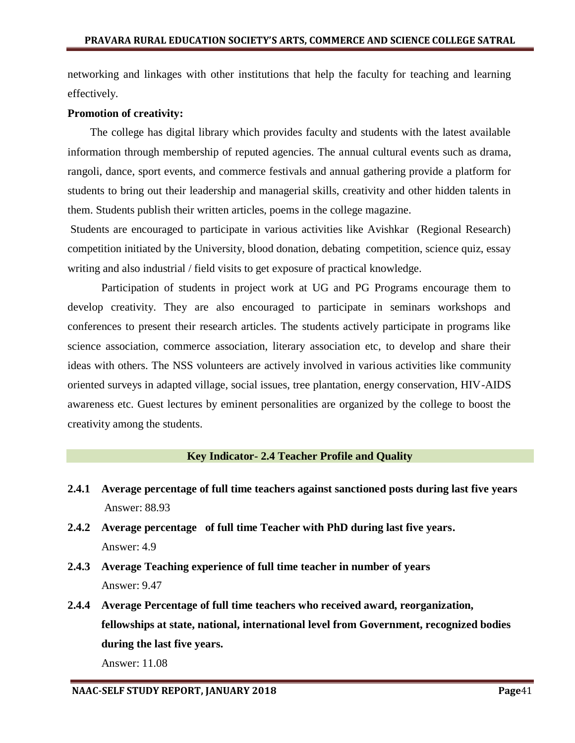networking and linkages with other institutions that help the faculty for teaching and learning effectively.

#### **Promotion of creativity:**

 The college has digital library which provides faculty and students with the latest available information through membership of reputed agencies. The annual cultural events such as drama, rangoli, dance, sport events, and commerce festivals and annual gathering provide a platform for students to bring out their leadership and managerial skills, creativity and other hidden talents in them. Students publish their written articles, poems in the college magazine.

Students are encouraged to participate in various activities like Avishkar (Regional Research) competition initiated by the University, blood donation, debating competition, science quiz, essay writing and also industrial / field visits to get exposure of practical knowledge.

Participation of students in project work at UG and PG Programs encourage them to develop creativity. They are also encouraged to participate in seminars workshops and conferences to present their research articles. The students actively participate in programs like science association, commerce association, literary association etc, to develop and share their ideas with others. The NSS volunteers are actively involved in various activities like community oriented surveys in adapted village, social issues, tree plantation, energy conservation, HIV-AIDS awareness etc. Guest lectures by eminent personalities are organized by the college to boost the creativity among the students.

#### **Key Indicator- 2.4 Teacher Profile and Quality**

- **2.4.1 Average percentage of full time teachers against sanctioned posts during last five years**  Answer: 88.93
- **2.4.2 Average percentage of full time Teacher with PhD during last five years.**  Answer: 4.9
- **2.4.3 Average Teaching experience of full time teacher in number of years**  Answer: 9.47
- **2.4.4 Average Percentage of full time teachers who received award, reorganization, fellowships at state, national, international level from Government, recognized bodies during the last five years.**

Answer: 11.08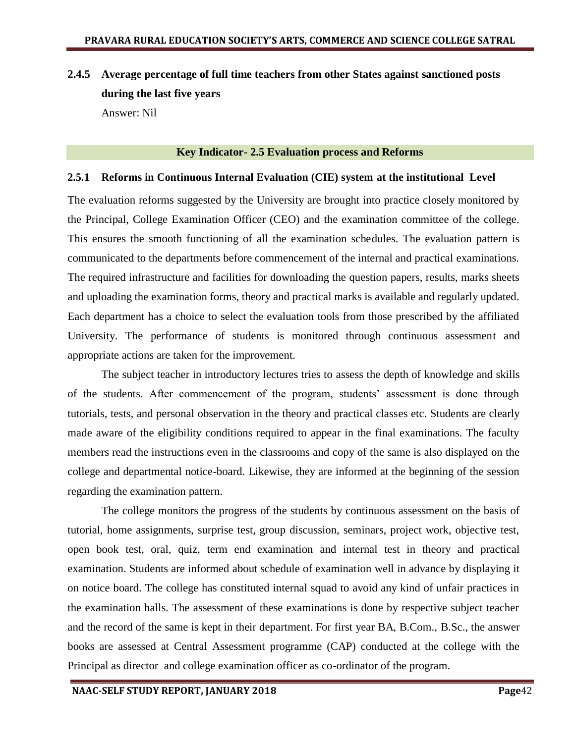# **2.4.5 Average percentage of full time teachers from other States against sanctioned posts during the last five years** Answer: Nil

#### **Key Indicator- 2.5 Evaluation process and Reforms**

#### **2.5.1 Reforms in Continuous Internal Evaluation (CIE) system at the institutional Level**

The evaluation reforms suggested by the University are brought into practice closely monitored by the Principal, College Examination Officer (CEO) and the examination committee of the college. This ensures the smooth functioning of all the examination schedules. The evaluation pattern is communicated to the departments before commencement of the internal and practical examinations. The required infrastructure and facilities for downloading the question papers, results, marks sheets and uploading the examination forms, theory and practical marks is available and regularly updated. Each department has a choice to select the evaluation tools from those prescribed by the affiliated University. The performance of students is monitored through continuous assessment and appropriate actions are taken for the improvement.

The subject teacher in introductory lectures tries to assess the depth of knowledge and skills of the students. After commencement of the program, students" assessment is done through tutorials, tests, and personal observation in the theory and practical classes etc. Students are clearly made aware of the eligibility conditions required to appear in the final examinations. The faculty members read the instructions even in the classrooms and copy of the same is also displayed on the college and departmental notice-board. Likewise, they are informed at the beginning of the session regarding the examination pattern.

The college monitors the progress of the students by continuous assessment on the basis of tutorial, home assignments, surprise test, group discussion, seminars, project work, objective test, open book test, oral, quiz, term end examination and internal test in theory and practical examination. Students are informed about schedule of examination well in advance by displaying it on notice board. The college has constituted internal squad to avoid any kind of unfair practices in the examination halls. The assessment of these examinations is done by respective subject teacher and the record of the same is kept in their department. For first year BA, B.Com., B.Sc., the answer books are assessed at Central Assessment programme (CAP) conducted at the college with the Principal as director and college examination officer as co-ordinator of the program.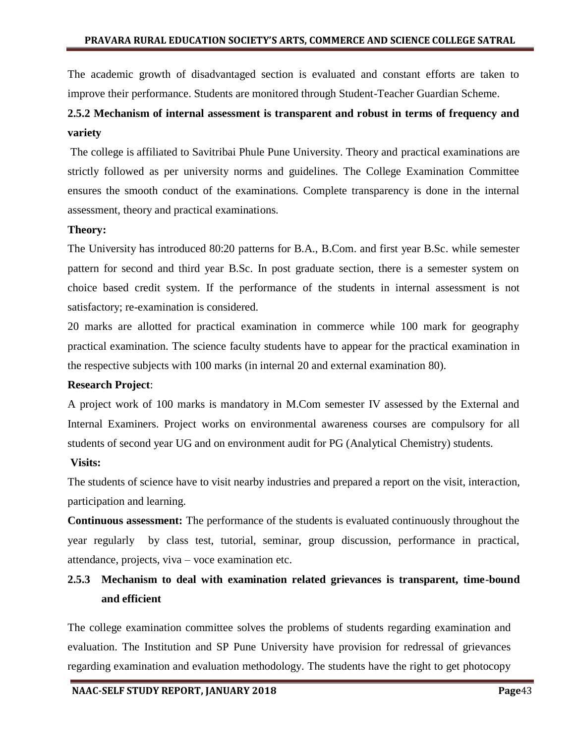The academic growth of disadvantaged section is evaluated and constant efforts are taken to improve their performance. Students are monitored through Student-Teacher Guardian Scheme.

# **2.5.2 Mechanism of internal assessment is transparent and robust in terms of frequency and variety**

The college is affiliated to Savitribai Phule Pune University. Theory and practical examinations are strictly followed as per university norms and guidelines. The College Examination Committee ensures the smooth conduct of the examinations. Complete transparency is done in the internal assessment, theory and practical examinations.

#### **Theory:**

The University has introduced 80:20 patterns for B.A., B.Com. and first year B.Sc. while semester pattern for second and third year B.Sc. In post graduate section, there is a semester system on choice based credit system. If the performance of the students in internal assessment is not satisfactory; re-examination is considered.

20 marks are allotted for practical examination in commerce while 100 mark for geography practical examination. The science faculty students have to appear for the practical examination in the respective subjects with 100 marks (in internal 20 and external examination 80).

#### **Research Project**:

A project work of 100 marks is mandatory in M.Com semester IV assessed by the External and Internal Examiners. Project works on environmental awareness courses are compulsory for all students of second year UG and on environment audit for PG (Analytical Chemistry) students.

### **Visits:**

The students of science have to visit nearby industries and prepared a report on the visit, interaction, participation and learning.

**Continuous assessment:** The performance of the students is evaluated continuously throughout the year regularly by class test, tutorial, seminar, group discussion, performance in practical, attendance, projects, viva – voce examination etc.

# **2.5.3 Mechanism to deal with examination related grievances is transparent, time-bound and efficient**

The college examination committee solves the problems of students regarding examination and evaluation. The Institution and SP Pune University have provision for redressal of grievances regarding examination and evaluation methodology. The students have the right to get photocopy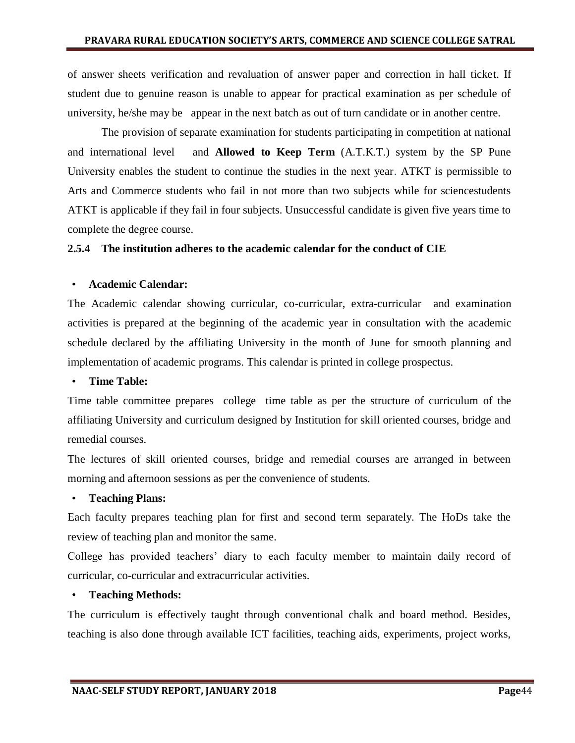of answer sheets verification and revaluation of answer paper and correction in hall ticket. If student due to genuine reason is unable to appear for practical examination as per schedule of university, he/she may be appear in the next batch as out of turn candidate or in another centre.

The provision of separate examination for students participating in competition at national and international level and **Allowed to Keep Term** (A.T.K.T.) system by the SP Pune University enables the student to continue the studies in the next year. ATKT is permissible to Arts and Commerce students who fail in not more than two subjects while for sciencestudents ATKT is applicable if they fail in four subjects. Unsuccessful candidate is given five years time to complete the degree course.

#### **2.5.4 The institution adheres to the academic calendar for the conduct of CIE**

#### • **Academic Calendar:**

The Academic calendar showing curricular, co-curricular, extra-curricular and examination activities is prepared at the beginning of the academic year in consultation with the academic schedule declared by the affiliating University in the month of June for smooth planning and implementation of academic programs. This calendar is printed in college prospectus.

#### • **Time Table:**

Time table committee prepares college time table as per the structure of curriculum of the affiliating University and curriculum designed by Institution for skill oriented courses, bridge and remedial courses.

The lectures of skill oriented courses, bridge and remedial courses are arranged in between morning and afternoon sessions as per the convenience of students.

#### • **Teaching Plans:**

Each faculty prepares teaching plan for first and second term separately. The HoDs take the review of teaching plan and monitor the same.

College has provided teachers' diary to each faculty member to maintain daily record of curricular, co-curricular and extracurricular activities.

#### • **Teaching Methods:**

The curriculum is effectively taught through conventional chalk and board method. Besides, teaching is also done through available ICT facilities, teaching aids, experiments, project works,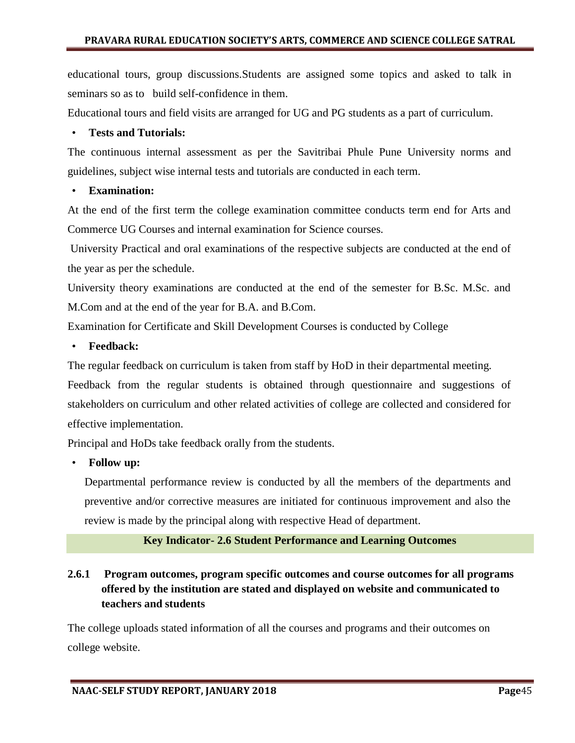educational tours, group discussions.Students are assigned some topics and asked to talk in seminars so as to build self-confidence in them.

Educational tours and field visits are arranged for UG and PG students as a part of curriculum.

#### • **Tests and Tutorials:**

The continuous internal assessment as per the Savitribai Phule Pune University norms and guidelines, subject wise internal tests and tutorials are conducted in each term.

#### • **Examination:**

At the end of the first term the college examination committee conducts term end for Arts and Commerce UG Courses and internal examination for Science courses.

University Practical and oral examinations of the respective subjects are conducted at the end of the year as per the schedule.

University theory examinations are conducted at the end of the semester for B.Sc. M.Sc. and M.Com and at the end of the year for B.A. and B.Com.

Examination for Certificate and Skill Development Courses is conducted by College

#### • **Feedback:**

The regular feedback on curriculum is taken from staff by HoD in their departmental meeting.

Feedback from the regular students is obtained through questionnaire and suggestions of stakeholders on curriculum and other related activities of college are collected and considered for effective implementation.

Principal and HoDs take feedback orally from the students.

### • **Follow up:**

Departmental performance review is conducted by all the members of the departments and preventive and/or corrective measures are initiated for continuous improvement and also the review is made by the principal along with respective Head of department.

### **Key Indicator- 2.6 Student Performance and Learning Outcomes**

## **2.6.1 Program outcomes, program specific outcomes and course outcomes for all programs offered by the institution are stated and displayed on website and communicated to teachers and students**

The college uploads stated information of all the courses and programs and their outcomes on college website.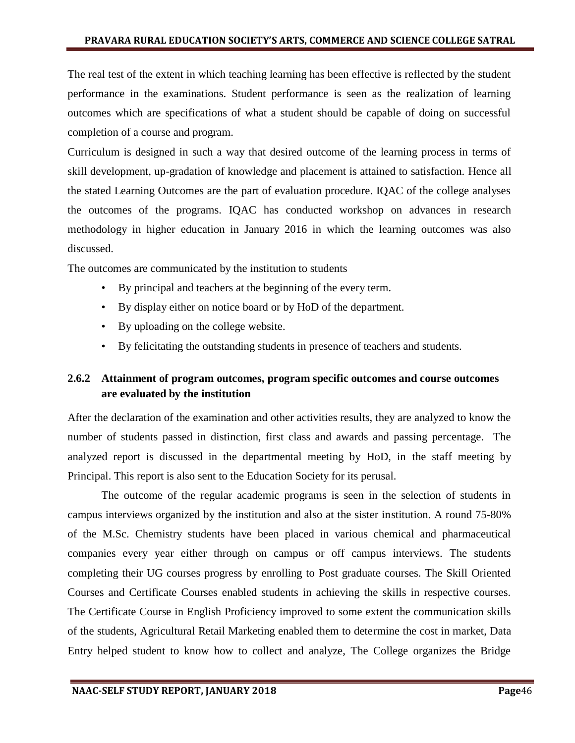The real test of the extent in which teaching learning has been effective is reflected by the student performance in the examinations. Student performance is seen as the realization of learning outcomes which are specifications of what a student should be capable of doing on successful completion of a course and program.

Curriculum is designed in such a way that desired outcome of the learning process in terms of skill development, up-gradation of knowledge and placement is attained to satisfaction. Hence all the stated Learning Outcomes are the part of evaluation procedure. IQAC of the college analyses the outcomes of the programs. IQAC has conducted workshop on advances in research methodology in higher education in January 2016 in which the learning outcomes was also discussed.

The outcomes are communicated by the institution to students

- By principal and teachers at the beginning of the every term.
- By display either on notice board or by HoD of the department.
- By uploading on the college website.
- By felicitating the outstanding students in presence of teachers and students.

## **2.6.2 Attainment of program outcomes, program specific outcomes and course outcomes are evaluated by the institution**

After the declaration of the examination and other activities results, they are analyzed to know the number of students passed in distinction, first class and awards and passing percentage. The analyzed report is discussed in the departmental meeting by HoD, in the staff meeting by Principal. This report is also sent to the Education Society for its perusal.

The outcome of the regular academic programs is seen in the selection of students in campus interviews organized by the institution and also at the sister institution. A round 75-80% of the M.Sc. Chemistry students have been placed in various chemical and pharmaceutical companies every year either through on campus or off campus interviews. The students completing their UG courses progress by enrolling to Post graduate courses. The Skill Oriented Courses and Certificate Courses enabled students in achieving the skills in respective courses. The Certificate Course in English Proficiency improved to some extent the communication skills of the students, Agricultural Retail Marketing enabled them to determine the cost in market, Data Entry helped student to know how to collect and analyze, The College organizes the Bridge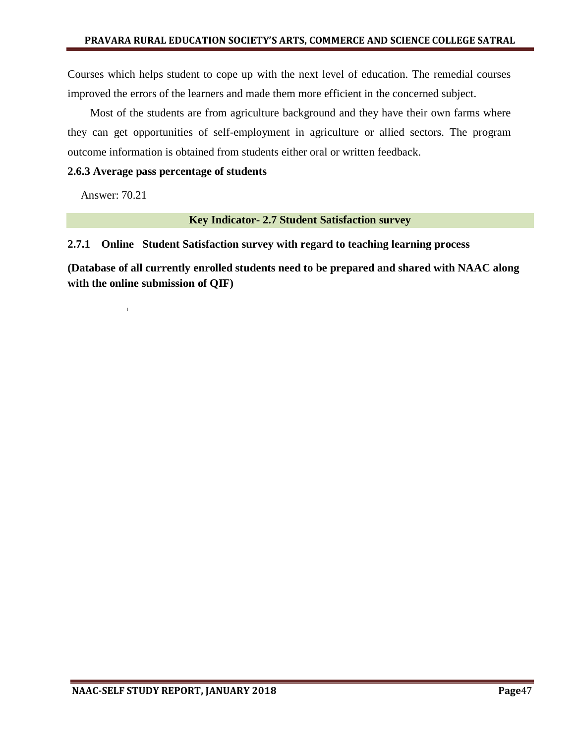Courses which helps student to cope up with the next level of education. The remedial courses improved the errors of the learners and made them more efficient in the concerned subject.

 Most of the students are from agriculture background and they have their own farms where they can get opportunities of self-employment in agriculture or allied sectors. The program outcome information is obtained from students either oral or written feedback.

#### **2.6.3 Average pass percentage of students**

Answer: 70.21

**Key Indicator- 2.7 Student Satisfaction survey**

#### **2.7.1 Online Student Satisfaction survey with regard to teaching learning process**

**(Database of all currently enrolled students need to be prepared and shared with NAAC along with the online submission of QIF)**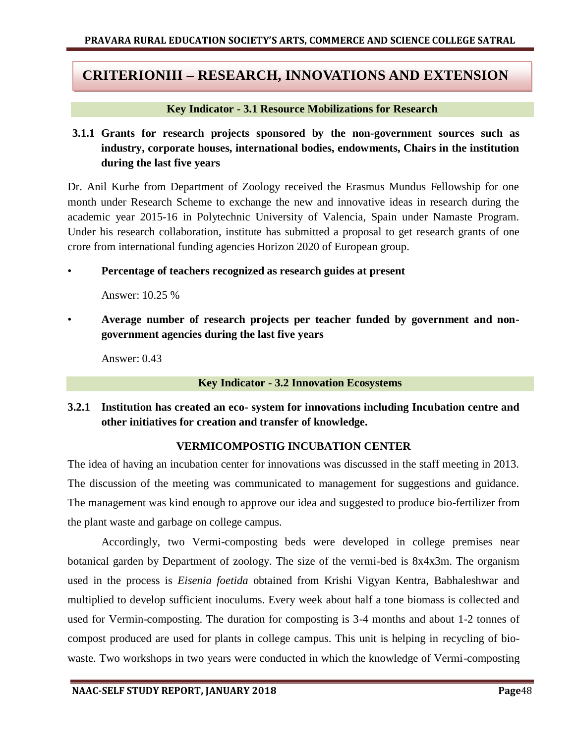# **CRITERIONIII – RESEARCH, INNOVATIONS AND EXTENSION**

#### **Key Indicator - 3.1 Resource Mobilizations for Research**

## **3.1.1 Grants for research projects sponsored by the non-government sources such as industry, corporate houses, international bodies, endowments, Chairs in the institution during the last five years**

Dr. Anil Kurhe from Department of Zoology received the Erasmus Mundus Fellowship for one month under Research Scheme to exchange the new and innovative ideas in research during the academic year 2015-16 in Polytechnic University of Valencia, Spain under Namaste Program. Under his research collaboration, institute has submitted a proposal to get research grants of one crore from international funding agencies Horizon 2020 of European group.

#### • **Percentage of teachers recognized as research guides at present**

Answer: 10.25 %

Average number of research projects per teacher funded by government and non**government agencies during the last five years**

Answer: 0.43

#### **Key Indicator - 3.2 Innovation Ecosystems**

## **3.2.1 Institution has created an eco- system for innovations including Incubation centre and other initiatives for creation and transfer of knowledge.**

### **VERMICOMPOSTIG INCUBATION CENTER**

The idea of having an incubation center for innovations was discussed in the staff meeting in 2013. The discussion of the meeting was communicated to management for suggestions and guidance. The management was kind enough to approve our idea and suggested to produce bio-fertilizer from the plant waste and garbage on college campus.

Accordingly, two Vermi-composting beds were developed in college premises near botanical garden by Department of zoology. The size of the vermi-bed is 8x4x3m. The organism used in the process is *Eisenia foetida* obtained from Krishi Vigyan Kentra, Babhaleshwar and multiplied to develop sufficient inoculums. Every week about half a tone biomass is collected and used for Vermin-composting. The duration for composting is 3-4 months and about 1-2 tonnes of compost produced are used for plants in college campus. This unit is helping in recycling of biowaste. Two workshops in two years were conducted in which the knowledge of Vermi-composting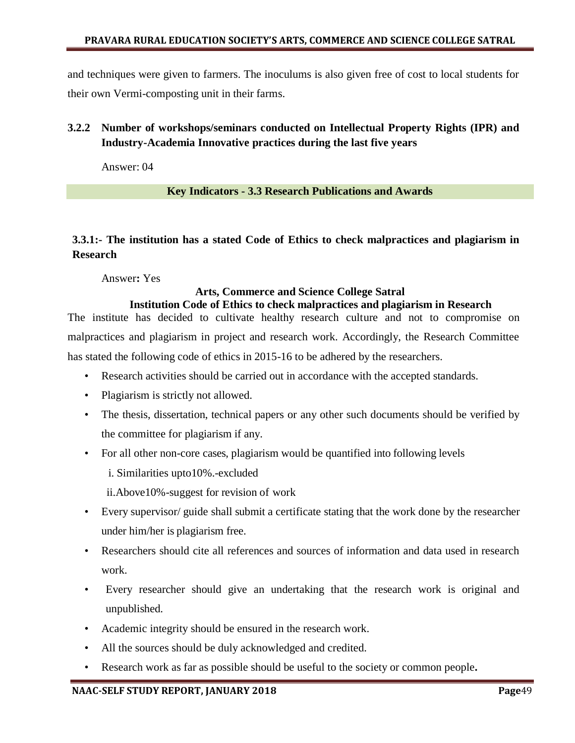and techniques were given to farmers. The inoculums is also given free of cost to local students for their own Vermi-composting unit in their farms.

## **3.2.2 Number of workshops/seminars conducted on Intellectual Property Rights (IPR) and Industry-Academia Innovative practices during the last five years**

Answer: 04

#### **Key Indicators - 3.3 Research Publications and Awards**

## **3.3.1:- The institution has a stated Code of Ethics to check malpractices and plagiarism in Research**

Answer**:** Yes

#### **Arts, Commerce and Science College Satral Institution Code of Ethics to check malpractices and plagiarism in Research**

The institute has decided to cultivate healthy research culture and not to compromise on malpractices and plagiarism in project and research work. Accordingly, the Research Committee has stated the following code of ethics in 2015-16 to be adhered by the researchers.

- Research activities should be carried out in accordance with the accepted standards.
- Plagiarism is strictly not allowed.
- The thesis, dissertation, technical papers or any other such documents should be verified by the committee for plagiarism if any.
- For all other non-core cases, plagiarism would be quantified into following levels
	- i. Similarities upto10%.-excluded

ii.Above10%-suggest for revision of work

- Every supervisor/ guide shall submit a certificate stating that the work done by the researcher under him/her is plagiarism free.
- Researchers should cite all references and sources of information and data used in research work.
- Every researcher should give an undertaking that the research work is original and unpublished.
- Academic integrity should be ensured in the research work.
- All the sources should be duly acknowledged and credited.
- Research work as far as possible should be useful to the society or common people*.*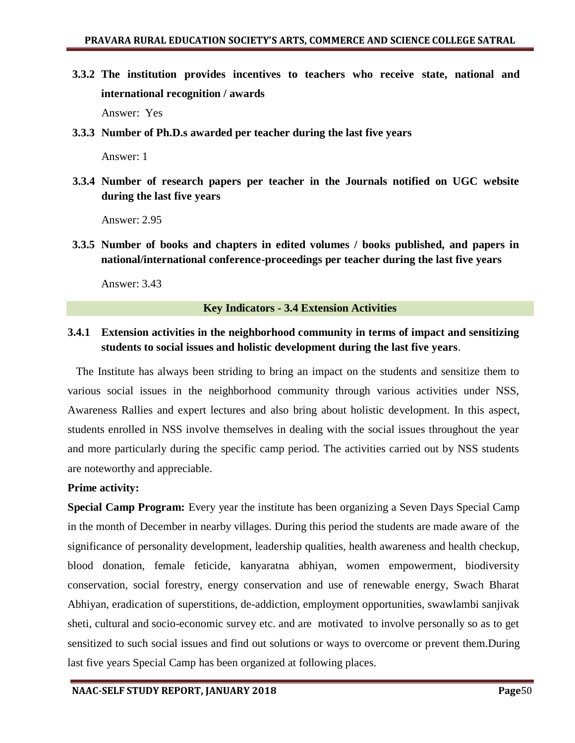- **3.3.2 The institution provides incentives to teachers who receive state, national and international recognition / awards** Answer: Yes
- **3.3.3 Number of Ph.D.s awarded per teacher during the last five years**

Answer: 1

**3.3.4 Number of research papers per teacher in the Journals notified on UGC website during the last five years**

Answer: 2.95

**3.3.5 Number of books and chapters in edited volumes / books published, and papers in national/international conference-proceedings per teacher during the last five years**

Answer: 3.43

#### **Key Indicators - 3.4 Extension Activities**

## **3.4.1 Extension activities in the neighborhood community in terms of impact and sensitizing students to social issues and holistic development during the last five years**.

The Institute has always been striding to bring an impact on the students and sensitize them to various social issues in the neighborhood community through various activities under NSS, Awareness Rallies and expert lectures and also bring about holistic development. In this aspect, students enrolled in NSS involve themselves in dealing with the social issues throughout the year and more particularly during the specific camp period. The activities carried out by NSS students are noteworthy and appreciable.

### **Prime activity:**

**Special Camp Program:** Every year the institute has been organizing a Seven Days Special Camp in the month of December in nearby villages. During this period the students are made aware of the significance of personality development, leadership qualities, health awareness and health checkup, blood donation, female feticide, kanyaratna abhiyan, women empowerment, biodiversity conservation, social forestry, energy conservation and use of renewable energy, Swach Bharat Abhiyan, eradication of superstitions, de-addiction, employment opportunities, swawlambi sanjivak sheti, cultural and socio-economic survey etc. and are motivated to involve personally so as to get sensitized to such social issues and find out solutions or ways to overcome or prevent them.During last five years Special Camp has been organized at following places.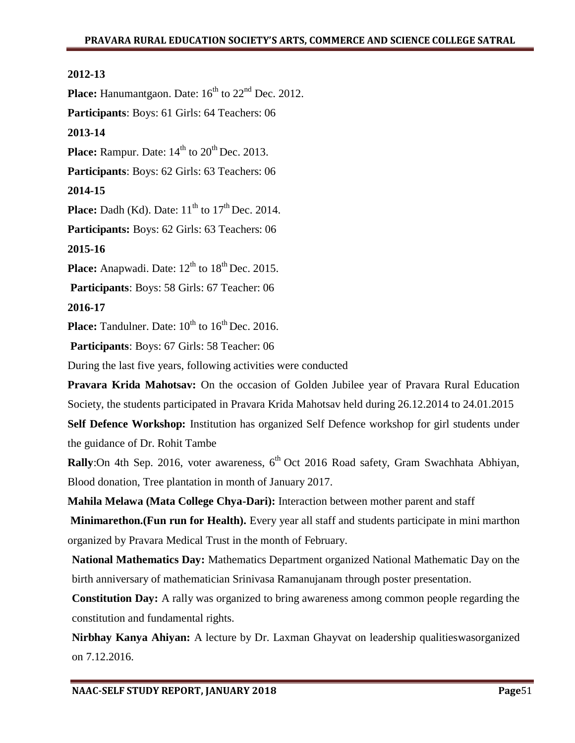#### **2012-13**

**Place:** Hanumantgaon. Date:  $16<sup>th</sup>$  to  $22<sup>nd</sup>$  Dec. 2012.

**Participants**: Boys: 61 Girls: 64 Teachers: 06

#### **2013-14**

**Place:** Rampur. Date:  $14<sup>th</sup>$  to  $20<sup>th</sup>$  Dec. 2013.

**Participants**: Boys: 62 Girls: 63 Teachers: 06

#### **2014-15**

**Place:** Dadh (Kd). Date:  $11<sup>th</sup>$  to  $17<sup>th</sup>$  Dec. 2014.

**Participants:** Boys: 62 Girls: 63 Teachers: 06

#### **2015-16**

Place: Anapwadi. Date:  $12^{th}$  to  $18^{th}$  Dec. 2015.

**Participants**: Boys: 58 Girls: 67 Teacher: 06

```
2016-17
```
**Place:** Tandulner. Date:  $10^{th}$  to  $16^{th}$  Dec. 2016.

**Participants**: Boys: 67 Girls: 58 Teacher: 06

During the last five years, following activities were conducted

**Pravara Krida Mahotsav:** On the occasion of Golden Jubilee year of Pravara Rural Education Society, the students participated in Pravara Krida Mahotsav held during 26.12.2014 to 24.01.2015

**Self Defence Workshop:** Institution has organized Self Defence workshop for girl students under the guidance of Dr. Rohit Tambe

**Rally**:On 4th Sep. 2016, voter awareness, 6<sup>th</sup> Oct 2016 Road safety, Gram Swachhata Abhiyan, Blood donation, Tree plantation in month of January 2017.

**Mahila Melawa (Mata College Chya-Dari):** Interaction between mother parent and staff

**Minimarethon.(Fun run for Health).** Every year all staff and students participate in mini marthon organized by Pravara Medical Trust in the month of February.

**National Mathematics Day:** Mathematics Department organized National Mathematic Day on the birth anniversary of mathematician Srinivasa Ramanujanam through poster presentation.

**Constitution Day:** A rally was organized to bring awareness among common people regarding the constitution and fundamental rights.

**Nirbhay Kanya Ahiyan:** A lecture by Dr. Laxman Ghayvat on leadership qualitieswasorganized on 7.12.2016.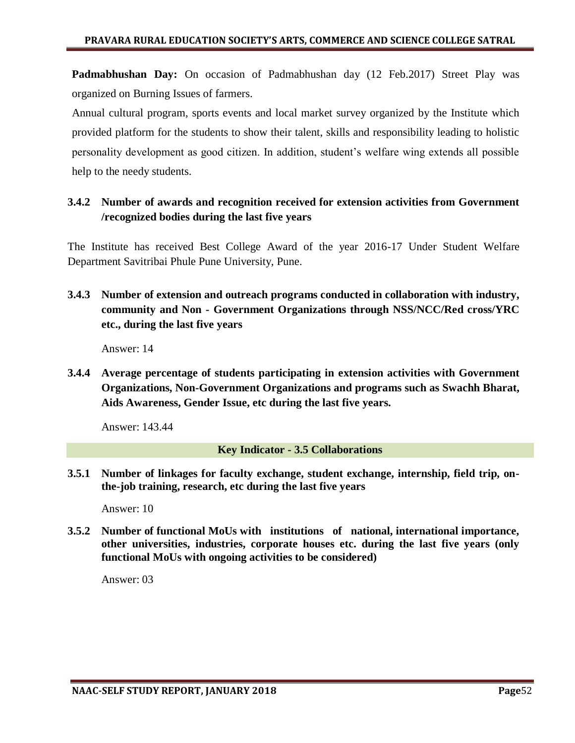**Padmabhushan Day:** On occasion of Padmabhushan day (12 Feb.2017) Street Play was organized on Burning Issues of farmers.

Annual cultural program, sports events and local market survey organized by the Institute which provided platform for the students to show their talent, skills and responsibility leading to holistic personality development as good citizen. In addition, student"s welfare wing extends all possible help to the needy students.

## **3.4.2 Number of awards and recognition received for extension activities from Government /recognized bodies during the last five years**

The Institute has received Best College Award of the year 2016-17 Under Student Welfare Department Savitribai Phule Pune University, Pune.

**3.4.3 Number of extension and outreach programs conducted in collaboration with industry, community and Non - Government Organizations through NSS/NCC/Red cross/YRC etc., during the last five years**

Answer: 14

**3.4.4 Average percentage of students participating in extension activities with Government Organizations, Non-Government Organizations and programs such as Swachh Bharat, Aids Awareness, Gender Issue, etc during the last five years.**

Answer: 143.44

**Key Indicator - 3.5 Collaborations** 

**3.5.1 Number of linkages for faculty exchange, student exchange, internship, field trip, onthe-job training, research, etc during the last five years**

Answer: 10

**3.5.2 Number of functional MoUs with institutions of national, international importance, other universities, industries, corporate houses etc. during the last five years (only functional MoUs with ongoing activities to be considered)**

Answer: 03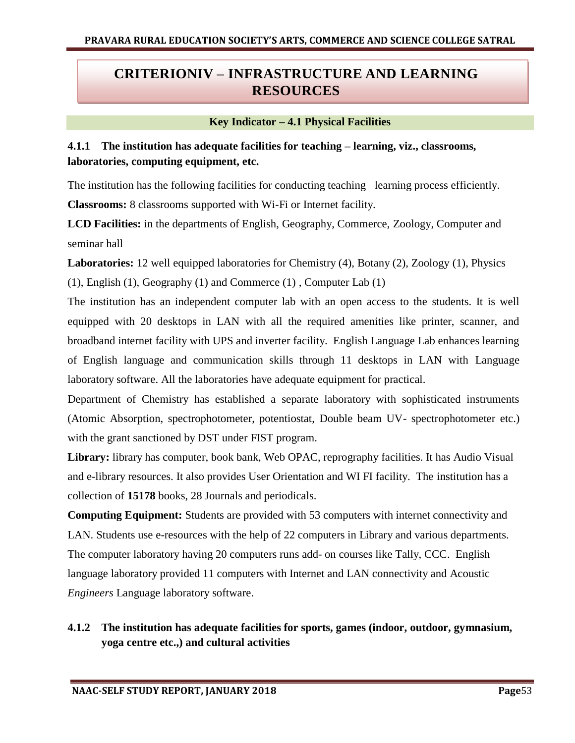# **CRITERIONIV – INFRASTRUCTURE AND LEARNING RESOURCES**

#### **Key Indicator – 4.1 Physical Facilities**

## **4.1.1 The institution has adequate facilities for teaching – learning, viz., classrooms, laboratories, computing equipment, etc.**

The institution has the following facilities for conducting teaching –learning process efficiently. **Classrooms:** 8 classrooms supported with Wi-Fi or Internet facility.

**LCD Facilities:** in the departments of English, Geography, Commerce, Zoology, Computer and seminar hall

**Laboratories:** 12 well equipped laboratories for Chemistry (4), Botany (2), Zoology (1), Physics (1), English (1), Geography (1) and Commerce (1) , Computer Lab (1)

The institution has an independent computer lab with an open access to the students. It is well equipped with 20 desktops in LAN with all the required amenities like printer, scanner, and broadband internet facility with UPS and inverter facility. English Language Lab enhances learning of English language and communication skills through 11 desktops in LAN with Language laboratory software. All the laboratories have adequate equipment for practical.

Department of Chemistry has established a separate laboratory with sophisticated instruments (Atomic Absorption, spectrophotometer, potentiostat, Double beam UV- spectrophotometer etc.) with the grant sanctioned by DST under FIST program.

**Library:** library has computer, book bank, Web OPAC, reprography facilities. It has Audio Visual and e-library resources. It also provides User Orientation and WI FI facility. The institution has a collection of **15178** books, 28 Journals and periodicals.

**Computing Equipment:** Students are provided with 53 computers with internet connectivity and LAN. Students use e-resources with the help of 22 computers in Library and various departments. The computer laboratory having 20 computers runs add- on courses like Tally, CCC. English language laboratory provided 11 computers with Internet and LAN connectivity and Acoustic *Engineers* Language laboratory software.

## **4.1.2 The institution has adequate facilities for sports, games (indoor, outdoor, gymnasium, yoga centre etc.,) and cultural activities**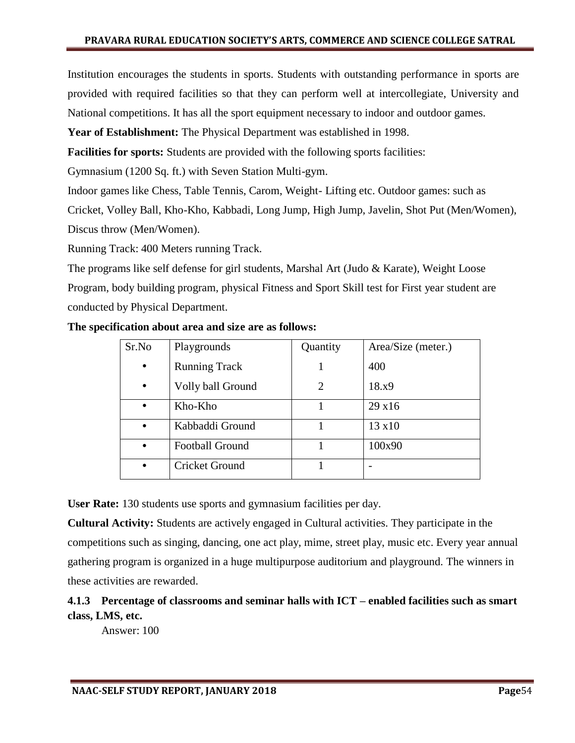Institution encourages the students in sports. Students with outstanding performance in sports are provided with required facilities so that they can perform well at intercollegiate, University and National competitions. It has all the sport equipment necessary to indoor and outdoor games.

**Year of Establishment:** The Physical Department was established in 1998.

**Facilities for sports:** Students are provided with the following sports facilities:

Gymnasium (1200 Sq. ft.) with Seven Station Multi-gym.

Indoor games like Chess, Table Tennis, Carom, Weight- Lifting etc. Outdoor games: such as

Cricket, Volley Ball, Kho-Kho, Kabbadi, Long Jump, High Jump, Javelin, Shot Put (Men/Women),

Discus throw (Men/Women).

Running Track: 400 Meters running Track.

The programs like self defense for girl students, Marshal Art (Judo & Karate), Weight Loose Program, body building program, physical Fitness and Sport Skill test for First year student are conducted by Physical Department.

#### **The specification about area and size are as follows:**

| Sr.No     | Playgrounds            | Quantity | Area/Size (meter.) |
|-----------|------------------------|----------|--------------------|
| $\bullet$ | <b>Running Track</b>   |          | 400                |
| $\bullet$ | Volly ball Ground      |          | 18.x9              |
| $\bullet$ | Kho-Kho                |          | 29 x16             |
|           | Kabbaddi Ground        |          | $13 \times 10$     |
| $\bullet$ | <b>Football Ground</b> |          | 100x90             |
|           | <b>Cricket Ground</b>  |          |                    |

**User Rate:** 130 students use sports and gymnasium facilities per day.

**Cultural Activity:** Students are actively engaged in Cultural activities. They participate in the competitions such as singing, dancing, one act play, mime, street play, music etc. Every year annual gathering program is organized in a huge multipurpose auditorium and playground. The winners in these activities are rewarded.

## **4.1.3 Percentage of classrooms and seminar halls with ICT – enabled facilities such as smart class, LMS, etc.**

Answer: 100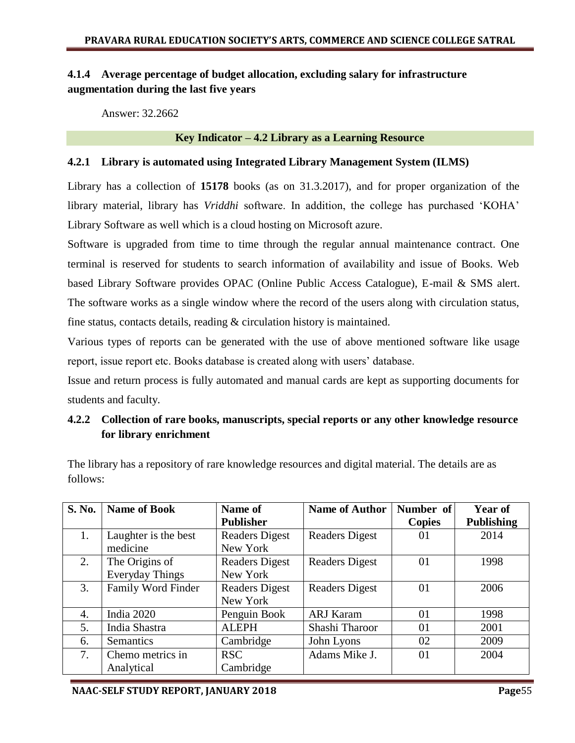## **4.1.4 Average percentage of budget allocation, excluding salary for infrastructure augmentation during the last five years**

Answer: 32.2662

#### **Key Indicator – 4.2 Library as a Learning Resource**

#### **4.2.1 Library is automated using Integrated Library Management System (ILMS)**

Library has a collection of **15178** books (as on 31.3.2017), and for proper organization of the library material, library has *Vriddhi* software. In addition, the college has purchased "KOHA" Library Software as well which is a cloud hosting on Microsoft azure.

Software is upgraded from time to time through the regular annual maintenance contract. One terminal is reserved for students to search information of availability and issue of Books. Web based Library Software provides OPAC (Online Public Access Catalogue), E-mail & SMS alert. The software works as a single window where the record of the users along with circulation status, fine status, contacts details, reading & circulation history is maintained.

Various types of reports can be generated with the use of above mentioned software like usage report, issue report etc. Books database is created along with users" database.

Issue and return process is fully automated and manual cards are kept as supporting documents for students and faculty.

## **4.2.2 Collection of rare books, manuscripts, special reports or any other knowledge resource for library enrichment**

| <b>S. No.</b> | <b>Name of Book</b>  | Name of               | <b>Name of Author</b> | Number of     | Year of           |
|---------------|----------------------|-----------------------|-----------------------|---------------|-------------------|
|               |                      | <b>Publisher</b>      |                       | <b>Copies</b> | <b>Publishing</b> |
| 1.            | Laughter is the best | <b>Readers Digest</b> | <b>Readers Digest</b> | 01            | 2014              |
|               | medicine             | New York              |                       |               |                   |
| 2.            | The Origins of       | <b>Readers Digest</b> | <b>Readers Digest</b> | 01            | 1998              |
|               | Everyday Things      | New York              |                       |               |                   |
| 3.            | Family Word Finder   | <b>Readers Digest</b> | <b>Readers Digest</b> | 01            | 2006              |
|               |                      | New York              |                       |               |                   |
| 4.            | India 2020           | Penguin Book          | <b>ARJ Karam</b>      | 01            | 1998              |
| 5.            | India Shastra        | <b>ALEPH</b>          | Shashi Tharoor        | 01            | 2001              |
| 6.            | Semantics            | Cambridge             | John Lyons            | 02            | 2009              |
| 7.            | Chemo metrics in     | <b>RSC</b>            | Adams Mike J.         | 01            | 2004              |
|               | Analytical           | Cambridge             |                       |               |                   |

The library has a repository of rare knowledge resources and digital material. The details are as follows: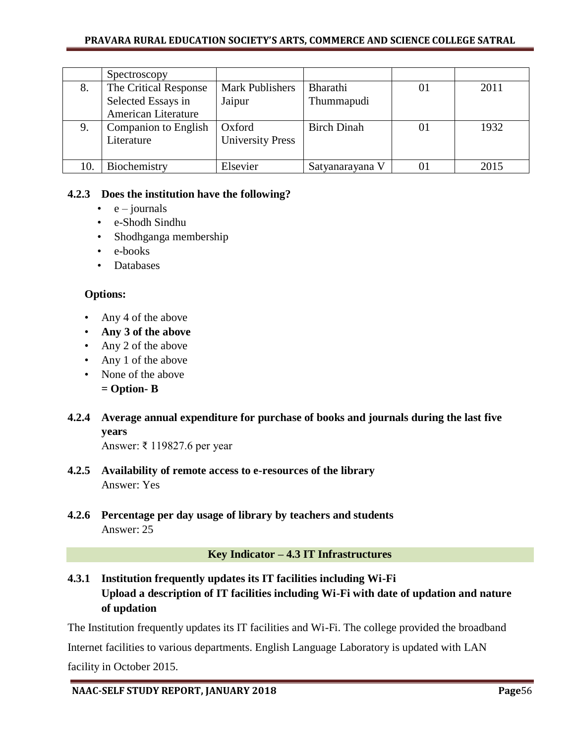#### **PRAVARA RURAL EDUCATION SOCIETY'S ARTS, COMMERCE AND SCIENCE COLLEGE SATRAL**

|     | Spectroscopy          |                         |                    |    |      |
|-----|-----------------------|-------------------------|--------------------|----|------|
| 8.  | The Critical Response | <b>Mark Publishers</b>  | <b>Bharathi</b>    | 01 | 2011 |
|     | Selected Essays in    | Jaipur                  | Thummapudi         |    |      |
|     | American Literature   |                         |                    |    |      |
| 9.  | Companion to English  | Oxford                  | <b>Birch Dinah</b> | 01 | 1932 |
|     | Literature            | <b>University Press</b> |                    |    |      |
|     |                       |                         |                    |    |      |
| 10. | Biochemistry          | Elsevier                | Satyanarayana V    | OI | 2015 |

### **4.2.3 Does the institution have the following?**

- $\bullet$  e journals
- e-Shodh Sindhu
- Shodhganga membership
- e-books
- Databases

### **Options:**

- Any 4 of the above
- **Any 3 of the above**
- Any 2 of the above
- Any 1 of the above
- None of the above
	- **= Option- B**
- **4.2.4 Average annual expenditure for purchase of books and journals during the last five years**

Answer: ₹ 119827.6 per year

- **4.2.5 Availability of remote access to e-resources of the library**  Answer: Yes
- **4.2.6 Percentage per day usage of library by teachers and students** Answer: 25

### **Key Indicator – 4.3 IT Infrastructures**

**4.3.1 Institution frequently updates its IT facilities including Wi-Fi Upload a description of IT facilities including Wi-Fi with date of updation and nature of updation** 

The Institution frequently updates its IT facilities and Wi-Fi. The college provided the broadband

Internet facilities to various departments. English Language Laboratory is updated with LAN facility in October 2015.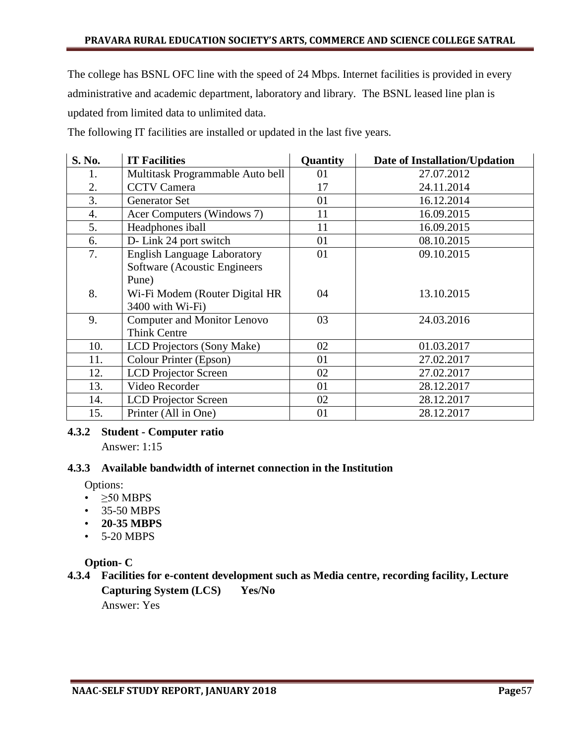The college has BSNL OFC line with the speed of 24 Mbps. Internet facilities is provided in every administrative and academic department, laboratory and library. The BSNL leased line plan is updated from limited data to unlimited data.

The following IT facilities are installed or updated in the last five years.

| <b>S. No.</b> | <b>IT Facilities</b>               | Quantity | Date of Installation/Updation |
|---------------|------------------------------------|----------|-------------------------------|
| 1.            | Multitask Programmable Auto bell   | 01       | 27.07.2012                    |
| 2.            | <b>CCTV</b> Camera                 | 17       | 24.11.2014                    |
| 3.            | <b>Generator Set</b>               | 01       | 16.12.2014                    |
| 4.            | Acer Computers (Windows 7)         | 11       | 16.09.2015                    |
| 5.            | Headphones iball                   | 11       | 16.09.2015                    |
| 6.            | D- Link 24 port switch             | 01       | 08.10.2015                    |
| 7.            | <b>English Language Laboratory</b> | 01       | 09.10.2015                    |
|               | Software (Acoustic Engineers       |          |                               |
|               | Pune)                              |          |                               |
| 8.            | Wi-Fi Modem (Router Digital HR     | 04       | 13.10.2015                    |
|               | 3400 with Wi-Fi)                   |          |                               |
| 9.            | <b>Computer and Monitor Lenovo</b> | 03       | 24.03.2016                    |
|               | <b>Think Centre</b>                |          |                               |
| 10.           | LCD Projectors (Sony Make)         | 02       | 01.03.2017                    |
| 11.           | Colour Printer (Epson)             | 01       | 27.02.2017                    |
| 12.           | <b>LCD</b> Projector Screen        | 02       | 27.02.2017                    |
| 13.           | Video Recorder                     | 01       | 28.12.2017                    |
| 14.           | <b>LCD</b> Projector Screen        | 02       | 28.12.2017                    |
| 15.           | Printer (All in One)               | 01       | 28.12.2017                    |

### **4.3.2 Student - Computer ratio**

Answer: 1:15

### **4.3.3 Available bandwidth of internet connection in the Institution**

Options:

- $\geq 50$  MBPS
- 35-50 MBPS
- **20-35 MBPS**
- 5-20 MBPS

## **Option- C**

**4.3.4 Facilities for e-content development such as Media centre, recording facility, Lecture Capturing System (LCS) Yes/No** Answer: Yes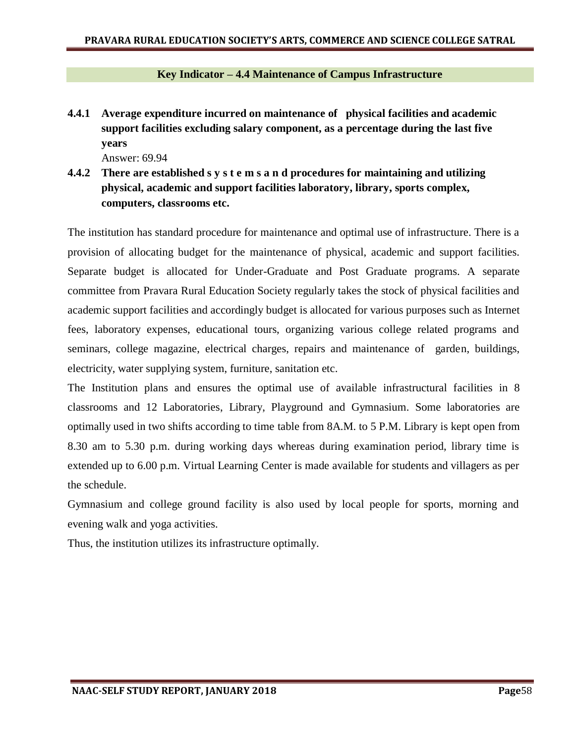#### **Key Indicator – 4.4 Maintenance of Campus Infrastructure**

**4.4.1 Average expenditure incurred on maintenance of physical facilities and academic support facilities excluding salary component, as a percentage during the last five years**

Answer: 69.94

**4.4.2 There are established s y s t e m s a n d procedures for maintaining and utilizing physical, academic and support facilities laboratory, library, sports complex, computers, classrooms etc.** 

The institution has standard procedure for maintenance and optimal use of infrastructure. There is a provision of allocating budget for the maintenance of physical, academic and support facilities. Separate budget is allocated for Under-Graduate and Post Graduate programs. A separate committee from Pravara Rural Education Society regularly takes the stock of physical facilities and academic support facilities and accordingly budget is allocated for various purposes such as Internet fees, laboratory expenses, educational tours, organizing various college related programs and seminars, college magazine, electrical charges, repairs and maintenance of garden, buildings, electricity, water supplying system, furniture, sanitation etc.

The Institution plans and ensures the optimal use of available infrastructural facilities in 8 classrooms and 12 Laboratories, Library, Playground and Gymnasium. Some laboratories are optimally used in two shifts according to time table from 8A.M. to 5 P.M. Library is kept open from 8.30 am to 5.30 p.m. during working days whereas during examination period, library time is extended up to 6.00 p.m. Virtual Learning Center is made available for students and villagers as per the schedule.

Gymnasium and college ground facility is also used by local people for sports, morning and evening walk and yoga activities.

Thus, the institution utilizes its infrastructure optimally.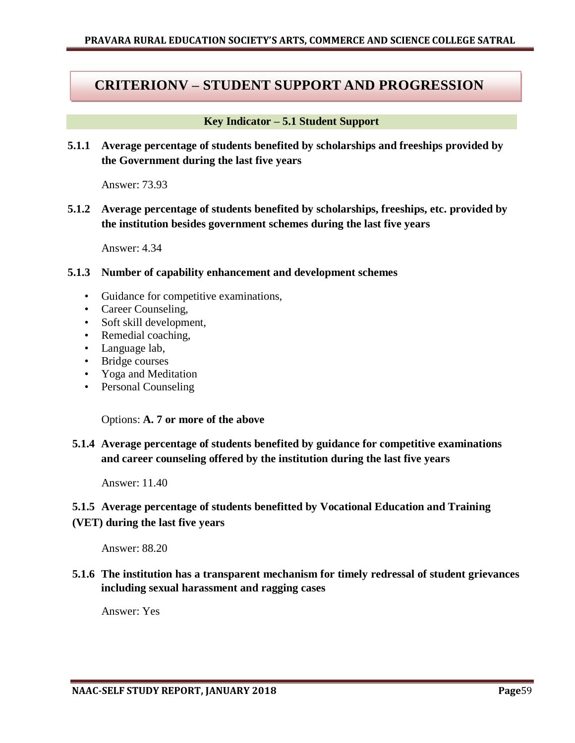## **CRITERIONV – STUDENT SUPPORT AND PROGRESSION**

#### **Key Indicator – 5.1 Student Support**

**5.1.1 Average percentage of students benefited by scholarships and freeships provided by the Government during the last five years** 

Answer: 73.93

**5.1.2 Average percentage of students benefited by scholarships, freeships, etc. provided by the institution besides government schemes during the last five years**

Answer: 4.34

#### **5.1.3 Number of capability enhancement and development schemes**

- Guidance for competitive examinations,
- Career Counseling,
- Soft skill development,
- Remedial coaching,
- Language lab,
- Bridge courses
- Yoga and Meditation
- Personal Counseling

Options: **A. 7 or more of the above**

**5.1.4 Average percentage of students benefited by guidance for competitive examinations and career counseling offered by the institution during the last five years**

Answer: 11.40

### **5.1.5 Average percentage of students benefitted by Vocational Education and Training**

#### **(VET) during the last five years**

Answer: 88.20

**5.1.6 The institution has a transparent mechanism for timely redressal of student grievances including sexual harassment and ragging cases**

Answer: Yes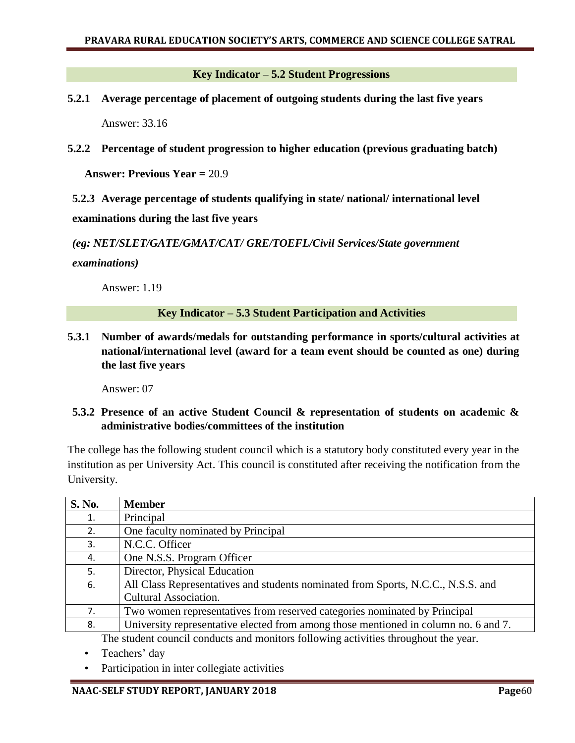**Key Indicator – 5.2 Student Progressions**

- **5.2.1 Average percentage of placement of outgoing students during the last five years** Answer: 33.16
- **5.2.2 Percentage of student progression to higher education (previous graduating batch)**

**Answer: Previous Year =** 20.9

**5.2.3 Average percentage of students qualifying in state/ national/ international level examinations during the last five years**

*(eg: NET/SLET/GATE/GMAT/CAT/ GRE/TOEFL/Civil Services/State government* 

*examinations)*

Answer: 1.19

#### **Key Indicator – 5.3 Student Participation and Activities**

**5.3.1 Number of awards/medals for outstanding performance in sports/cultural activities at national/international level (award for a team event should be counted as one) during the last five years**

Answer: 07

**5.3.2 Presence of an active Student Council & representation of students on academic & administrative bodies/committees of the institution** 

The college has the following student council which is a statutory body constituted every year in the institution as per University Act. This council is constituted after receiving the notification from the University.

| <b>S. No.</b> | <b>Member</b>                                                                       |  |  |
|---------------|-------------------------------------------------------------------------------------|--|--|
| 1.            | Principal                                                                           |  |  |
| 2.            | One faculty nominated by Principal                                                  |  |  |
| 3.            | N.C.C. Officer                                                                      |  |  |
| 4.            | One N.S.S. Program Officer                                                          |  |  |
| 5.            | Director, Physical Education                                                        |  |  |
| 6.            | All Class Representatives and students nominated from Sports, N.C.C., N.S.S. and    |  |  |
|               | Cultural Association.                                                               |  |  |
| 7.            | Two women representatives from reserved categories nominated by Principal           |  |  |
| 8.            | University representative elected from among those mentioned in column no. 6 and 7. |  |  |
|               | The student council conducts and monitors following activities throughout the year. |  |  |

Teachers' day

Participation in inter collegiate activities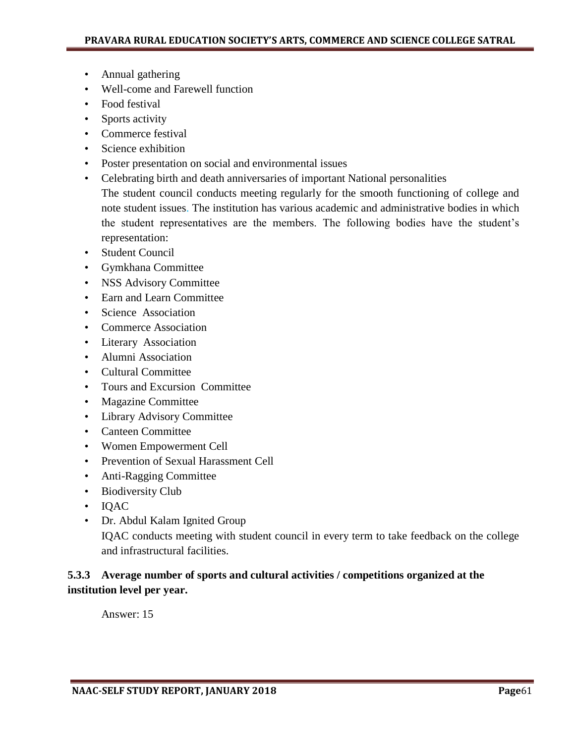- Annual gathering
- Well-come and Farewell function
- Food festival
- Sports activity
- Commerce festival
- Science exhibition
- Poster presentation on social and environmental issues
- Celebrating birth and death anniversaries of important National personalities The student council conducts meeting regularly for the smooth functioning of college and note student issues. The institution has various academic and administrative bodies in which the student representatives are the members. The following bodies have the student"s representation:
- Student Council
- Gymkhana Committee
- NSS Advisory Committee
- Earn and Learn Committee
- Science Association
- Commerce Association
- Literary Association
- Alumni Association
- Cultural Committee
- Tours and Excursion Committee
- Magazine Committee
- Library Advisory Committee
- Canteen Committee
- Women Empowerment Cell
- Prevention of Sexual Harassment Cell
- Anti-Ragging Committee
- Biodiversity Club
- IQAC
- Dr. Abdul Kalam Ignited Group IQAC conducts meeting with student council in every term to take feedback on the college and infrastructural facilities.

## **5.3.3 Average number of sports and cultural activities / competitions organized at the institution level per year.**

Answer: 15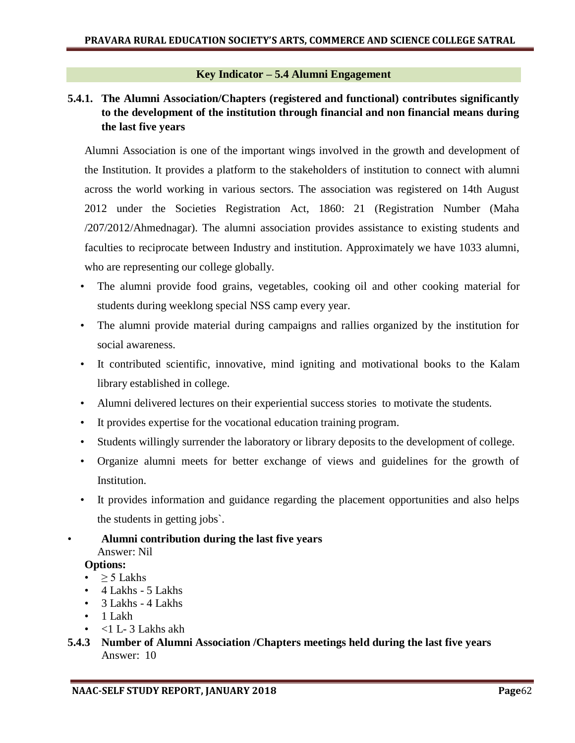#### **Key Indicator – 5.4 Alumni Engagement**

## **5.4.1. The Alumni Association/Chapters (registered and functional) contributes significantly to the development of the institution through financial and non financial means during the last five years**

Alumni Association is one of the important wings involved in the growth and development of the Institution. It provides a platform to the stakeholders of institution to connect with alumni across the world working in various sectors. The association was registered on 14th August 2012 under the Societies Registration Act, 1860: 21 (Registration Number (Maha /207/2012/Ahmednagar). The alumni association provides assistance to existing students and faculties to reciprocate between Industry and institution. Approximately we have 1033 alumni, who are representing our college globally.

- The alumni provide food grains, vegetables, cooking oil and other cooking material for students during weeklong special NSS camp every year.
- The alumni provide material during campaigns and rallies organized by the institution for social awareness.
- It contributed scientific, innovative, mind igniting and motivational books to the Kalam library established in college.
- Alumni delivered lectures on their experiential success stories to motivate the students.
- It provides expertise for the vocational education training program.
- Students willingly surrender the laboratory or library deposits to the development of college.
- Organize alumni meets for better exchange of views and guidelines for the growth of Institution.
- It provides information and guidance regarding the placement opportunities and also helps the students in getting jobs`.
- **Alumni contribution during the last five years** Answer: Nil

### **Options:**

- $\geq$  5 Lakhs
- 4 Lakhs 5 Lakhs
- 3 Lakhs 4 Lakhs
- 1 Lakh
- $<$ 1 L- 3 Lakhs akh
- **5.4.3 Number of Alumni Association /Chapters meetings held during the last five years**  Answer: 10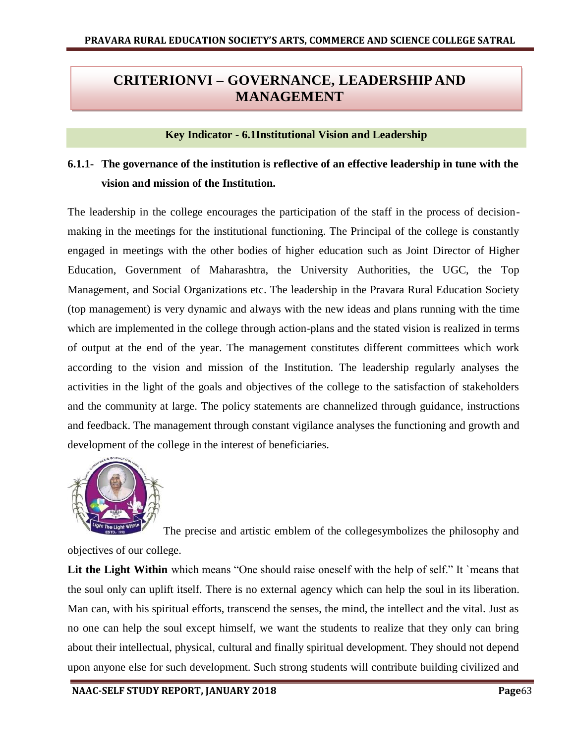# **CRITERIONVI – GOVERNANCE, LEADERSHIP AND MANAGEMENT**

#### **Key Indicator - 6.1Institutional Vision and Leadership**

# **6.1.1- The governance of the institution is reflective of an effective leadership in tune with the vision and mission of the Institution.**

The leadership in the college encourages the participation of the staff in the process of decisionmaking in the meetings for the institutional functioning. The Principal of the college is constantly engaged in meetings with the other bodies of higher education such as Joint Director of Higher Education, Government of Maharashtra, the University Authorities, the UGC, the Top Management, and Social Organizations etc. The leadership in the Pravara Rural Education Society (top management) is very dynamic and always with the new ideas and plans running with the time which are implemented in the college through action-plans and the stated vision is realized in terms of output at the end of the year. The management constitutes different committees which work according to the vision and mission of the Institution. The leadership regularly analyses the activities in the light of the goals and objectives of the college to the satisfaction of stakeholders and the community at large. The policy statements are channelized through guidance, instructions and feedback. The management through constant vigilance analyses the functioning and growth and development of the college in the interest of beneficiaries.



The precise and artistic emblem of the collegesymbolizes the philosophy and objectives of our college.

Lit the Light Within which means "One should raise oneself with the help of self." It `means that the soul only can uplift itself. There is no external agency which can help the soul in its liberation. Man can, with his spiritual efforts, transcend the senses, the mind, the intellect and the vital. Just as no one can help the soul except himself, we want the students to realize that they only can bring about their intellectual, physical, cultural and finally spiritual development. They should not depend upon anyone else for such development. Such strong students will contribute building civilized and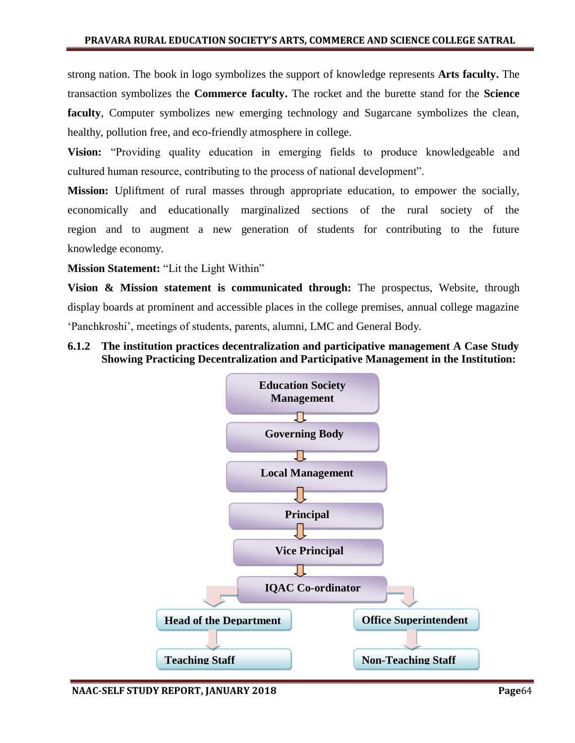strong nation. The book in logo symbolizes the support of knowledge represents **Arts faculty.** The transaction symbolizes the **Commerce faculty.** The rocket and the burette stand for the **Science faculty**, Computer symbolizes new emerging technology and Sugarcane symbolizes the clean, healthy, pollution free, and eco-friendly atmosphere in college.

**Vision:** "Providing quality education in emerging fields to produce knowledgeable and cultured human resource, contributing to the process of national development".

**Mission:** Upliftment of rural masses through appropriate education, to empower the socially, economically and educationally marginalized sections of the rural society of the region and to augment a new generation of students for contributing to the future knowledge economy.

**Mission Statement:** "Lit the Light Within"

**Vision & Mission statement is communicated through:** The prospectus, Website, through display boards at prominent and accessible places in the college premises, annual college magazine "Panchkroshi", meetings of students, parents, alumni, LMC and General Body.

### **6.1.2 The institution practices decentralization and participative management A Case Study Showing Practicing Decentralization and Participative Management in the Institution:**

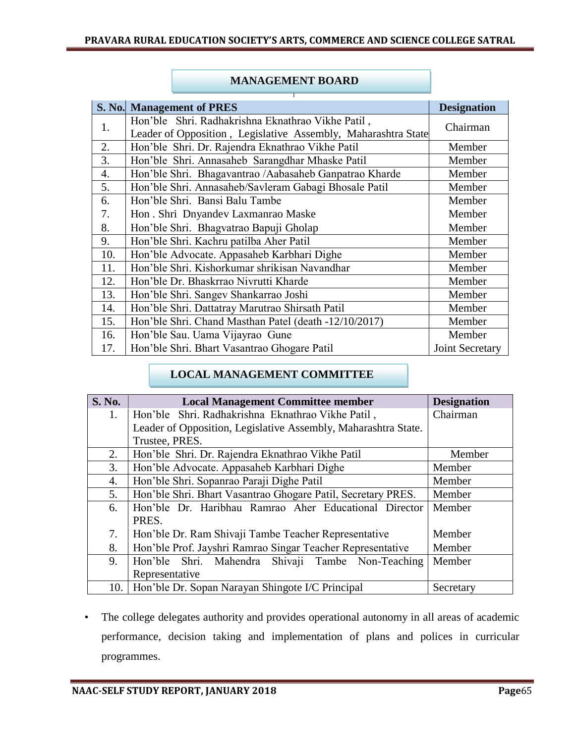|     | S. No. Management of PRES                                     | <b>Designation</b>     |
|-----|---------------------------------------------------------------|------------------------|
|     | Hon'ble Shri. Radhakrishna Eknathrao Vikhe Patil,             |                        |
| 1.  | Leader of Opposition, Legislative Assembly, Maharashtra State | Chairman               |
| 2.  | Hon'ble Shri. Dr. Rajendra Eknathrao Vikhe Patil              | Member                 |
| 3.  | Hon'ble Shri. Annasaheb Sarangdhar Mhaske Patil               | Member                 |
| 4.  | Hon'ble Shri. Bhagavantrao /Aabasaheb Ganpatrao Kharde        | Member                 |
| 5.  | Hon'ble Shri. Annasaheb/Savleram Gabagi Bhosale Patil         | Member                 |
| 6.  | Hon'ble Shri. Bansi Balu Tambe                                | Member                 |
| 7.  | Hon. Shri Dnyandev Laxmanrao Maske                            | Member                 |
| 8.  | Hon'ble Shri. Bhagvatrao Bapuji Gholap                        | Member                 |
| 9.  | Hon'ble Shri. Kachru patilba Aher Patil                       | Member                 |
| 10. | Hon'ble Advocate. Appasaheb Karbhari Dighe                    | Member                 |
| 11. | Hon'ble Shri. Kishorkumar shrikisan Navandhar                 | Member                 |
| 12. | Hon'ble Dr. Bhaskrrao Nivrutti Kharde                         | Member                 |
| 13. | Hon'ble Shri. Sangev Shankarrao Joshi                         | Member                 |
| 14. | Hon'ble Shri. Dattatray Marutrao Shirsath Patil               | Member                 |
| 15. | Hon'ble Shri. Chand Masthan Patel (death -12/10/2017)         | Member                 |
| 16. | Hon'ble Sau. Uama Vijayrao Gune                               | Member                 |
| 17. | Hon'ble Shri. Bhart Vasantrao Ghogare Patil                   | <b>Joint Secretary</b> |

### **MANAGEMENT BOARD**

## **LOCAL MANAGEMENT COMMITTEE**

| <b>S. No.</b> | <b>Local Management Committee member</b>                             | <b>Designation</b> |
|---------------|----------------------------------------------------------------------|--------------------|
| 1.            | Hon'ble Shri. Radhakrishna Eknathrao Vikhe Patil,                    | Chairman           |
|               | Leader of Opposition, Legislative Assembly, Maharashtra State.       |                    |
|               | Trustee, PRES.                                                       |                    |
| 2.            | Hon'ble Shri. Dr. Rajendra Eknathrao Vikhe Patil                     | Member             |
| 3.            | Hon'ble Advocate. Appasaheb Karbhari Dighe                           | Member             |
| 4.            | Hon'ble Shri. Sopanrao Paraji Dighe Patil                            | Member             |
| 5.            | Hon'ble Shri. Bhart Vasantrao Ghogare Patil, Secretary PRES.         | Member             |
| 6.            | Hon'ble Dr. Haribhau Ramrao Aher Educational Director                | Member             |
|               | PRES.                                                                |                    |
| 7.            | Hon'ble Dr. Ram Shivaji Tambe Teacher Representative                 | Member             |
| 8.            | Hon'ble Prof. Jayshri Ramrao Singar Teacher Representative<br>Member |                    |
| 9.            | Hon'ble Shri. Mahendra Shivaji Tambe Non-Teaching                    | Member             |
|               | Representative                                                       |                    |
| 10.           | Hon'ble Dr. Sopan Narayan Shingote I/C Principal                     | Secretary          |

• The college delegates authority and provides operational autonomy in all areas of academic performance, decision taking and implementation of plans and polices in curricular programmes.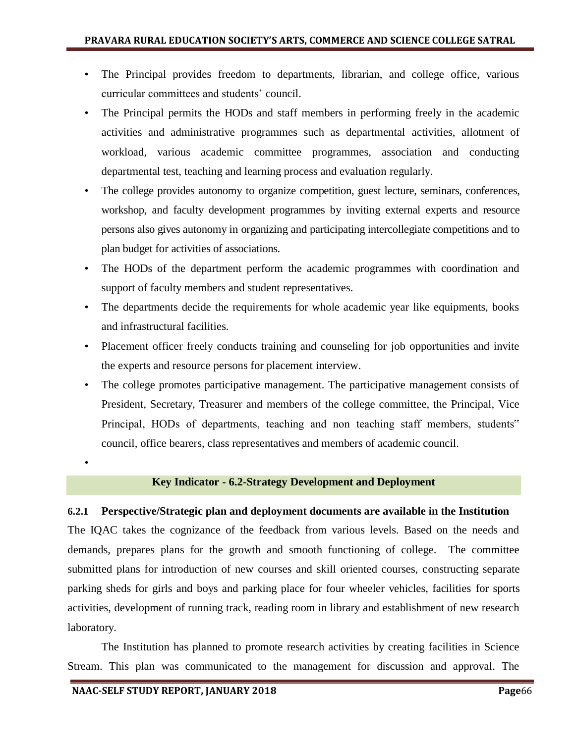- The Principal provides freedom to departments, librarian, and college office, various curricular committees and students' council.
- The Principal permits the HODs and staff members in performing freely in the academic activities and administrative programmes such as departmental activities, allotment of workload, various academic committee programmes, association and conducting departmental test, teaching and learning process and evaluation regularly.
- The college provides autonomy to organize competition, guest lecture, seminars, conferences, workshop, and faculty development programmes by inviting external experts and resource persons also gives autonomy in organizing and participating intercollegiate competitions and to plan budget for activities of associations.
- The HODs of the department perform the academic programmes with coordination and support of faculty members and student representatives.
- The departments decide the requirements for whole academic year like equipments, books and infrastructural facilities.
- Placement officer freely conducts training and counseling for job opportunities and invite the experts and resource persons for placement interview.
- The college promotes participative management. The participative management consists of President, Secretary, Treasurer and members of the college committee, the Principal, Vice Principal, HODs of departments, teaching and non teaching staff members, students" council, office bearers, class representatives and members of academic council.

### **Key Indicator - 6.2-Strategy Development and Deployment**

#### **6.2.1 Perspective/Strategic plan and deployment documents are available in the Institution**

The IQAC takes the cognizance of the feedback from various levels. Based on the needs and demands, prepares plans for the growth and smooth functioning of college. The committee submitted plans for introduction of new courses and skill oriented courses, constructing separate parking sheds for girls and boys and parking place for four wheeler vehicles, facilities for sports activities, development of running track, reading room in library and establishment of new research laboratory.

The Institution has planned to promote research activities by creating facilities in Science Stream. This plan was communicated to the management for discussion and approval. The

•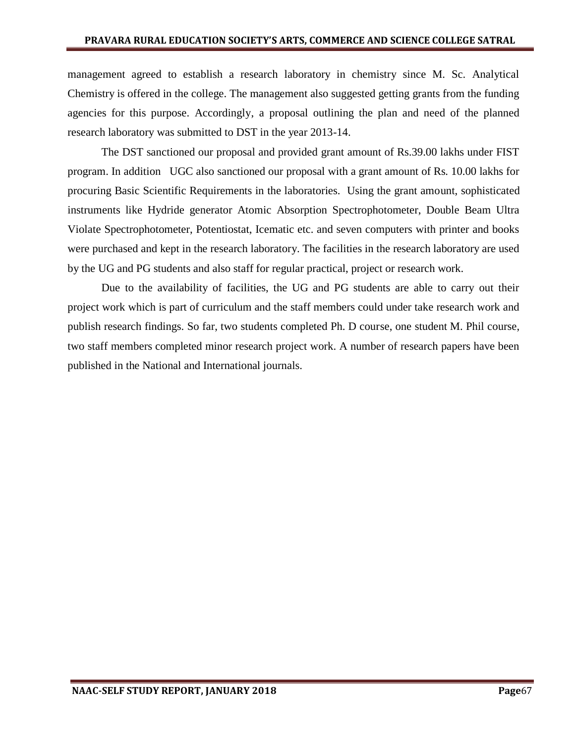management agreed to establish a research laboratory in chemistry since M. Sc. Analytical Chemistry is offered in the college. The management also suggested getting grants from the funding agencies for this purpose. Accordingly, a proposal outlining the plan and need of the planned research laboratory was submitted to DST in the year 2013-14.

The DST sanctioned our proposal and provided grant amount of Rs.39.00 lakhs under FIST program. In addition UGC also sanctioned our proposal with a grant amount of Rs. 10.00 lakhs for procuring Basic Scientific Requirements in the laboratories. Using the grant amount, sophisticated instruments like Hydride generator Atomic Absorption Spectrophotometer, Double Beam Ultra Violate Spectrophotometer, Potentiostat, Icematic etc. and seven computers with printer and books were purchased and kept in the research laboratory. The facilities in the research laboratory are used by the UG and PG students and also staff for regular practical, project or research work.

Due to the availability of facilities, the UG and PG students are able to carry out their project work which is part of curriculum and the staff members could under take research work and publish research findings. So far, two students completed Ph. D course, one student M. Phil course, two staff members completed minor research project work. A number of research papers have been published in the National and International journals.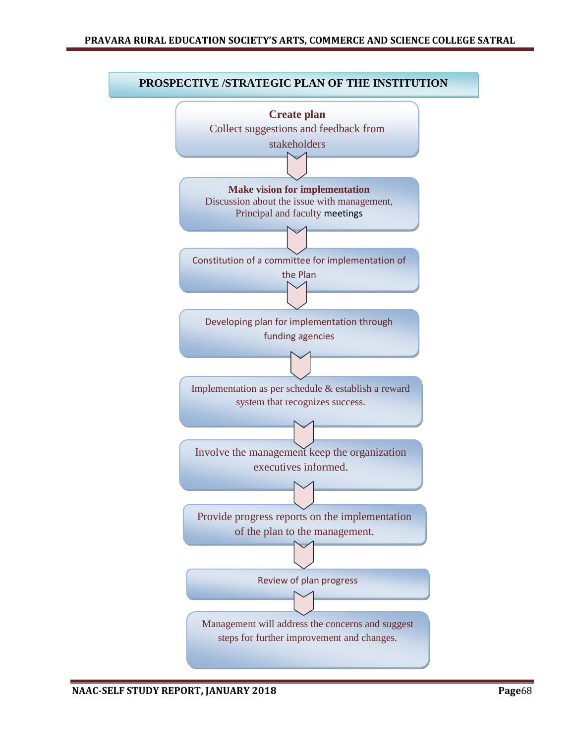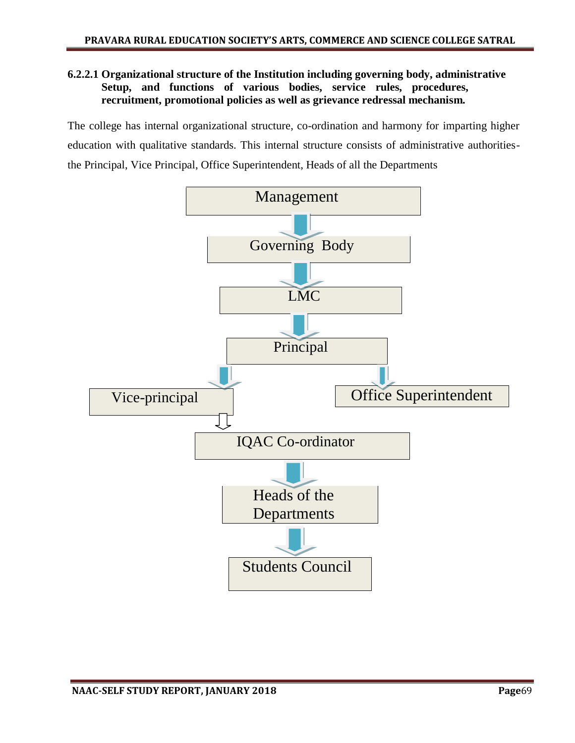#### **6.2.2.1 Organizational structure of the Institution including governing body, administrative Setup, and functions of various bodies, service rules, procedures, recruitment, promotional policies as well as grievance redressal mechanism.**

The college has internal organizational structure, co-ordination and harmony for imparting higher education with qualitative standards. This internal structure consists of administrative authoritiesthe Principal, Vice Principal, Office Superintendent, Heads of all the Departments

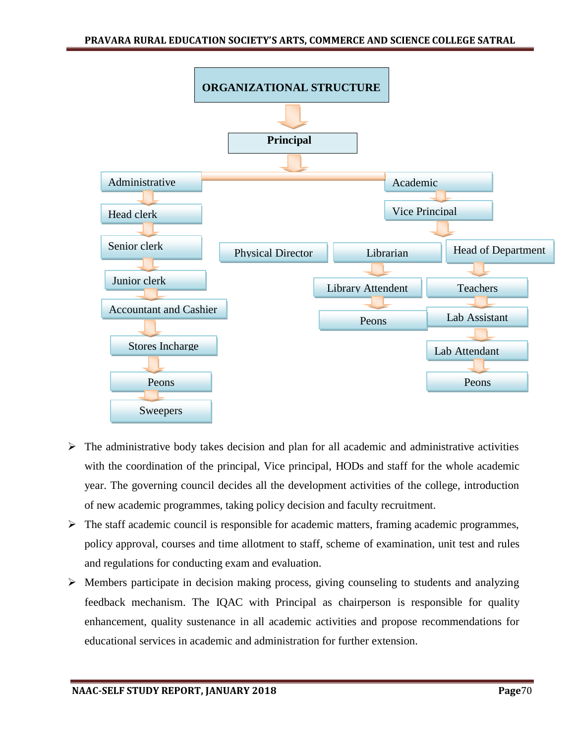

- $\triangleright$  The administrative body takes decision and plan for all academic and administrative activities with the coordination of the principal, Vice principal, HODs and staff for the whole academic year. The governing council decides all the development activities of the college, introduction of new academic programmes, taking policy decision and faculty recruitment.
- $\triangleright$  The staff academic council is responsible for academic matters, framing academic programmes, policy approval, courses and time allotment to staff, scheme of examination, unit test and rules and regulations for conducting exam and evaluation.
- $\triangleright$  Members participate in decision making process, giving counseling to students and analyzing feedback mechanism. The IQAC with Principal as chairperson is responsible for quality enhancement, quality sustenance in all academic activities and propose recommendations for educational services in academic and administration for further extension.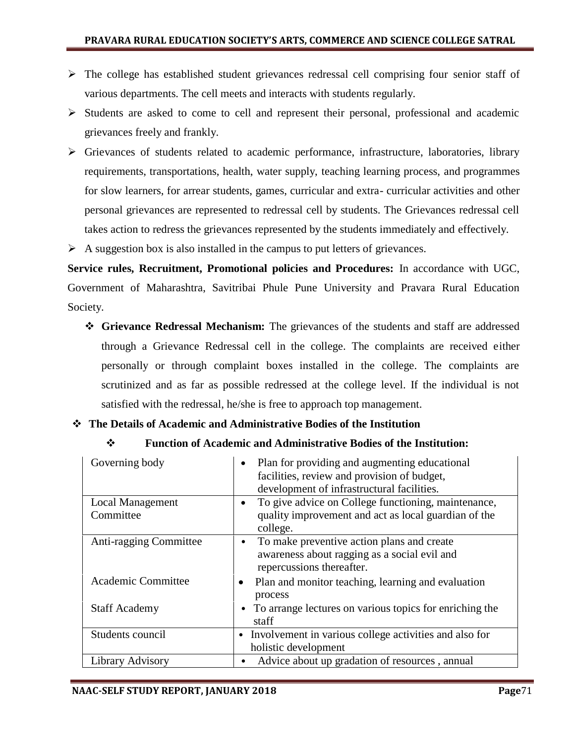- $\triangleright$  The college has established student grievances redressal cell comprising four senior staff of various departments. The cell meets and interacts with students regularly.
- $\triangleright$  Students are asked to come to cell and represent their personal, professional and academic grievances freely and frankly.
- Grievances of students related to academic performance, infrastructure, laboratories, library requirements, transportations, health, water supply, teaching learning process, and programmes for slow learners, for arrear students, games, curricular and extra- curricular activities and other personal grievances are represented to redressal cell by students. The Grievances redressal cell takes action to redress the grievances represented by the students immediately and effectively.
- $\triangleright$  A suggestion box is also installed in the campus to put letters of grievances.

**Service rules, Recruitment, Promotional policies and Procedures:** In accordance with UGC, Government of Maharashtra, Savitribai Phule Pune University and Pravara Rural Education Society.

 **Grievance Redressal Mechanism:** The grievances of the students and staff are addressed through a Grievance Redressal cell in the college. The complaints are received either personally or through complaint boxes installed in the college. The complaints are scrutinized and as far as possible redressed at the college level. If the individual is not satisfied with the redressal, he/she is free to approach top management.

### **The Details of Academic and Administrative Bodies of the Institution**

#### **Function of Academic and Administrative Bodies of the Institution:**

| Governing body                       | Plan for providing and augmenting educational<br>$\bullet$<br>facilities, review and provision of budget,<br>development of infrastructural facilities. |
|--------------------------------------|---------------------------------------------------------------------------------------------------------------------------------------------------------|
| <b>Local Management</b><br>Committee | To give advice on College functioning, maintenance,<br>٠<br>quality improvement and act as local guardian of the<br>college.                            |
| Anti-ragging Committee               | To make preventive action plans and create<br>$\bullet$<br>awareness about ragging as a social evil and<br>repercussions thereafter.                    |
| Academic Committee                   | Plan and monitor teaching, learning and evaluation<br>process                                                                                           |
| <b>Staff Academy</b>                 | To arrange lectures on various topics for enriching the<br>staff                                                                                        |
| Students council                     | Involvement in various college activities and also for<br>holistic development                                                                          |
| Library Advisory                     | Advice about up gradation of resources, annual<br>$\bullet$                                                                                             |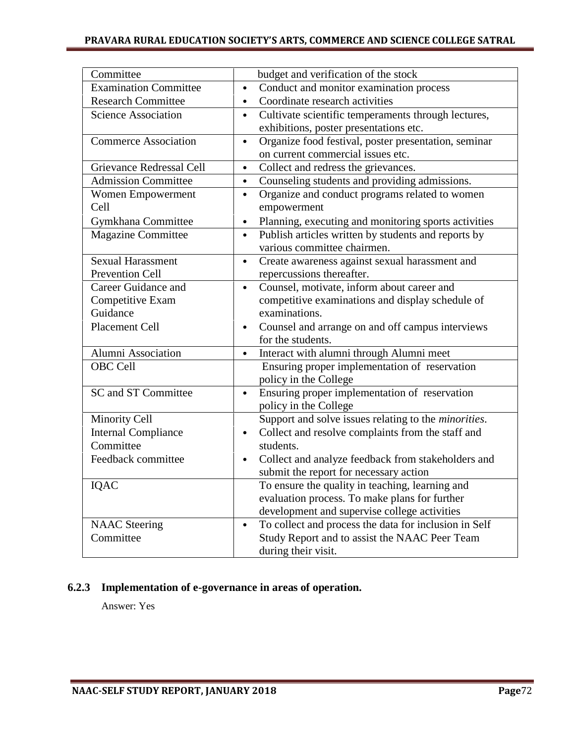#### **PRAVARA RURAL EDUCATION SOCIETY'S ARTS, COMMERCE AND SCIENCE COLLEGE SATRAL**

| Committee                    | budget and verification of the stock                               |
|------------------------------|--------------------------------------------------------------------|
| <b>Examination Committee</b> | Conduct and monitor examination process<br>$\bullet$               |
| <b>Research Committee</b>    | Coordinate research activities<br>$\bullet$                        |
| <b>Science Association</b>   | Cultivate scientific temperaments through lectures,<br>$\bullet$   |
|                              | exhibitions, poster presentations etc.                             |
| <b>Commerce Association</b>  | Organize food festival, poster presentation, seminar<br>$\bullet$  |
|                              | on current commercial issues etc.                                  |
| Grievance Redressal Cell     | Collect and redress the grievances.<br>$\bullet$                   |
| <b>Admission Committee</b>   | Counseling students and providing admissions.<br>$\bullet$         |
| Women Empowerment            | Organize and conduct programs related to women<br>$\bullet$        |
| Cell                         | empowerment                                                        |
| Gymkhana Committee           | Planning, executing and monitoring sports activities<br>$\bullet$  |
| <b>Magazine Committee</b>    | Publish articles written by students and reports by<br>$\bullet$   |
|                              | various committee chairmen.                                        |
| <b>Sexual Harassment</b>     | Create awareness against sexual harassment and<br>$\bullet$        |
| <b>Prevention Cell</b>       | repercussions thereafter.                                          |
| Career Guidance and          | Counsel, motivate, inform about career and<br>$\bullet$            |
| Competitive Exam             | competitive examinations and display schedule of                   |
| Guidance                     | examinations.                                                      |
| Placement Cell               | Counsel and arrange on and off campus interviews<br>$\bullet$      |
|                              | for the students.                                                  |
| Alumni Association           | Interact with alumni through Alumni meet<br>$\bullet$              |
| OBC Cell                     | Ensuring proper implementation of reservation                      |
|                              | policy in the College                                              |
| SC and ST Committee          | Ensuring proper implementation of reservation<br>$\bullet$         |
|                              | policy in the College                                              |
| <b>Minority Cell</b>         | Support and solve issues relating to the <i>minorities</i> .       |
| <b>Internal Compliance</b>   | Collect and resolve complaints from the staff and<br>$\bullet$     |
| Committee                    | students.                                                          |
| Feedback committee           | Collect and analyze feedback from stakeholders and<br>$\bullet$    |
|                              | submit the report for necessary action                             |
| IQAC                         | To ensure the quality in teaching, learning and                    |
|                              | evaluation process. To make plans for further                      |
|                              | development and supervise college activities                       |
| <b>NAAC</b> Steering         | To collect and process the data for inclusion in Self<br>$\bullet$ |
| Committee                    | Study Report and to assist the NAAC Peer Team                      |
|                              | during their visit.                                                |

### **6.2.3 Implementation of e-governance in areas of operation.**

Answer: Yes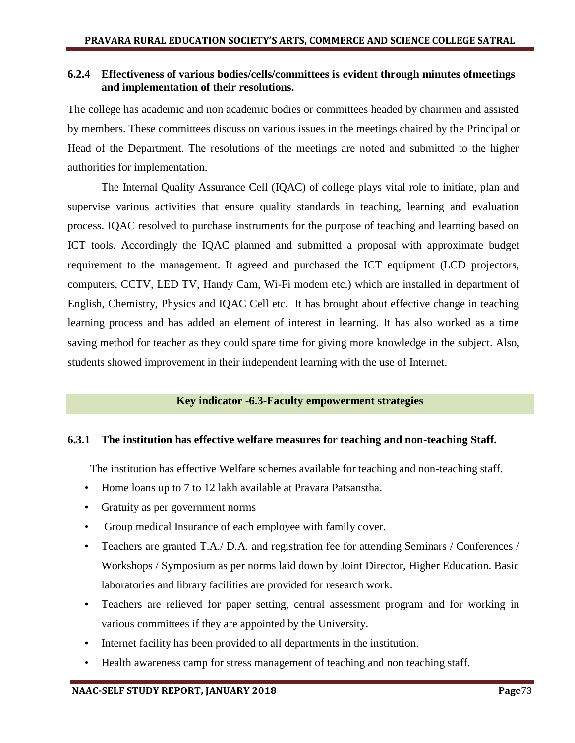## **6.2.4 Effectiveness of various bodies/cells/committees is evident through minutes ofmeetings and implementation of their resolutions.**

The college has academic and non academic bodies or committees headed by chairmen and assisted by members. These committees discuss on various issues in the meetings chaired by the Principal or Head of the Department. The resolutions of the meetings are noted and submitted to the higher authorities for implementation.

The Internal Quality Assurance Cell (IQAC) of college plays vital role to initiate, plan and supervise various activities that ensure quality standards in teaching, learning and evaluation process. IQAC resolved to purchase instruments for the purpose of teaching and learning based on ICT tools. Accordingly the IQAC planned and submitted a proposal with approximate budget requirement to the management. It agreed and purchased the ICT equipment (LCD projectors, computers, CCTV, LED TV, Handy Cam, Wi-Fi modem etc.) which are installed in department of English, Chemistry, Physics and IQAC Cell etc. It has brought about effective change in teaching learning process and has added an element of interest in learning. It has also worked as a time saving method for teacher as they could spare time for giving more knowledge in the subject. Also, students showed improvement in their independent learning with the use of Internet.

## **Key indicator -6.3-Faculty empowerment strategies**

## **6.3.1 The institution has effective welfare measures for teaching and non-teaching Staff.**

The institution has effective Welfare schemes available for teaching and non-teaching staff.

- Home loans up to 7 to 12 lakh available at Pravara Patsanstha.
- Gratuity as per government norms
- Group medical Insurance of each employee with family cover.
- Teachers are granted T.A./ D.A. and registration fee for attending Seminars / Conferences / Workshops / Symposium as per norms laid down by Joint Director, Higher Education. Basic laboratories and library facilities are provided for research work.
- Teachers are relieved for paper setting, central assessment program and for working in various committees if they are appointed by the University.
- Internet facility has been provided to all departments in the institution.
- Health awareness camp for stress management of teaching and non teaching staff.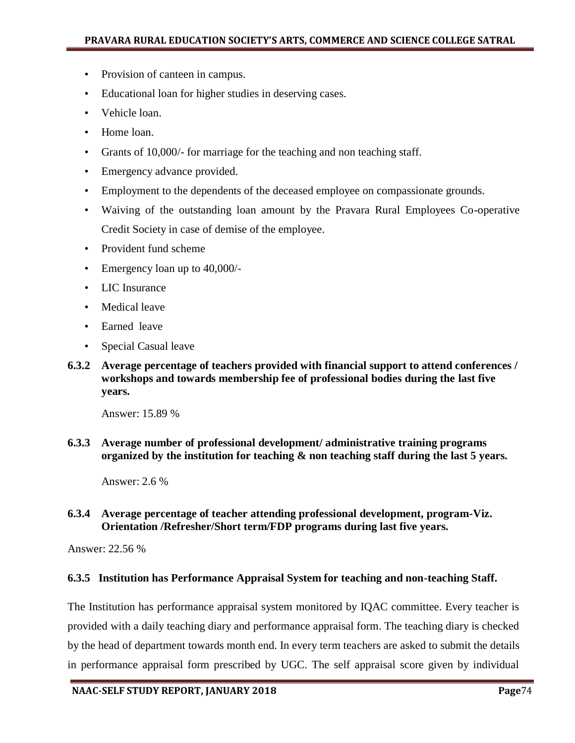- Provision of canteen in campus.
- Educational loan for higher studies in deserving cases.
- Vehicle loan.
- Home loan.
- Grants of 10,000/- for marriage for the teaching and non teaching staff.
- Emergency advance provided.
- Employment to the dependents of the deceased employee on compassionate grounds.
- Waiving of the outstanding loan amount by the Pravara Rural Employees Co-operative Credit Society in case of demise of the employee.
- Provident fund scheme
- Emergency loan up to 40,000/-
- LIC Insurance
- Medical leave
- Earned leave
- Special Casual leave
- **6.3.2 Average percentage of teachers provided with financial support to attend conferences / workshops and towards membership fee of professional bodies during the last five years.**

Answer: 15.89 %

**6.3.3 Average number of professional development/ administrative training programs organized by the institution for teaching & non teaching staff during the last 5 years.**

Answer: 2.6 %

### **6.3.4 Average percentage of teacher attending professional development, program-Viz. Orientation /Refresher/Short term/FDP programs during last five years.**

Answer: 22.56 %

#### **6.3.5 Institution has Performance Appraisal System for teaching and non-teaching Staff.**

The Institution has performance appraisal system monitored by IQAC committee. Every teacher is provided with a daily teaching diary and performance appraisal form. The teaching diary is checked by the head of department towards month end. In every term teachers are asked to submit the details in performance appraisal form prescribed by UGC. The self appraisal score given by individual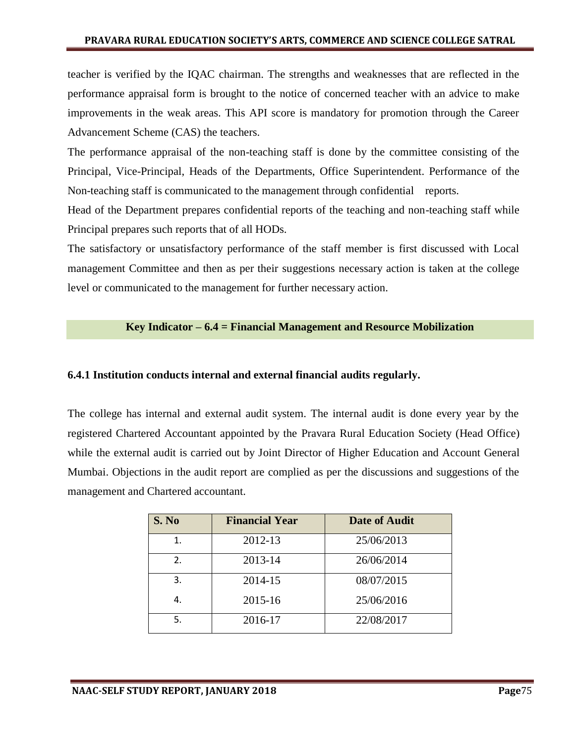teacher is verified by the IQAC chairman. The strengths and weaknesses that are reflected in the performance appraisal form is brought to the notice of concerned teacher with an advice to make improvements in the weak areas. This API score is mandatory for promotion through the Career Advancement Scheme (CAS) the teachers.

The performance appraisal of the non-teaching staff is done by the committee consisting of the Principal, Vice-Principal, Heads of the Departments, Office Superintendent. Performance of the Non-teaching staff is communicated to the management through confidential reports.

Head of the Department prepares confidential reports of the teaching and non-teaching staff while Principal prepares such reports that of all HODs.

The satisfactory or unsatisfactory performance of the staff member is first discussed with Local management Committee and then as per their suggestions necessary action is taken at the college level or communicated to the management for further necessary action.

#### **Key Indicator – 6.4 = Financial Management and Resource Mobilization**

#### **6.4.1 Institution conducts internal and external financial audits regularly.**

The college has internal and external audit system. The internal audit is done every year by the registered Chartered Accountant appointed by the Pravara Rural Education Society (Head Office) while the external audit is carried out by Joint Director of Higher Education and Account General Mumbai. Objections in the audit report are complied as per the discussions and suggestions of the management and Chartered accountant.

| S. No | <b>Financial Year</b> | <b>Date of Audit</b> |
|-------|-----------------------|----------------------|
| 1.    | 2012-13               | 25/06/2013           |
| 2.    | 2013-14               | 26/06/2014           |
| 3.    | 2014-15               | 08/07/2015           |
| 4     | 2015-16               | 25/06/2016           |
| 5.    | 2016-17               | 22/08/2017           |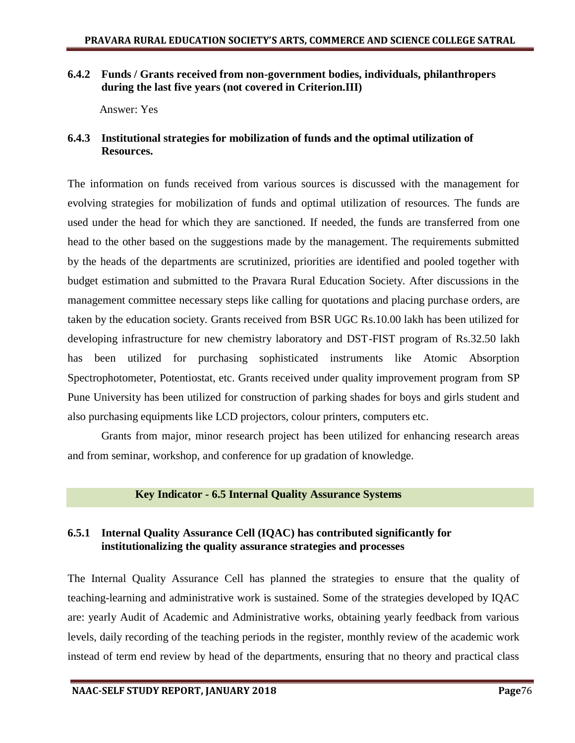## **6.4.2 Funds / Grants received from non-government bodies, individuals, philanthropers during the last five years (not covered in Criterion.III)**

Answer: Yes

## **6.4.3 Institutional strategies for mobilization of funds and the optimal utilization of Resources.**

The information on funds received from various sources is discussed with the management for evolving strategies for mobilization of funds and optimal utilization of resources. The funds are used under the head for which they are sanctioned. If needed, the funds are transferred from one head to the other based on the suggestions made by the management. The requirements submitted by the heads of the departments are scrutinized, priorities are identified and pooled together with budget estimation and submitted to the Pravara Rural Education Society. After discussions in the management committee necessary steps like calling for quotations and placing purchase orders, are taken by the education society. Grants received from BSR UGC Rs.10.00 lakh has been utilized for developing infrastructure for new chemistry laboratory and DST-FIST program of Rs.32.50 lakh has been utilized for purchasing sophisticated instruments like Atomic Absorption Spectrophotometer, Potentiostat, etc. Grants received under quality improvement program from SP Pune University has been utilized for construction of parking shades for boys and girls student and also purchasing equipments like LCD projectors, colour printers, computers etc.

Grants from major, minor research project has been utilized for enhancing research areas and from seminar, workshop, and conference for up gradation of knowledge.

## **Key Indicator - 6.5 Internal Quality Assurance Systems**

## **6.5.1 Internal Quality Assurance Cell (IQAC) has contributed significantly for institutionalizing the quality assurance strategies and processes**

The Internal Quality Assurance Cell has planned the strategies to ensure that the quality of teaching-learning and administrative work is sustained. Some of the strategies developed by IQAC are: yearly Audit of Academic and Administrative works, obtaining yearly feedback from various levels, daily recording of the teaching periods in the register, monthly review of the academic work instead of term end review by head of the departments, ensuring that no theory and practical class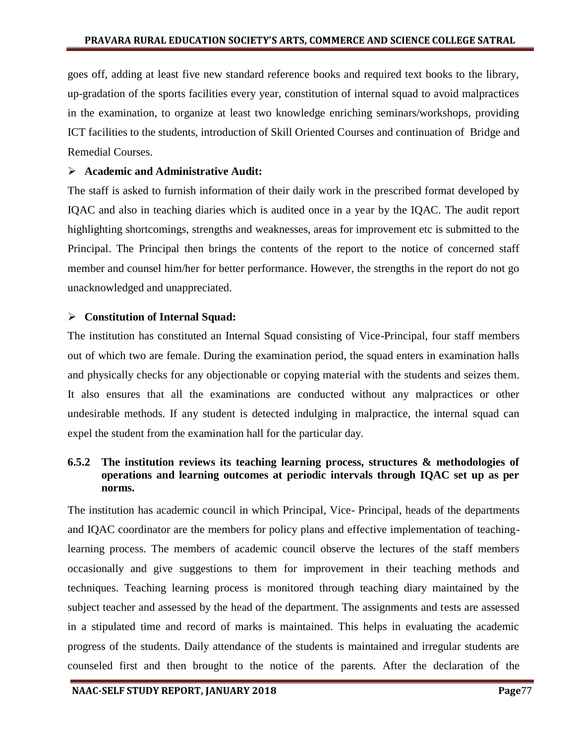goes off, adding at least five new standard reference books and required text books to the library, up-gradation of the sports facilities every year, constitution of internal squad to avoid malpractices in the examination, to organize at least two knowledge enriching seminars/workshops, providing ICT facilities to the students, introduction of Skill Oriented Courses and continuation of Bridge and Remedial Courses.

## **Academic and Administrative Audit:**

The staff is asked to furnish information of their daily work in the prescribed format developed by IQAC and also in teaching diaries which is audited once in a year by the IQAC. The audit report highlighting shortcomings, strengths and weaknesses, areas for improvement etc is submitted to the Principal. The Principal then brings the contents of the report to the notice of concerned staff member and counsel him/her for better performance. However, the strengths in the report do not go unacknowledged and unappreciated.

## **Constitution of Internal Squad:**

The institution has constituted an Internal Squad consisting of Vice-Principal, four staff members out of which two are female. During the examination period, the squad enters in examination halls and physically checks for any objectionable or copying material with the students and seizes them. It also ensures that all the examinations are conducted without any malpractices or other undesirable methods. If any student is detected indulging in malpractice, the internal squad can expel the student from the examination hall for the particular day.

## **6.5.2 The institution reviews its teaching learning process, structures & methodologies of operations and learning outcomes at periodic intervals through IQAC set up as per norms.**

The institution has academic council in which Principal, Vice- Principal, heads of the departments and IQAC coordinator are the members for policy plans and effective implementation of teachinglearning process. The members of academic council observe the lectures of the staff members occasionally and give suggestions to them for improvement in their teaching methods and techniques. Teaching learning process is monitored through teaching diary maintained by the subject teacher and assessed by the head of the department. The assignments and tests are assessed in a stipulated time and record of marks is maintained. This helps in evaluating the academic progress of the students. Daily attendance of the students is maintained and irregular students are counseled first and then brought to the notice of the parents. After the declaration of the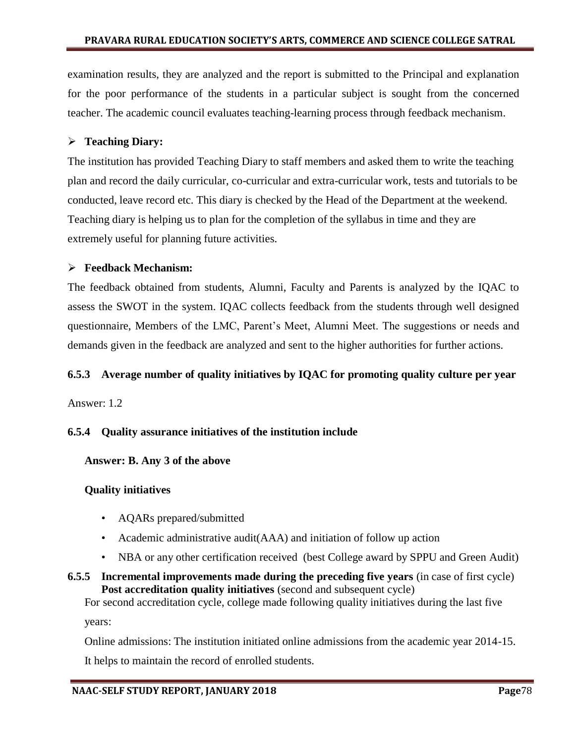examination results, they are analyzed and the report is submitted to the Principal and explanation for the poor performance of the students in a particular subject is sought from the concerned teacher. The academic council evaluates teaching-learning process through feedback mechanism.

## **Teaching Diary:**

The institution has provided Teaching Diary to staff members and asked them to write the teaching plan and record the daily curricular, co-curricular and extra-curricular work, tests and tutorials to be conducted, leave record etc. This diary is checked by the Head of the Department at the weekend. Teaching diary is helping us to plan for the completion of the syllabus in time and they are extremely useful for planning future activities.

## **Feedback Mechanism:**

The feedback obtained from students, Alumni, Faculty and Parents is analyzed by the IQAC to assess the SWOT in the system. IQAC collects feedback from the students through well designed questionnaire, Members of the LMC, Parent"s Meet, Alumni Meet. The suggestions or needs and demands given in the feedback are analyzed and sent to the higher authorities for further actions.

## **6.5.3 Average number of quality initiatives by IQAC for promoting quality culture per year**

Answer: 1.2

## **6.5.4 Quality assurance initiatives of the institution include**

## **Answer: B. Any 3 of the above**

## **Quality initiatives**

- AQARs prepared/submitted
- Academic administrative audit(AAA) and initiation of follow up action
- NBA or any other certification received (best College award by SPPU and Green Audit)
- **6.5.5 Incremental improvements made during the preceding five years** (in case of first cycle) **Post accreditation quality initiatives** (second and subsequent cycle)

For second accreditation cycle, college made following quality initiatives during the last five years:

Online admissions: The institution initiated online admissions from the academic year 2014-15.

It helps to maintain the record of enrolled students.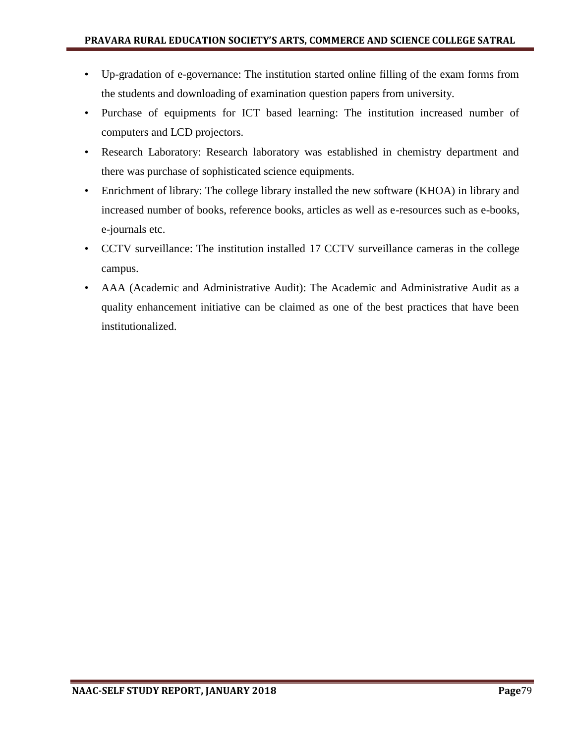- Up-gradation of e-governance: The institution started online filling of the exam forms from the students and downloading of examination question papers from university.
- Purchase of equipments for ICT based learning: The institution increased number of computers and LCD projectors.
- Research Laboratory: Research laboratory was established in chemistry department and there was purchase of sophisticated science equipments.
- Enrichment of library: The college library installed the new software (KHOA) in library and increased number of books, reference books, articles as well as e-resources such as e-books, e-journals etc.
- CCTV surveillance: The institution installed 17 CCTV surveillance cameras in the college campus.
- AAA (Academic and Administrative Audit): The Academic and Administrative Audit as a quality enhancement initiative can be claimed as one of the best practices that have been institutionalized.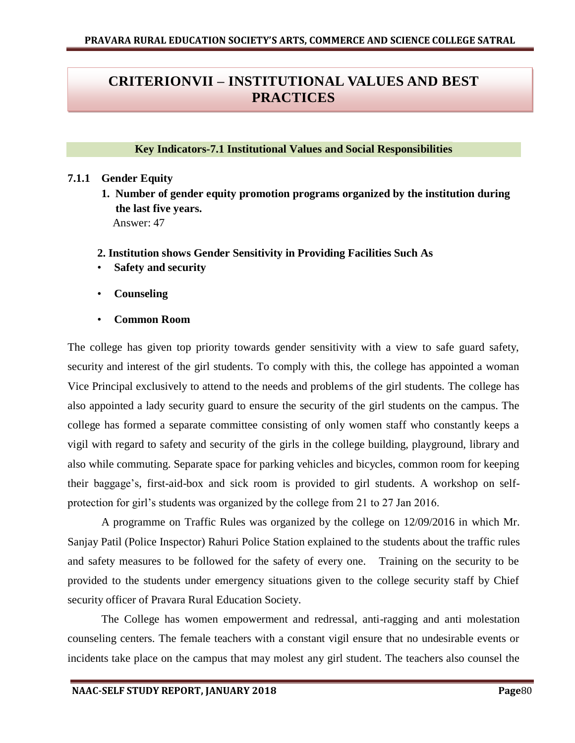# **CRITERIONVII – INSTITUTIONAL VALUES AND BEST PRACTICES**

### **Key Indicators-7.1 Institutional Values and Social Responsibilities**

#### **7.1.1 Gender Equity**

**1. Number of gender equity promotion programs organized by the institution during the last five years.**  Answer: 47

### **2. Institution shows Gender Sensitivity in Providing Facilities Such As**

- **Safety and security**
- **Counseling**
- **Common Room**

The college has given top priority towards gender sensitivity with a view to safe guard safety, security and interest of the girl students. To comply with this, the college has appointed a woman Vice Principal exclusively to attend to the needs and problems of the girl students. The college has also appointed a lady security guard to ensure the security of the girl students on the campus. The college has formed a separate committee consisting of only women staff who constantly keeps a vigil with regard to safety and security of the girls in the college building, playground, library and also while commuting. Separate space for parking vehicles and bicycles, common room for keeping their baggage"s, first-aid-box and sick room is provided to girl students. A workshop on selfprotection for girl"s students was organized by the college from 21 to 27 Jan 2016.

A programme on Traffic Rules was organized by the college on 12/09/2016 in which Mr. Sanjay Patil (Police Inspector) Rahuri Police Station explained to the students about the traffic rules and safety measures to be followed for the safety of every one. Training on the security to be provided to the students under emergency situations given to the college security staff by Chief security officer of Pravara Rural Education Society.

The College has women empowerment and redressal, anti-ragging and anti molestation counseling centers. The female teachers with a constant vigil ensure that no undesirable events or incidents take place on the campus that may molest any girl student. The teachers also counsel the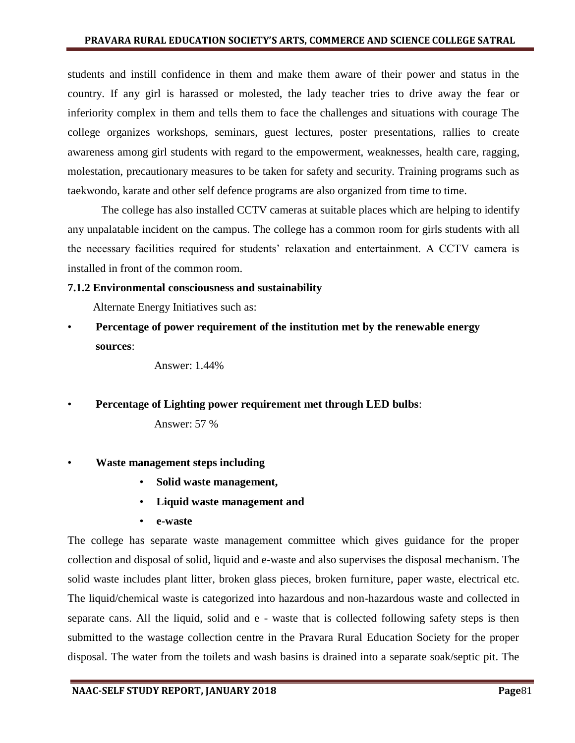students and instill confidence in them and make them aware of their power and status in the country. If any girl is harassed or molested, the lady teacher tries to drive away the fear or inferiority complex in them and tells them to face the challenges and situations with courage The college organizes workshops, seminars, guest lectures, poster presentations, rallies to create awareness among girl students with regard to the empowerment, weaknesses, health care, ragging, molestation, precautionary measures to be taken for safety and security. Training programs such as taekwondo, karate and other self defence programs are also organized from time to time.

The college has also installed CCTV cameras at suitable places which are helping to identify any unpalatable incident on the campus. The college has a common room for girls students with all the necessary facilities required for students' relaxation and entertainment. A CCTV camera is installed in front of the common room.

### **7.1.2 Environmental consciousness and sustainability**

Alternate Energy Initiatives such as:

• **Percentage of power requirement of the institution met by the renewable energy sources**:

Answer: 1.44%

• **Percentage of Lighting power requirement met through LED bulbs**:

Answer: 57 %

- **Waste management steps including** 
	- **Solid waste management,**
	- **Liquid waste management and**
	- **e-waste**

The college has separate waste management committee which gives guidance for the proper collection and disposal of solid, liquid and e-waste and also supervises the disposal mechanism. The solid waste includes plant litter, broken glass pieces, broken furniture, paper waste, electrical etc. The liquid/chemical waste is categorized into hazardous and non-hazardous waste and collected in separate cans. All the liquid, solid and e - waste that is collected following safety steps is then submitted to the wastage collection centre in the Pravara Rural Education Society for the proper disposal. The water from the toilets and wash basins is drained into a separate soak/septic pit. The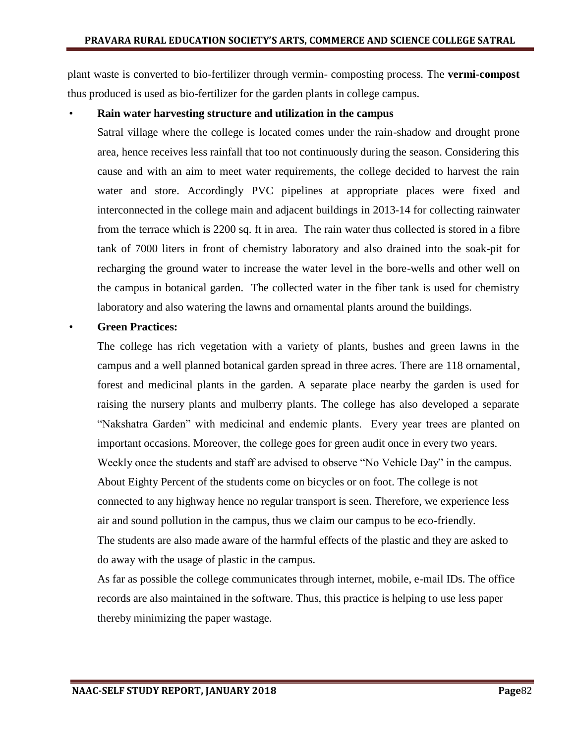plant waste is converted to bio-fertilizer through vermin- composting process. The **vermi-compost** thus produced is used as bio-fertilizer for the garden plants in college campus.

#### • **Rain water harvesting structure and utilization in the campus**

Satral village where the college is located comes under the rain-shadow and drought prone area, hence receives less rainfall that too not continuously during the season. Considering this cause and with an aim to meet water requirements, the college decided to harvest the rain water and store. Accordingly PVC pipelines at appropriate places were fixed and interconnected in the college main and adjacent buildings in 2013-14 for collecting rainwater from the terrace which is 2200 sq. ft in area. The rain water thus collected is stored in a fibre tank of 7000 liters in front of chemistry laboratory and also drained into the soak-pit for recharging the ground water to increase the water level in the bore-wells and other well on the campus in botanical garden. The collected water in the fiber tank is used for chemistry laboratory and also watering the lawns and ornamental plants around the buildings.

#### • **Green Practices:**

The college has rich vegetation with a variety of plants, bushes and green lawns in the campus and a well planned botanical garden spread in three acres. There are 118 ornamental, forest and medicinal plants in the garden. A separate place nearby the garden is used for raising the nursery plants and mulberry plants. The college has also developed a separate "Nakshatra Garden" with medicinal and endemic plants. Every year trees are planted on important occasions. Moreover, the college goes for green audit once in every two years. Weekly once the students and staff are advised to observe "No Vehicle Day" in the campus. About Eighty Percent of the students come on bicycles or on foot. The college is not connected to any highway hence no regular transport is seen. Therefore, we experience less air and sound pollution in the campus, thus we claim our campus to be eco-friendly. The students are also made aware of the harmful effects of the plastic and they are asked to do away with the usage of plastic in the campus.

As far as possible the college communicates through internet, mobile, e-mail IDs. The office records are also maintained in the software. Thus, this practice is helping to use less paper thereby minimizing the paper wastage.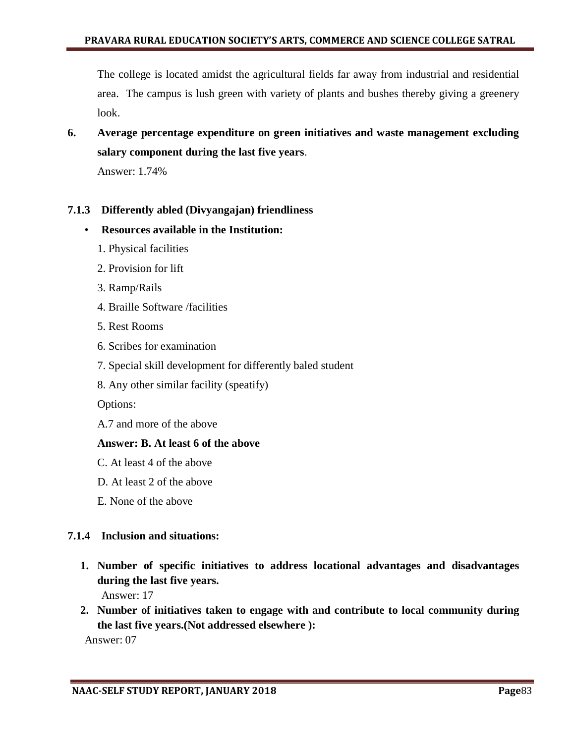The college is located amidst the agricultural fields far away from industrial and residential area. The campus is lush green with variety of plants and bushes thereby giving a greenery look.

**6. Average percentage expenditure on green initiatives and waste management excluding salary component during the last five years**.

Answer: 1.74%

## **7.1.3 Differently abled (Divyangajan) friendliness**

- **Resources available in the Institution:**
	- 1. Physical facilities
	- 2. Provision for lift
	- 3. Ramp/Rails
	- 4. Braille Software /facilities
	- 5. Rest Rooms
	- 6. Scribes for examination
	- 7. Special skill development for differently baled student
	- 8. Any other similar facility (speatify)

Options:

A.7 and more of the above

#### **Answer: B. At least 6 of the above**

- C. At least 4 of the above
- D. At least 2 of the above
- E. None of the above

## **7.1.4 Inclusion and situations:**

**1. Number of specific initiatives to address locational advantages and disadvantages during the last five years.**

Answer: 17

**2. Number of initiatives taken to engage with and contribute to local community during the last five years.(Not addressed elsewhere ):** 

Answer: 07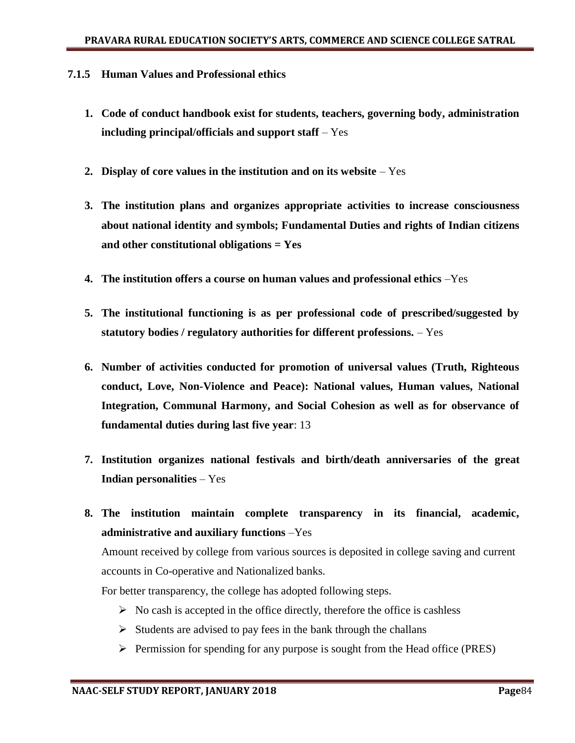#### **7.1.5 Human Values and Professional ethics**

- **1. Code of conduct handbook exist for students, teachers, governing body, administration including principal/officials and support staff** – Yes
- **2. Display of core values in the institution and on its website**  Yes
- **3. The institution plans and organizes appropriate activities to increase consciousness about national identity and symbols; Fundamental Duties and rights of Indian citizens and other constitutional obligations = Yes**
- **4. The institution offers a course on human values and professional ethics** –Yes
- **5. The institutional functioning is as per professional code of prescribed/suggested by statutory bodies / regulatory authorities for different professions.** – Yes
- **6. Number of activities conducted for promotion of universal values (Truth, Righteous conduct, Love, Non-Violence and Peace): National values, Human values, National Integration, Communal Harmony, and Social Cohesion as well as for observance of fundamental duties during last five year**: 13
- **7. Institution organizes national festivals and birth/death anniversaries of the great Indian personalities** – Yes
- **8. The institution maintain complete transparency in its financial, academic, administrative and auxiliary functions** –Yes

Amount received by college from various sources is deposited in college saving and current accounts in Co-operative and Nationalized banks.

For better transparency, the college has adopted following steps.

- $\triangleright$  No cash is accepted in the office directly, therefore the office is cashless
- $\triangleright$  Students are advised to pay fees in the bank through the challans
- $\triangleright$  Permission for spending for any purpose is sought from the Head office (PRES)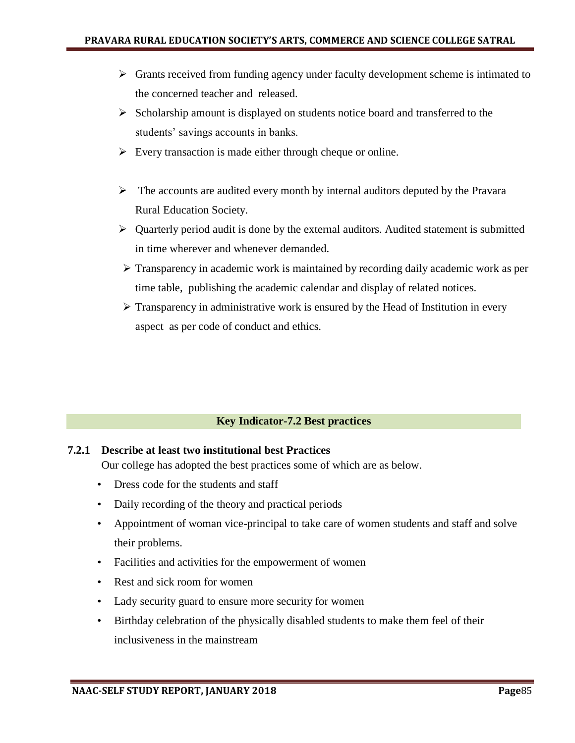- $\triangleright$  Grants received from funding agency under faculty development scheme is intimated to the concerned teacher and released.
- $\triangleright$  Scholarship amount is displayed on students notice board and transferred to the students' savings accounts in banks.
- $\triangleright$  Every transaction is made either through cheque or online.
- $\triangleright$  The accounts are audited every month by internal auditors deputed by the Pravara Rural Education Society.
- $\triangleright$  Quarterly period audit is done by the external auditors. Audited statement is submitted in time wherever and whenever demanded.
- $\triangleright$  Transparency in academic work is maintained by recording daily academic work as per time table, publishing the academic calendar and display of related notices.
- $\triangleright$  Transparency in administrative work is ensured by the Head of Institution in every aspect as per code of conduct and ethics.

## **Key Indicator-7.2 Best practices**

## **7.2.1 Describe at least two institutional best Practices**

Our college has adopted the best practices some of which are as below.

- Dress code for the students and staff
- Daily recording of the theory and practical periods
- Appointment of woman vice-principal to take care of women students and staff and solve their problems.
- Facilities and activities for the empowerment of women
- Rest and sick room for women
- Lady security guard to ensure more security for women
- Birthday celebration of the physically disabled students to make them feel of their inclusiveness in the mainstream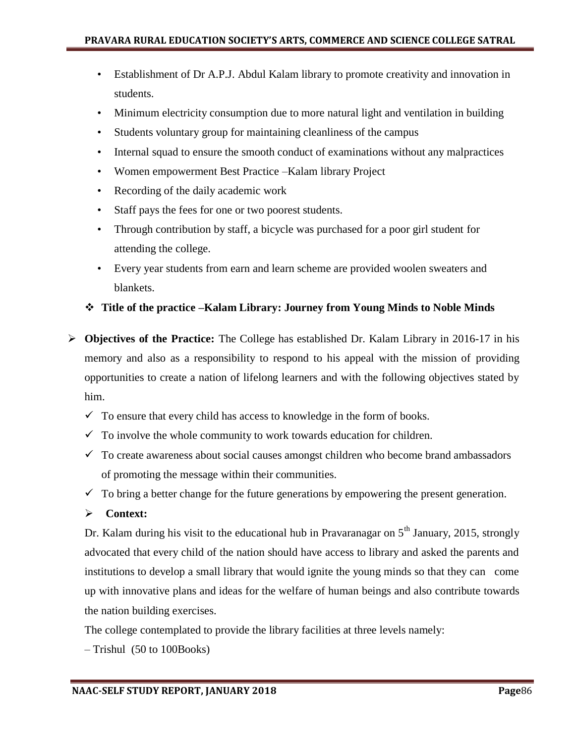- Establishment of Dr A.P.J. Abdul Kalam library to promote creativity and innovation in students.
- Minimum electricity consumption due to more natural light and ventilation in building
- Students voluntary group for maintaining cleanliness of the campus
- Internal squad to ensure the smooth conduct of examinations without any malpractices
- Women empowerment Best Practice –Kalam library Project
- Recording of the daily academic work
- Staff pays the fees for one or two poorest students.
- Through contribution by staff, a bicycle was purchased for a poor girl student for attending the college.
- Every year students from earn and learn scheme are provided woolen sweaters and blankets.

#### **Title of the practice –Kalam Library: Journey from Young Minds to Noble Minds**

- **Objectives of the Practice:** The College has established Dr. Kalam Library in 2016-17 in his memory and also as a responsibility to respond to his appeal with the mission of providing opportunities to create a nation of lifelong learners and with the following objectives stated by him.
	- $\checkmark$  To ensure that every child has access to knowledge in the form of books.
	- $\checkmark$  To involve the whole community to work towards education for children.
	- $\checkmark$  To create awareness about social causes amongst children who become brand ambassadors of promoting the message within their communities.
	- $\checkmark$  To bring a better change for the future generations by empowering the present generation.
	- **Context:**

Dr. Kalam during his visit to the educational hub in Pravaranagar on  $5<sup>th</sup>$  January, 2015, strongly advocated that every child of the nation should have access to library and asked the parents and institutions to develop a small library that would ignite the young minds so that they can come up with innovative plans and ideas for the welfare of human beings and also contribute towards the nation building exercises.

The college contemplated to provide the library facilities at three levels namely:

– Trishul (50 to 100Books)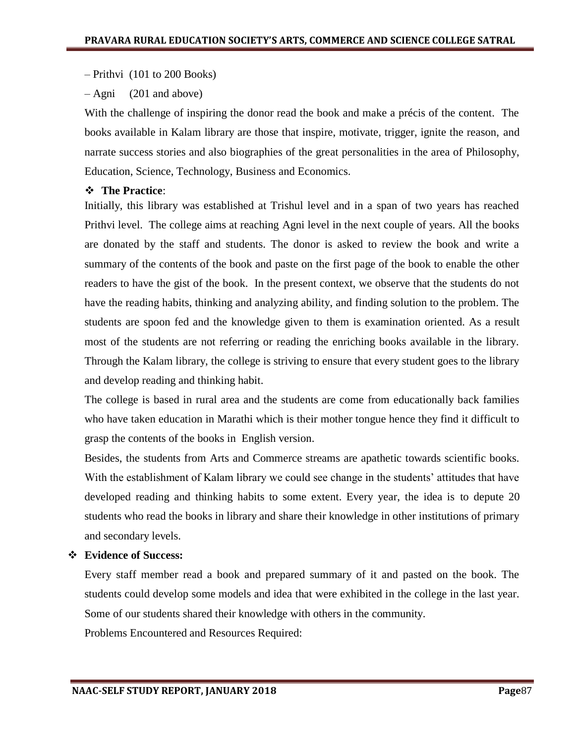– Prithvi (101 to 200 Books)

– Agni (201 and above)

With the challenge of inspiring the donor read the book and make a précis of the content. The books available in Kalam library are those that inspire, motivate, trigger, ignite the reason, and narrate success stories and also biographies of the great personalities in the area of Philosophy, Education, Science, Technology, Business and Economics.

## **The Practice**:

Initially, this library was established at Trishul level and in a span of two years has reached Prithvi level. The college aims at reaching Agni level in the next couple of years. All the books are donated by the staff and students. The donor is asked to review the book and write a summary of the contents of the book and paste on the first page of the book to enable the other readers to have the gist of the book. In the present context, we observe that the students do not have the reading habits, thinking and analyzing ability, and finding solution to the problem. The students are spoon fed and the knowledge given to them is examination oriented. As a result most of the students are not referring or reading the enriching books available in the library. Through the Kalam library, the college is striving to ensure that every student goes to the library and develop reading and thinking habit.

The college is based in rural area and the students are come from educationally back families who have taken education in Marathi which is their mother tongue hence they find it difficult to grasp the contents of the books in English version.

Besides, the students from Arts and Commerce streams are apathetic towards scientific books. With the establishment of Kalam library we could see change in the students' attitudes that have developed reading and thinking habits to some extent. Every year, the idea is to depute 20 students who read the books in library and share their knowledge in other institutions of primary and secondary levels.

## **Evidence of Success:**

Every staff member read a book and prepared summary of it and pasted on the book. The students could develop some models and idea that were exhibited in the college in the last year. Some of our students shared their knowledge with others in the community.

Problems Encountered and Resources Required: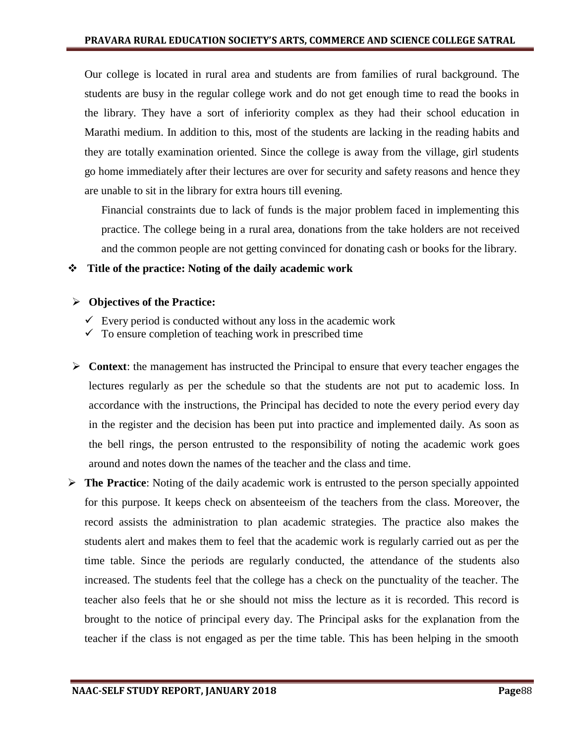Our college is located in rural area and students are from families of rural background. The students are busy in the regular college work and do not get enough time to read the books in the library. They have a sort of inferiority complex as they had their school education in Marathi medium. In addition to this, most of the students are lacking in the reading habits and they are totally examination oriented. Since the college is away from the village, girl students go home immediately after their lectures are over for security and safety reasons and hence they are unable to sit in the library for extra hours till evening.

Financial constraints due to lack of funds is the major problem faced in implementing this practice. The college being in a rural area, donations from the take holders are not received and the common people are not getting convinced for donating cash or books for the library.

#### **Title of the practice: Noting of the daily academic work**

#### **Objectives of the Practice:**

- $\checkmark$  Every period is conducted without any loss in the academic work
- $\checkmark$  To ensure completion of teaching work in prescribed time
- **Context:** the management has instructed the Principal to ensure that every teacher engages the lectures regularly as per the schedule so that the students are not put to academic loss. In accordance with the instructions, the Principal has decided to note the every period every day in the register and the decision has been put into practice and implemented daily. As soon as the bell rings, the person entrusted to the responsibility of noting the academic work goes around and notes down the names of the teacher and the class and time.
- **The Practice**: Noting of the daily academic work is entrusted to the person specially appointed for this purpose. It keeps check on absenteeism of the teachers from the class. Moreover, the record assists the administration to plan academic strategies. The practice also makes the students alert and makes them to feel that the academic work is regularly carried out as per the time table. Since the periods are regularly conducted, the attendance of the students also increased. The students feel that the college has a check on the punctuality of the teacher. The teacher also feels that he or she should not miss the lecture as it is recorded. This record is brought to the notice of principal every day. The Principal asks for the explanation from the teacher if the class is not engaged as per the time table. This has been helping in the smooth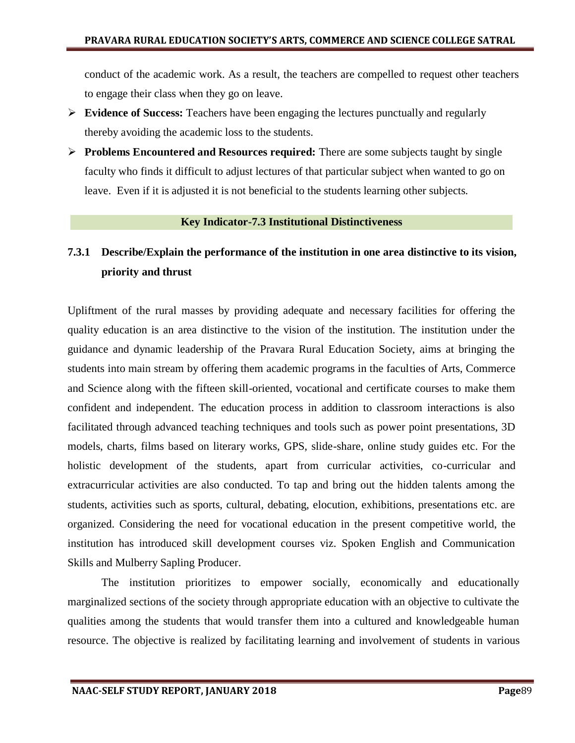conduct of the academic work. As a result, the teachers are compelled to request other teachers to engage their class when they go on leave.

- **Evidence of Success:** Teachers have been engaging the lectures punctually and regularly thereby avoiding the academic loss to the students.
- **Problems Encountered and Resources required:** There are some subjects taught by single faculty who finds it difficult to adjust lectures of that particular subject when wanted to go on leave. Even if it is adjusted it is not beneficial to the students learning other subjects.

#### **Key Indicator-7.3 Institutional Distinctiveness**

## **7.3.1 Describe/Explain the performance of the institution in one area distinctive to its vision, priority and thrust**

Upliftment of the rural masses by providing adequate and necessary facilities for offering the quality education is an area distinctive to the vision of the institution. The institution under the guidance and dynamic leadership of the Pravara Rural Education Society, aims at bringing the students into main stream by offering them academic programs in the faculties of Arts, Commerce and Science along with the fifteen skill-oriented, vocational and certificate courses to make them confident and independent. The education process in addition to classroom interactions is also facilitated through advanced teaching techniques and tools such as power point presentations, 3D models, charts, films based on literary works, GPS, slide-share, online study guides etc. For the holistic development of the students, apart from curricular activities, co-curricular and extracurricular activities are also conducted. To tap and bring out the hidden talents among the students, activities such as sports, cultural, debating, elocution, exhibitions, presentations etc. are organized. Considering the need for vocational education in the present competitive world, the institution has introduced skill development courses viz. Spoken English and Communication Skills and Mulberry Sapling Producer.

The institution prioritizes to empower socially, economically and educationally marginalized sections of the society through appropriate education with an objective to cultivate the qualities among the students that would transfer them into a cultured and knowledgeable human resource. The objective is realized by facilitating learning and involvement of students in various